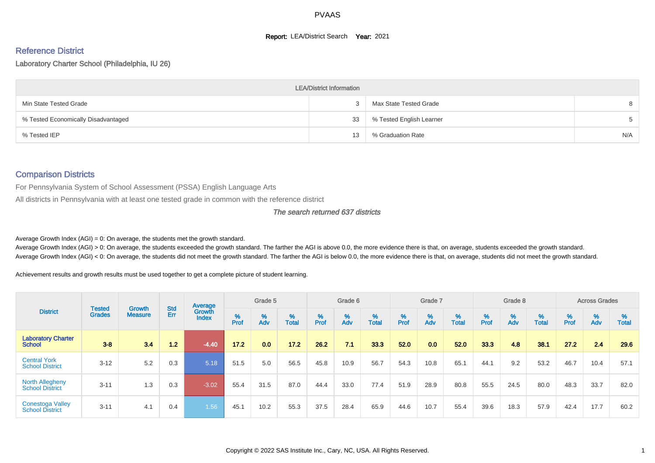#### **Report: LEA/District Search Year: 2021**

# Reference District

#### Laboratory Charter School (Philadelphia, IU 26)

|                                     | <b>LEA/District Information</b> |                          |     |
|-------------------------------------|---------------------------------|--------------------------|-----|
| Min State Tested Grade              | 2                               | Max State Tested Grade   | 8   |
| % Tested Economically Disadvantaged | 33                              | % Tested English Learner | 5   |
| % Tested IEP                        | 13                              | % Graduation Rate        | N/A |

#### Comparison Districts

For Pennsylvania System of School Assessment (PSSA) English Language Arts

All districts in Pennsylvania with at least one tested grade in common with the reference district

#### The search returned 637 districts

Average Growth Index  $(AGI) = 0$ : On average, the students met the growth standard.

Average Growth Index (AGI) > 0: On average, the students exceeded the growth standard. The farther the AGI is above 0.0, the more evidence there is that, on average, students exceeded the growth standard. Average Growth Index (AGI) < 0: On average, the students did not meet the growth standard. The farther the AGI is below 0.0, the more evidence there is that, on average, students did not meet the growth standard.

Achievement results and growth results must be used together to get a complete picture of student learning.

|                                                   |                                |                          |                   | Average                |           | Grade 5  |                   |        | Grade 6  |                   |          | Grade 7  |                   |           | Grade 8  |                   |           | <b>Across Grades</b> |                   |
|---------------------------------------------------|--------------------------------|--------------------------|-------------------|------------------------|-----------|----------|-------------------|--------|----------|-------------------|----------|----------|-------------------|-----------|----------|-------------------|-----------|----------------------|-------------------|
| <b>District</b>                                   | <b>Tested</b><br><b>Grades</b> | Growth<br><b>Measure</b> | <b>Std</b><br>Err | Growth<br><b>Index</b> | %<br>Prof | %<br>Adv | %<br><b>Total</b> | % Pref | %<br>Adv | %<br><b>Total</b> | $%$ Prof | %<br>Adv | %<br><b>Total</b> | %<br>Prof | %<br>Adv | %<br><b>Total</b> | %<br>Prof | %<br>Adv             | %<br><b>Total</b> |
| <b>Laboratory Charter</b><br><b>School</b>        | $3 - 8$                        | 3.4                      | 1.2               | $-4.40$                | 17.2      | 0.0      | 17.2              | 26.2   | 7.1      | 33.3              | 52.0     | 0.0      | 52.0              | 33.3      | 4.8      | 38.1              | 27.2      | 2.4                  | 29.6              |
| <b>Central York</b><br><b>School District</b>     | $3 - 12$                       | 5.2                      | 0.3               | 5.18                   | 51.5      | 5.0      | 56.5              | 45.8   | 10.9     | 56.7              | 54.3     | 10.8     | 65.1              | 44.1      | 9.2      | 53.2              | 46.7      | 10.4                 | 57.1              |
| <b>North Allegheny</b><br><b>School District</b>  | $3 - 11$                       | 1.3                      | 0.3               | $-3.02$                | 55.4      | 31.5     | 87.0              | 44.4   | 33.0     | 77.4              | 51.9     | 28.9     | 80.8              | 55.5      | 24.5     | 80.0              | 48.3      | 33.7                 | 82.0              |
| <b>Conestoga Valley</b><br><b>School District</b> | $3 - 11$                       | 4.1                      | 0.4               | 1.56                   | 45.1      | 10.2     | 55.3              | 37.5   | 28.4     | 65.9              | 44.6     | 10.7     | 55.4              | 39.6      | 18.3     | 57.9              | 42.4      | 17.7                 | 60.2              |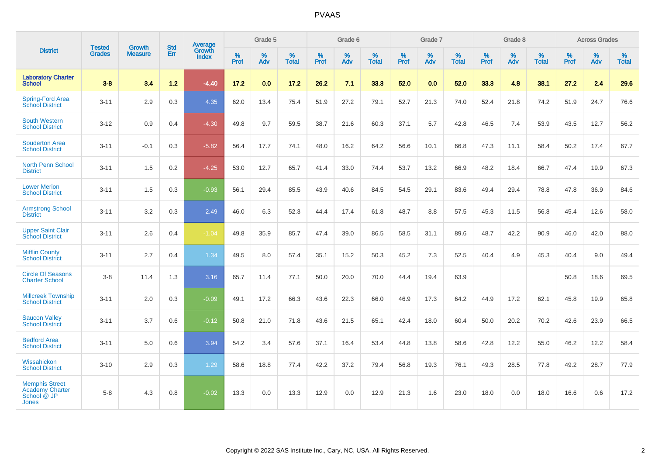|                                                                                |                                |                                 | <b>Std</b> | <b>Average</b>                |           | Grade 5  |                   |           | Grade 6  |                   |           | Grade 7  |                   |           | Grade 8  |                   |           | <b>Across Grades</b> |                   |
|--------------------------------------------------------------------------------|--------------------------------|---------------------------------|------------|-------------------------------|-----------|----------|-------------------|-----------|----------|-------------------|-----------|----------|-------------------|-----------|----------|-------------------|-----------|----------------------|-------------------|
| <b>District</b>                                                                | <b>Tested</b><br><b>Grades</b> | <b>Growth</b><br><b>Measure</b> | Err        | <b>Growth</b><br><b>Index</b> | %<br>Prof | %<br>Adv | %<br><b>Total</b> | %<br>Prof | %<br>Adv | %<br><b>Total</b> | %<br>Prof | %<br>Adv | %<br><b>Total</b> | %<br>Prof | %<br>Adv | %<br><b>Total</b> | %<br>Prof | %<br>Adv             | %<br><b>Total</b> |
| <b>Laboratory Charter</b><br><b>School</b>                                     | $3 - 8$                        | 3.4                             | $1.2$      | $-4.40$                       | 17.2      | 0.0      | 17.2              | 26.2      | 7.1      | 33.3              | 52.0      | 0.0      | 52.0              | 33.3      | 4.8      | 38.1              | 27.2      | 2.4                  | 29.6              |
| <b>Spring-Ford Area</b><br>School District                                     | $3 - 11$                       | 2.9                             | 0.3        | 4.35                          | 62.0      | 13.4     | 75.4              | 51.9      | 27.2     | 79.1              | 52.7      | 21.3     | 74.0              | 52.4      | 21.8     | 74.2              | 51.9      | 24.7                 | 76.6              |
| <b>South Western</b><br><b>School District</b>                                 | $3 - 12$                       | 0.9                             | 0.4        | $-4.30$                       | 49.8      | 9.7      | 59.5              | 38.7      | 21.6     | 60.3              | 37.1      | 5.7      | 42.8              | 46.5      | 7.4      | 53.9              | 43.5      | 12.7                 | 56.2              |
| <b>Souderton Area</b><br><b>School District</b>                                | $3 - 11$                       | $-0.1$                          | 0.3        | $-5.82$                       | 56.4      | 17.7     | 74.1              | 48.0      | 16.2     | 64.2              | 56.6      | 10.1     | 66.8              | 47.3      | 11.1     | 58.4              | 50.2      | 17.4                 | 67.7              |
| <b>North Penn School</b><br><b>District</b>                                    | $3 - 11$                       | 1.5                             | 0.2        | $-4.25$                       | 53.0      | 12.7     | 65.7              | 41.4      | 33.0     | 74.4              | 53.7      | 13.2     | 66.9              | 48.2      | 18.4     | 66.7              | 47.4      | 19.9                 | 67.3              |
| <b>Lower Merion</b><br><b>School District</b>                                  | $3 - 11$                       | 1.5                             | 0.3        | $-0.93$                       | 56.1      | 29.4     | 85.5              | 43.9      | 40.6     | 84.5              | 54.5      | 29.1     | 83.6              | 49.4      | 29.4     | 78.8              | 47.8      | 36.9                 | 84.6              |
| <b>Armstrong School</b><br><b>District</b>                                     | $3 - 11$                       | 3.2                             | 0.3        | 2.49                          | 46.0      | 6.3      | 52.3              | 44.4      | 17.4     | 61.8              | 48.7      | 8.8      | 57.5              | 45.3      | 11.5     | 56.8              | 45.4      | 12.6                 | 58.0              |
| <b>Upper Saint Clair</b><br><b>School District</b>                             | $3 - 11$                       | 2.6                             | 0.4        | $-1.04$                       | 49.8      | 35.9     | 85.7              | 47.4      | 39.0     | 86.5              | 58.5      | 31.1     | 89.6              | 48.7      | 42.2     | 90.9              | 46.0      | 42.0                 | 88.0              |
| <b>Mifflin County</b><br><b>School District</b>                                | $3 - 11$                       | 2.7                             | 0.4        | 1.34                          | 49.5      | 8.0      | 57.4              | 35.1      | 15.2     | 50.3              | 45.2      | 7.3      | 52.5              | 40.4      | 4.9      | 45.3              | 40.4      | 9.0                  | 49.4              |
| <b>Circle Of Seasons</b><br><b>Charter School</b>                              | $3-8$                          | 11.4                            | 1.3        | 3.16                          | 65.7      | 11.4     | 77.1              | 50.0      | 20.0     | 70.0              | 44.4      | 19.4     | 63.9              |           |          |                   | 50.8      | 18.6                 | 69.5              |
| <b>Millcreek Township</b><br><b>School District</b>                            | $3 - 11$                       | 2.0                             | 0.3        | $-0.09$                       | 49.1      | 17.2     | 66.3              | 43.6      | 22.3     | 66.0              | 46.9      | 17.3     | 64.2              | 44.9      | 17.2     | 62.1              | 45.8      | 19.9                 | 65.8              |
| <b>Saucon Valley</b><br><b>School District</b>                                 | $3 - 11$                       | 3.7                             | 0.6        | $-0.12$                       | 50.8      | 21.0     | 71.8              | 43.6      | 21.5     | 65.1              | 42.4      | 18.0     | 60.4              | 50.0      | 20.2     | 70.2              | 42.6      | 23.9                 | 66.5              |
| <b>Bedford Area</b><br><b>School District</b>                                  | $3 - 11$                       | 5.0                             | 0.6        | 3.94                          | 54.2      | 3.4      | 57.6              | 37.1      | 16.4     | 53.4              | 44.8      | 13.8     | 58.6              | 42.8      | 12.2     | 55.0              | 46.2      | 12.2                 | 58.4              |
| Wissahickon<br><b>School District</b>                                          | $3 - 10$                       | 2.9                             | 0.3        | 1.29                          | 58.6      | 18.8     | 77.4              | 42.2      | 37.2     | 79.4              | 56.8      | 19.3     | 76.1              | 49.3      | 28.5     | 77.8              | 49.2      | 28.7                 | 77.9              |
| <b>Memphis Street</b><br><b>Academy Charter</b><br>School @ JP<br><b>Jones</b> | $5 - 8$                        | 4.3                             | 0.8        | $-0.02$                       | 13.3      | 0.0      | 13.3              | 12.9      | 0.0      | 12.9              | 21.3      | 1.6      | 23.0              | 18.0      | 0.0      | 18.0              | 16.6      | 0.6                  | 17.2              |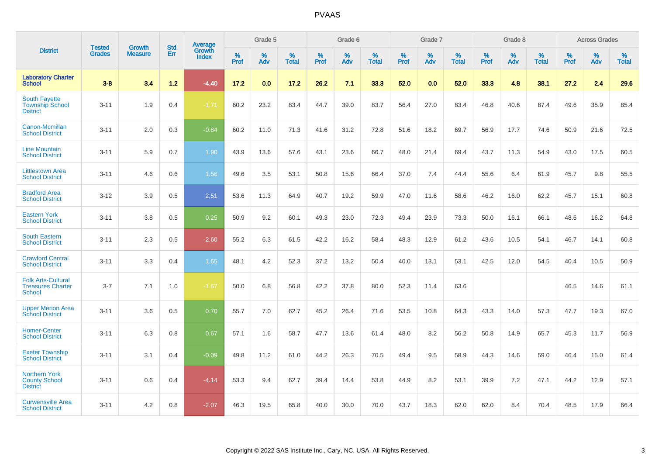|                                                                        | <b>Tested</b> | <b>Growth</b>  | <b>Std</b> | Average                |                     | Grade 5  |                   |           | Grade 6  |                   |           | Grade 7  |                      |           | Grade 8  |                   |           | <b>Across Grades</b> |                   |
|------------------------------------------------------------------------|---------------|----------------|------------|------------------------|---------------------|----------|-------------------|-----------|----------|-------------------|-----------|----------|----------------------|-----------|----------|-------------------|-----------|----------------------|-------------------|
| <b>District</b>                                                        | <b>Grades</b> | <b>Measure</b> | Err        | Growth<br><b>Index</b> | $\%$<br><b>Prof</b> | %<br>Adv | %<br><b>Total</b> | %<br>Prof | %<br>Adv | %<br><b>Total</b> | %<br>Prof | %<br>Adv | $\%$<br><b>Total</b> | %<br>Prof | %<br>Adv | %<br><b>Total</b> | %<br>Prof | %<br>Adv             | %<br><b>Total</b> |
| <b>Laboratory Charter</b><br><b>School</b>                             | $3 - 8$       | 3.4            | $1.2$      | $-4.40$                | 17.2                | 0.0      | 17.2              | 26.2      | 7.1      | 33.3              | 52.0      | 0.0      | 52.0                 | 33.3      | 4.8      | 38.1              | 27.2      | 2.4                  | 29.6              |
| South Fayette<br><b>Township School</b><br><b>District</b>             | $3 - 11$      | 1.9            | 0.4        | $-1.71$                | 60.2                | 23.2     | 83.4              | 44.7      | 39.0     | 83.7              | 56.4      | 27.0     | 83.4                 | 46.8      | 40.6     | 87.4              | 49.6      | 35.9                 | 85.4              |
| Canon-Mcmillan<br><b>School District</b>                               | $3 - 11$      | 2.0            | 0.3        | $-0.84$                | 60.2                | 11.0     | 71.3              | 41.6      | 31.2     | 72.8              | 51.6      | 18.2     | 69.7                 | 56.9      | 17.7     | 74.6              | 50.9      | 21.6                 | 72.5              |
| <b>Line Mountain</b><br><b>School District</b>                         | $3 - 11$      | 5.9            | 0.7        | 1.90                   | 43.9                | 13.6     | 57.6              | 43.1      | 23.6     | 66.7              | 48.0      | 21.4     | 69.4                 | 43.7      | 11.3     | 54.9              | 43.0      | 17.5                 | 60.5              |
| <b>Littlestown Area</b><br><b>School District</b>                      | $3 - 11$      | 4.6            | 0.6        | 1.56                   | 49.6                | 3.5      | 53.1              | 50.8      | 15.6     | 66.4              | 37.0      | 7.4      | 44.4                 | 55.6      | 6.4      | 61.9              | 45.7      | 9.8                  | 55.5              |
| <b>Bradford Area</b><br><b>School District</b>                         | $3 - 12$      | 3.9            | 0.5        | 2.51                   | 53.6                | 11.3     | 64.9              | 40.7      | 19.2     | 59.9              | 47.0      | 11.6     | 58.6                 | 46.2      | 16.0     | 62.2              | 45.7      | 15.1                 | 60.8              |
| <b>Eastern York</b><br><b>School District</b>                          | $3 - 11$      | 3.8            | 0.5        | 0.25                   | 50.9                | 9.2      | 60.1              | 49.3      | 23.0     | 72.3              | 49.4      | 23.9     | 73.3                 | 50.0      | 16.1     | 66.1              | 48.6      | 16.2                 | 64.8              |
| <b>South Eastern</b><br><b>School District</b>                         | $3 - 11$      | 2.3            | 0.5        | $-2.60$                | 55.2                | 6.3      | 61.5              | 42.2      | 16.2     | 58.4              | 48.3      | 12.9     | 61.2                 | 43.6      | 10.5     | 54.1              | 46.7      | 14.1                 | 60.8              |
| <b>Crawford Central</b><br><b>School District</b>                      | $3 - 11$      | 3.3            | 0.4        | 1.65                   | 48.1                | 4.2      | 52.3              | 37.2      | 13.2     | 50.4              | 40.0      | 13.1     | 53.1                 | 42.5      | 12.0     | 54.5              | 40.4      | 10.5                 | 50.9              |
| <b>Folk Arts-Cultural</b><br><b>Treasures Charter</b><br><b>School</b> | $3 - 7$       | 7.1            | 1.0        | $-1.67$                | 50.0                | 6.8      | 56.8              | 42.2      | 37.8     | 80.0              | 52.3      | 11.4     | 63.6                 |           |          |                   | 46.5      | 14.6                 | 61.1              |
| <b>Upper Merion Area</b><br><b>School District</b>                     | $3 - 11$      | 3.6            | 0.5        | 0.70                   | 55.7                | 7.0      | 62.7              | 45.2      | 26.4     | 71.6              | 53.5      | 10.8     | 64.3                 | 43.3      | 14.0     | 57.3              | 47.7      | 19.3                 | 67.0              |
| <b>Homer-Center</b><br><b>School District</b>                          | $3 - 11$      | 6.3            | 0.8        | 0.67                   | 57.1                | 1.6      | 58.7              | 47.7      | 13.6     | 61.4              | 48.0      | 8.2      | 56.2                 | 50.8      | 14.9     | 65.7              | 45.3      | 11.7                 | 56.9              |
| <b>Exeter Township</b><br><b>School District</b>                       | $3 - 11$      | 3.1            | 0.4        | $-0.09$                | 49.8                | 11.2     | 61.0              | 44.2      | 26.3     | 70.5              | 49.4      | 9.5      | 58.9                 | 44.3      | 14.6     | 59.0              | 46.4      | 15.0                 | 61.4              |
| <b>Northern York</b><br><b>County School</b><br><b>District</b>        | $3 - 11$      | 0.6            | 0.4        | $-4.14$                | 53.3                | 9.4      | 62.7              | 39.4      | 14.4     | 53.8              | 44.9      | 8.2      | 53.1                 | 39.9      | 7.2      | 47.1              | 44.2      | 12.9                 | 57.1              |
| <b>Curwensville Area</b><br><b>School District</b>                     | $3 - 11$      | 4.2            | 0.8        | $-2.07$                | 46.3                | 19.5     | 65.8              | 40.0      | 30.0     | 70.0              | 43.7      | 18.3     | 62.0                 | 62.0      | 8.4      | 70.4              | 48.5      | 17.9                 | 66.4              |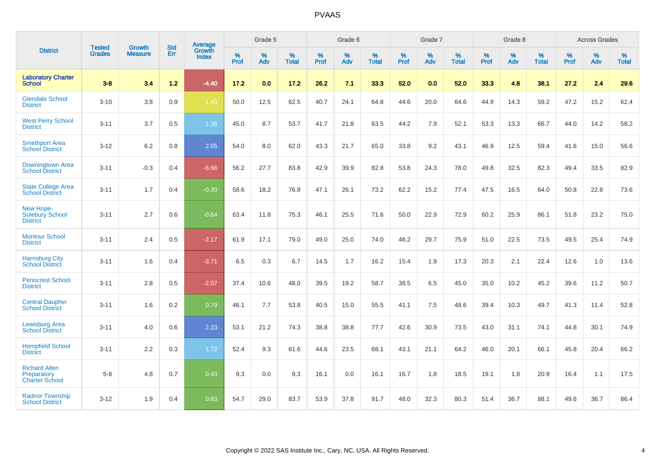|                                                              |                         |                                 | <b>Std</b> | Average                       |           | Grade 5  |                   |           | Grade 6  |                   |           | Grade 7  |                   |           | Grade 8  |                   |           | <b>Across Grades</b> |                   |
|--------------------------------------------------------------|-------------------------|---------------------------------|------------|-------------------------------|-----------|----------|-------------------|-----------|----------|-------------------|-----------|----------|-------------------|-----------|----------|-------------------|-----------|----------------------|-------------------|
| <b>District</b>                                              | <b>Tested</b><br>Grades | <b>Growth</b><br><b>Measure</b> | Err        | <b>Growth</b><br><b>Index</b> | %<br>Prof | %<br>Adv | %<br><b>Total</b> | %<br>Prof | %<br>Adv | %<br><b>Total</b> | %<br>Prof | %<br>Adv | %<br><b>Total</b> | %<br>Prof | %<br>Adv | %<br><b>Total</b> | %<br>Prof | %<br>Adv             | %<br><b>Total</b> |
| <b>Laboratory Charter</b><br><b>School</b>                   | $3 - 8$                 | 3.4                             | $1.2$      | $-4.40$                       | 17.2      | 0.0      | 17.2              | 26.2      | 7.1      | 33.3              | 52.0      | 0.0      | 52.0              | 33.3      | 4.8      | 38.1              | 27.2      | 2.4                  | 29.6              |
| <b>Glendale School</b><br><b>District</b>                    | $3 - 10$                | 3.8                             | 0.9        | $-1.43$                       | 50.0      | 12.5     | 62.5              | 40.7      | 24.1     | 64.8              | 44.6      | 20.0     | 64.6              | 44.9      | 14.3     | 59.2              | 47.2      | 15.2                 | 62.4              |
| <b>West Perry School</b><br><b>District</b>                  | $3 - 11$                | 3.7                             | $0.5\,$    | 1.36                          | 45.0      | 8.7      | 53.7              | 41.7      | 21.8     | 63.5              | 44.2      | 7.9      | 52.1              | 53.3      | 13.3     | 66.7              | 44.0      | 14.2                 | 58.2              |
| <b>Smethport Area</b><br><b>School District</b>              | $3 - 12$                | 6.2                             | 0.8        | 2.05                          | 54.0      | 8.0      | 62.0              | 43.3      | 21.7     | 65.0              | 33.8      | 9.2      | 43.1              | 46.9      | 12.5     | 59.4              | 41.6      | 15.0                 | 56.6              |
| Downingtown Area<br><b>School District</b>                   | $3 - 11$                | $-0.3$                          | 0.4        | $-6.66$                       | 56.2      | 27.7     | 83.8              | 42.9      | 39.9     | 82.8              | 53.8      | 24.3     | 78.0              | 49.8      | 32.5     | 82.3              | 49.4      | 33.5                 | 82.9              |
| <b>State College Area</b><br><b>School District</b>          | $3 - 11$                | 1.7                             | 0.4        | $-0.30$                       | 58.6      | 18.2     | 76.8              | 47.1      | 26.1     | 73.2              | 62.2      | 15.2     | 77.4              | 47.5      | 16.5     | 64.0              | 50.8      | 22.8                 | 73.6              |
| New Hope-<br><b>Solebury School</b><br><b>District</b>       | $3 - 11$                | 2.7                             | 0.6        | $-0.64$                       | 63.4      | 11.8     | 75.3              | 46.1      | 25.5     | 71.6              | 50.0      | 22.9     | 72.9              | 60.2      | 25.9     | 86.1              | 51.8      | 23.2                 | 75.0              |
| <b>Montour School</b><br><b>District</b>                     | $3 - 11$                | 2.4                             | 0.5        | $-2.17$                       | 61.9      | 17.1     | 79.0              | 49.0      | 25.0     | 74.0              | 46.2      | 29.7     | 75.9              | 51.0      | 22.5     | 73.5              | 49.5      | 25.4                 | 74.9              |
| <b>Harrisburg City</b><br><b>School District</b>             | $3 - 11$                | 1.6                             | 0.4        | $-3.71$                       | 6.5       | 0.3      | 6.7               | 14.5      | 1.7      | 16.2              | 15.4      | 1.9      | 17.3              | 20.3      | 2.1      | 22.4              | 12.6      | 1.0                  | 13.6              |
| <b>Penncrest School</b><br><b>District</b>                   | $3 - 11$                | 2.8                             | 0.5        | $-2.07$                       | 37.4      | 10.6     | 48.0              | 39.5      | 19.2     | 58.7              | 38.5      | 6.5      | 45.0              | 35.0      | 10.2     | 45.2              | 39.6      | 11.2                 | 50.7              |
| <b>Central Dauphin</b><br><b>School District</b>             | $3 - 11$                | 1.6                             | 0.2        | 0.79                          | 46.1      | 7.7      | 53.8              | 40.5      | 15.0     | 55.5              | 41.1      | 7.5      | 48.6              | 39.4      | 10.3     | 49.7              | 41.3      | 11.4                 | 52.8              |
| <b>Lewisburg Area</b><br><b>School District</b>              | $3 - 11$                | 4.0                             | 0.6        | 2.23                          | 53.1      | 21.2     | 74.3              | 38.8      | 38.8     | 77.7              | 42.6      | 30.9     | 73.5              | 43.0      | 31.1     | 74.1              | 44.8      | 30.1                 | 74.9              |
| <b>Hempfield School</b><br><b>District</b>                   | $3 - 11$                | 2.2                             | 0.3        | 1.72                          | 52.4      | 9.3      | 61.6              | 44.6      | 23.5     | 68.1              | 43.1      | 21.1     | 64.2              | 46.0      | 20.1     | 66.1              | 45.8      | 20.4                 | 66.2              |
| <b>Richard Allen</b><br>Preparatory<br><b>Charter School</b> | $5-8$                   | 4.8                             | 0.7        | 0.43                          | 9.3       | 0.0      | 9.3               | 16.1      | 0.0      | 16.1              | 16.7      | 1.8      | 18.5              | 19.1      | 1.8      | 20.9              | 16.4      | 1.1                  | 17.5              |
| <b>Radnor Township</b><br><b>School District</b>             | $3 - 12$                | 1.9                             | 0.4        | 0.63                          | 54.7      | 29.0     | 83.7              | 53.9      | 37.8     | 91.7              | 48.0      | 32.3     | 80.3              | 51.4      | 36.7     | 88.1              | 49.6      | 36.7                 | 86.4              |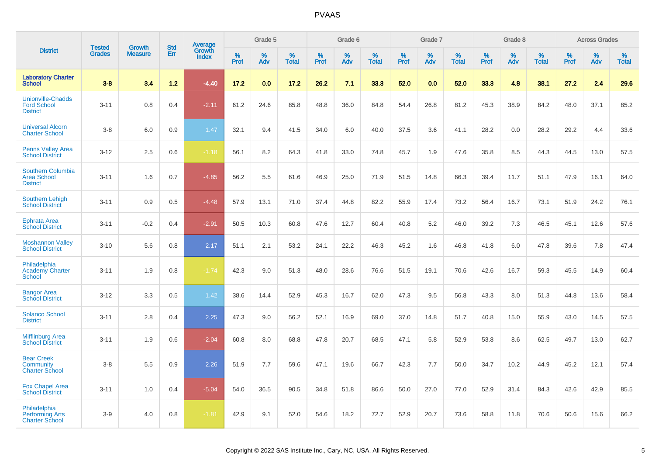|                                                                   |                                |                                 |                   | Average         |                  | Grade 5  |                   |                  | Grade 6  |                   |                  | Grade 7  |                   |           | Grade 8  |                   |                  | <b>Across Grades</b> |                   |
|-------------------------------------------------------------------|--------------------------------|---------------------------------|-------------------|-----------------|------------------|----------|-------------------|------------------|----------|-------------------|------------------|----------|-------------------|-----------|----------|-------------------|------------------|----------------------|-------------------|
| <b>District</b>                                                   | <b>Tested</b><br><b>Grades</b> | <b>Growth</b><br><b>Measure</b> | <b>Std</b><br>Err | Growth<br>Index | %<br><b>Prof</b> | %<br>Adv | %<br><b>Total</b> | %<br><b>Prof</b> | %<br>Adv | %<br><b>Total</b> | %<br><b>Prof</b> | %<br>Adv | %<br><b>Total</b> | %<br>Prof | %<br>Adv | %<br><b>Total</b> | %<br><b>Prof</b> | %<br>Adv             | %<br><b>Total</b> |
| <b>Laboratory Charter</b><br><b>School</b>                        | $3 - 8$                        | 3.4                             | $1.2$             | $-4.40$         | 17.2             | 0.0      | 17.2              | 26.2             | 7.1      | 33.3              | 52.0             | 0.0      | 52.0              | 33.3      | 4.8      | 38.1              | 27.2             | 2.4                  | 29.6              |
| <b>Unionville-Chadds</b><br><b>Ford School</b><br><b>District</b> | $3 - 11$                       | 0.8                             | 0.4               | $-2.11$         | 61.2             | 24.6     | 85.8              | 48.8             | 36.0     | 84.8              | 54.4             | 26.8     | 81.2              | 45.3      | 38.9     | 84.2              | 48.0             | 37.1                 | 85.2              |
| <b>Universal Alcorn</b><br><b>Charter School</b>                  | $3-8$                          | 6.0                             | 0.9               | 1.47            | 32.1             | 9.4      | 41.5              | 34.0             | 6.0      | 40.0              | 37.5             | 3.6      | 41.1              | 28.2      | 0.0      | 28.2              | 29.2             | 4.4                  | 33.6              |
| <b>Penns Valley Area</b><br><b>School District</b>                | $3 - 12$                       | 2.5                             | 0.6               | $-1.18$         | 56.1             | 8.2      | 64.3              | 41.8             | 33.0     | 74.8              | 45.7             | 1.9      | 47.6              | 35.8      | 8.5      | 44.3              | 44.5             | 13.0                 | 57.5              |
| Southern Columbia<br><b>Area School</b><br><b>District</b>        | $3 - 11$                       | 1.6                             | 0.7               | $-4.85$         | 56.2             | 5.5      | 61.6              | 46.9             | 25.0     | 71.9              | 51.5             | 14.8     | 66.3              | 39.4      | 11.7     | 51.1              | 47.9             | 16.1                 | 64.0              |
| <b>Southern Lehigh</b><br><b>School District</b>                  | $3 - 11$                       | 0.9                             | 0.5               | $-4.48$         | 57.9             | 13.1     | 71.0              | 37.4             | 44.8     | 82.2              | 55.9             | 17.4     | 73.2              | 56.4      | 16.7     | 73.1              | 51.9             | 24.2                 | 76.1              |
| <b>Ephrata Area</b><br><b>School District</b>                     | $3 - 11$                       | $-0.2$                          | 0.4               | $-2.91$         | 50.5             | 10.3     | 60.8              | 47.6             | 12.7     | 60.4              | 40.8             | 5.2      | 46.0              | 39.2      | 7.3      | 46.5              | 45.1             | 12.6                 | 57.6              |
| <b>Moshannon Valley</b><br><b>School District</b>                 | $3 - 10$                       | 5.6                             | 0.8               | 2.17            | 51.1             | 2.1      | 53.2              | 24.1             | 22.2     | 46.3              | 45.2             | 1.6      | 46.8              | 41.8      | 6.0      | 47.8              | 39.6             | 7.8                  | 47.4              |
| Philadelphia<br><b>Academy Charter</b><br><b>School</b>           | $3 - 11$                       | 1.9                             | 0.8               | $-1.74$         | 42.3             | 9.0      | 51.3              | 48.0             | 28.6     | 76.6              | 51.5             | 19.1     | 70.6              | 42.6      | 16.7     | 59.3              | 45.5             | 14.9                 | 60.4              |
| <b>Bangor Area</b><br><b>School District</b>                      | $3 - 12$                       | 3.3                             | 0.5               | 1.42            | 38.6             | 14.4     | 52.9              | 45.3             | 16.7     | 62.0              | 47.3             | 9.5      | 56.8              | 43.3      | 8.0      | 51.3              | 44.8             | 13.6                 | 58.4              |
| <b>Solanco School</b><br><b>District</b>                          | $3 - 11$                       | 2.8                             | 0.4               | 2.25            | 47.3             | 9.0      | 56.2              | 52.1             | 16.9     | 69.0              | 37.0             | 14.8     | 51.7              | 40.8      | 15.0     | 55.9              | 43.0             | 14.5                 | 57.5              |
| <b>Mifflinburg Area</b><br><b>School District</b>                 | $3 - 11$                       | 1.9                             | 0.6               | $-2.04$         | 60.8             | 8.0      | 68.8              | 47.8             | 20.7     | 68.5              | 47.1             | 5.8      | 52.9              | 53.8      | 8.6      | 62.5              | 49.7             | 13.0                 | 62.7              |
| <b>Bear Creek</b><br>Community<br><b>Charter School</b>           | $3-8$                          | 5.5                             | 0.9               | 2.26            | 51.9             | 7.7      | 59.6              | 47.1             | 19.6     | 66.7              | 42.3             | 7.7      | 50.0              | 34.7      | 10.2     | 44.9              | 45.2             | 12.1                 | 57.4              |
| <b>Fox Chapel Area</b><br><b>School District</b>                  | $3 - 11$                       | 1.0                             | 0.4               | $-5.04$         | 54.0             | 36.5     | 90.5              | 34.8             | 51.8     | 86.6              | 50.0             | 27.0     | 77.0              | 52.9      | 31.4     | 84.3              | 42.6             | 42.9                 | 85.5              |
| Philadelphia<br><b>Performing Arts</b><br><b>Charter School</b>   | $3-9$                          | 4.0                             | 0.8               | $-1.81$         | 42.9             | 9.1      | 52.0              | 54.6             | 18.2     | 72.7              | 52.9             | 20.7     | 73.6              | 58.8      | 11.8     | 70.6              | 50.6             | 15.6                 | 66.2              |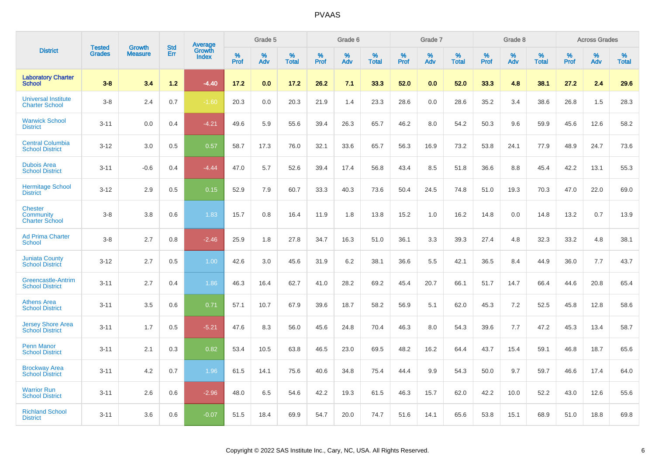|                                                             |                                |                          | <b>Std</b> | <b>Average</b>         |              | Grade 5  |                      |                     | Grade 6     |                      |              | Grade 7     |                   |              | Grade 8     |                   |                     | <b>Across Grades</b> |                   |
|-------------------------------------------------------------|--------------------------------|--------------------------|------------|------------------------|--------------|----------|----------------------|---------------------|-------------|----------------------|--------------|-------------|-------------------|--------------|-------------|-------------------|---------------------|----------------------|-------------------|
| <b>District</b>                                             | <b>Tested</b><br><b>Grades</b> | Growth<br><b>Measure</b> | Err        | Growth<br><b>Index</b> | $\%$<br>Prof | %<br>Adv | $\%$<br><b>Total</b> | $\%$<br><b>Prof</b> | $\%$<br>Adv | $\%$<br><b>Total</b> | $\%$<br>Prof | $\%$<br>Adv | %<br><b>Total</b> | $\%$<br>Prof | $\%$<br>Adv | %<br><b>Total</b> | $\%$<br><b>Prof</b> | $\%$<br>Adv          | %<br><b>Total</b> |
| <b>Laboratory Charter</b><br><b>School</b>                  | $3 - 8$                        | 3.4                      | 1.2        | $-4.40$                | 17.2         | 0.0      | 17.2                 | 26.2                | 7.1         | 33.3                 | 52.0         | 0.0         | 52.0              | 33.3         | 4.8         | 38.1              | 27.2                | 2.4                  | 29.6              |
| <b>Universal Institute</b><br><b>Charter School</b>         | $3 - 8$                        | 2.4                      | 0.7        | $-1.60$                | 20.3         | 0.0      | 20.3                 | 21.9                | 1.4         | 23.3                 | 28.6         | 0.0         | 28.6              | 35.2         | 3.4         | 38.6              | 26.8                | 1.5                  | 28.3              |
| <b>Warwick School</b><br><b>District</b>                    | $3 - 11$                       | 0.0                      | 0.4        | $-4.21$                | 49.6         | 5.9      | 55.6                 | 39.4                | 26.3        | 65.7                 | 46.2         | 8.0         | 54.2              | 50.3         | 9.6         | 59.9              | 45.6                | 12.6                 | 58.2              |
| <b>Central Columbia</b><br><b>School District</b>           | $3 - 12$                       | 3.0                      | 0.5        | 0.57                   | 58.7         | 17.3     | 76.0                 | 32.1                | 33.6        | 65.7                 | 56.3         | 16.9        | 73.2              | 53.8         | 24.1        | 77.9              | 48.9                | 24.7                 | 73.6              |
| <b>Dubois Area</b><br><b>School District</b>                | $3 - 11$                       | $-0.6$                   | 0.4        | $-4.44$                | 47.0         | 5.7      | 52.6                 | 39.4                | 17.4        | 56.8                 | 43.4         | 8.5         | 51.8              | 36.6         | 8.8         | 45.4              | 42.2                | 13.1                 | 55.3              |
| <b>Hermitage School</b><br><b>District</b>                  | $3 - 12$                       | 2.9                      | 0.5        | 0.15                   | 52.9         | 7.9      | 60.7                 | 33.3                | 40.3        | 73.6                 | 50.4         | 24.5        | 74.8              | 51.0         | 19.3        | 70.3              | 47.0                | 22.0                 | 69.0              |
| <b>Chester</b><br><b>Community</b><br><b>Charter School</b> | $3 - 8$                        | 3.8                      | 0.6        | 1.83                   | 15.7         | 0.8      | 16.4                 | 11.9                | 1.8         | 13.8                 | 15.2         | 1.0         | 16.2              | 14.8         | 0.0         | 14.8              | 13.2                | 0.7                  | 13.9              |
| <b>Ad Prima Charter</b><br><b>School</b>                    | $3 - 8$                        | 2.7                      | 0.8        | $-2.46$                | 25.9         | 1.8      | 27.8                 | 34.7                | 16.3        | 51.0                 | 36.1         | 3.3         | 39.3              | 27.4         | 4.8         | 32.3              | 33.2                | 4.8                  | 38.1              |
| <b>Juniata County</b><br><b>School District</b>             | $3 - 12$                       | 2.7                      | 0.5        | 1.00                   | 42.6         | 3.0      | 45.6                 | 31.9                | 6.2         | 38.1                 | 36.6         | 5.5         | 42.1              | 36.5         | 8.4         | 44.9              | 36.0                | 7.7                  | 43.7              |
| Greencastle-Antrim<br><b>School District</b>                | $3 - 11$                       | 2.7                      | 0.4        | 1.86                   | 46.3         | 16.4     | 62.7                 | 41.0                | 28.2        | 69.2                 | 45.4         | 20.7        | 66.1              | 51.7         | 14.7        | 66.4              | 44.6                | 20.8                 | 65.4              |
| <b>Athens Area</b><br><b>School District</b>                | $3 - 11$                       | 3.5                      | 0.6        | 0.71                   | 57.1         | 10.7     | 67.9                 | 39.6                | 18.7        | 58.2                 | 56.9         | 5.1         | 62.0              | 45.3         | 7.2         | 52.5              | 45.8                | 12.8                 | 58.6              |
| <b>Jersey Shore Area</b><br><b>School District</b>          | $3 - 11$                       | 1.7                      | 0.5        | $-5.21$                | 47.6         | 8.3      | 56.0                 | 45.6                | 24.8        | 70.4                 | 46.3         | 8.0         | 54.3              | 39.6         | 7.7         | 47.2              | 45.3                | 13.4                 | 58.7              |
| <b>Penn Manor</b><br><b>School District</b>                 | $3 - 11$                       | 2.1                      | 0.3        | 0.82                   | 53.4         | 10.5     | 63.8                 | 46.5                | 23.0        | 69.5                 | 48.2         | 16.2        | 64.4              | 43.7         | 15.4        | 59.1              | 46.8                | 18.7                 | 65.6              |
| <b>Brockway Area</b><br><b>School District</b>              | $3 - 11$                       | 4.2                      | 0.7        | 1.96                   | 61.5         | 14.1     | 75.6                 | 40.6                | 34.8        | 75.4                 | 44.4         | 9.9         | 54.3              | 50.0         | 9.7         | 59.7              | 46.6                | 17.4                 | 64.0              |
| <b>Warrior Run</b><br><b>School District</b>                | $3 - 11$                       | 2.6                      | 0.6        | $-2.96$                | 48.0         | 6.5      | 54.6                 | 42.2                | 19.3        | 61.5                 | 46.3         | 15.7        | 62.0              | 42.2         | 10.0        | 52.2              | 43.0                | 12.6                 | 55.6              |
| <b>Richland School</b><br><b>District</b>                   | $3 - 11$                       | 3.6                      | 0.6        | $-0.07$                | 51.5         | 18.4     | 69.9                 | 54.7                | 20.0        | 74.7                 | 51.6         | 14.1        | 65.6              | 53.8         | 15.1        | 68.9              | 51.0                | 18.8                 | 69.8              |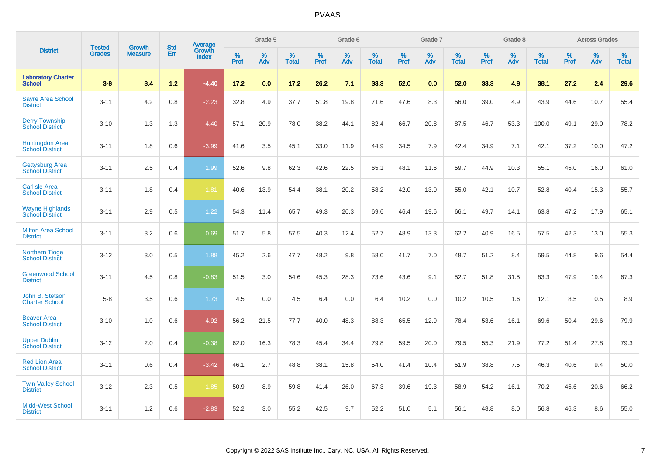|                                                  |                                |                                 | <b>Std</b> | Average                |           | Grade 5  |                   |           | Grade 6  |                   |              | Grade 7  |                   |              | Grade 8  |                   |           | <b>Across Grades</b> |                   |
|--------------------------------------------------|--------------------------------|---------------------------------|------------|------------------------|-----------|----------|-------------------|-----------|----------|-------------------|--------------|----------|-------------------|--------------|----------|-------------------|-----------|----------------------|-------------------|
| <b>District</b>                                  | <b>Tested</b><br><b>Grades</b> | <b>Growth</b><br><b>Measure</b> | Err        | Growth<br><b>Index</b> | %<br>Prof | %<br>Adv | %<br><b>Total</b> | %<br>Prof | %<br>Adv | %<br><b>Total</b> | $\%$<br>Prof | %<br>Adv | %<br><b>Total</b> | $\%$<br>Prof | %<br>Adv | %<br><b>Total</b> | %<br>Prof | %<br>Adv             | %<br><b>Total</b> |
| <b>Laboratory Charter</b><br><b>School</b>       | $3 - 8$                        | 3.4                             | $1.2$      | $-4.40$                | 17.2      | 0.0      | 17.2              | 26.2      | 7.1      | 33.3              | 52.0         | 0.0      | 52.0              | 33.3         | 4.8      | 38.1              | 27.2      | 2.4                  | 29.6              |
| <b>Sayre Area School</b><br><b>District</b>      | $3 - 11$                       | 4.2                             | 0.8        | $-2.23$                | 32.8      | 4.9      | 37.7              | 51.8      | 19.8     | 71.6              | 47.6         | 8.3      | 56.0              | 39.0         | 4.9      | 43.9              | 44.6      | 10.7                 | 55.4              |
| <b>Derry Township</b><br><b>School District</b>  | $3 - 10$                       | $-1.3$                          | 1.3        | $-4.40$                | 57.1      | 20.9     | 78.0              | 38.2      | 44.1     | 82.4              | 66.7         | 20.8     | 87.5              | 46.7         | 53.3     | 100.0             | 49.1      | 29.0                 | 78.2              |
| Huntingdon Area<br>School District               | $3 - 11$                       | 1.8                             | 0.6        | $-3.99$                | 41.6      | 3.5      | 45.1              | 33.0      | 11.9     | 44.9              | 34.5         | 7.9      | 42.4              | 34.9         | 7.1      | 42.1              | 37.2      | 10.0                 | 47.2              |
| <b>Gettysburg Area</b><br><b>School District</b> | $3 - 11$                       | 2.5                             | 0.4        | 1.99                   | 52.6      | 9.8      | 62.3              | 42.6      | 22.5     | 65.1              | 48.1         | 11.6     | 59.7              | 44.9         | 10.3     | 55.1              | 45.0      | 16.0                 | 61.0              |
| <b>Carlisle Area</b><br><b>School District</b>   | $3 - 11$                       | 1.8                             | 0.4        | $-1.81$                | 40.6      | 13.9     | 54.4              | 38.1      | 20.2     | 58.2              | 42.0         | 13.0     | 55.0              | 42.1         | 10.7     | 52.8              | 40.4      | 15.3                 | 55.7              |
| <b>Wayne Highlands</b><br><b>School District</b> | $3 - 11$                       | 2.9                             | 0.5        | 1.22                   | 54.3      | 11.4     | 65.7              | 49.3      | 20.3     | 69.6              | 46.4         | 19.6     | 66.1              | 49.7         | 14.1     | 63.8              | 47.2      | 17.9                 | 65.1              |
| <b>Milton Area School</b><br><b>District</b>     | $3 - 11$                       | 3.2                             | 0.6        | 0.69                   | 51.7      | 5.8      | 57.5              | 40.3      | 12.4     | 52.7              | 48.9         | 13.3     | 62.2              | 40.9         | 16.5     | 57.5              | 42.3      | 13.0                 | 55.3              |
| <b>Northern Tioga</b><br><b>School District</b>  | $3 - 12$                       | 3.0                             | 0.5        | 1.88                   | 45.2      | 2.6      | 47.7              | 48.2      | 9.8      | 58.0              | 41.7         | 7.0      | 48.7              | 51.2         | 8.4      | 59.5              | 44.8      | 9.6                  | 54.4              |
| <b>Greenwood School</b><br><b>District</b>       | $3 - 11$                       | 4.5                             | 0.8        | $-0.83$                | 51.5      | 3.0      | 54.6              | 45.3      | 28.3     | 73.6              | 43.6         | 9.1      | 52.7              | 51.8         | 31.5     | 83.3              | 47.9      | 19.4                 | 67.3              |
| John B. Stetson<br><b>Charter School</b>         | $5 - 8$                        | 3.5                             | 0.6        | 1.73                   | 4.5       | 0.0      | 4.5               | 6.4       | 0.0      | 6.4               | 10.2         | 0.0      | 10.2              | 10.5         | 1.6      | 12.1              | 8.5       | 0.5                  | 8.9               |
| <b>Beaver Area</b><br><b>School District</b>     | $3 - 10$                       | $-1.0$                          | 0.6        | $-4.92$                | 56.2      | 21.5     | 77.7              | 40.0      | 48.3     | 88.3              | 65.5         | 12.9     | 78.4              | 53.6         | 16.1     | 69.6              | 50.4      | 29.6                 | 79.9              |
| <b>Upper Dublin</b><br><b>School District</b>    | $3 - 12$                       | 2.0                             | 0.4        | $-0.38$                | 62.0      | 16.3     | 78.3              | 45.4      | 34.4     | 79.8              | 59.5         | 20.0     | 79.5              | 55.3         | 21.9     | 77.2              | 51.4      | 27.8                 | 79.3              |
| <b>Red Lion Area</b><br><b>School District</b>   | $3 - 11$                       | 0.6                             | 0.4        | $-3.42$                | 46.1      | 2.7      | 48.8              | 38.1      | 15.8     | 54.0              | 41.4         | 10.4     | 51.9              | 38.8         | 7.5      | 46.3              | 40.6      | 9.4                  | 50.0              |
| <b>Twin Valley School</b><br><b>District</b>     | $3 - 12$                       | 2.3                             | 0.5        | $-1.85$                | 50.9      | 8.9      | 59.8              | 41.4      | 26.0     | 67.3              | 39.6         | 19.3     | 58.9              | 54.2         | 16.1     | 70.2              | 45.6      | 20.6                 | 66.2              |
| <b>Midd-West School</b><br><b>District</b>       | $3 - 11$                       | 1.2                             | 0.6        | $-2.83$                | 52.2      | 3.0      | 55.2              | 42.5      | 9.7      | 52.2              | 51.0         | 5.1      | 56.1              | 48.8         | 8.0      | 56.8              | 46.3      | 8.6                  | 55.0              |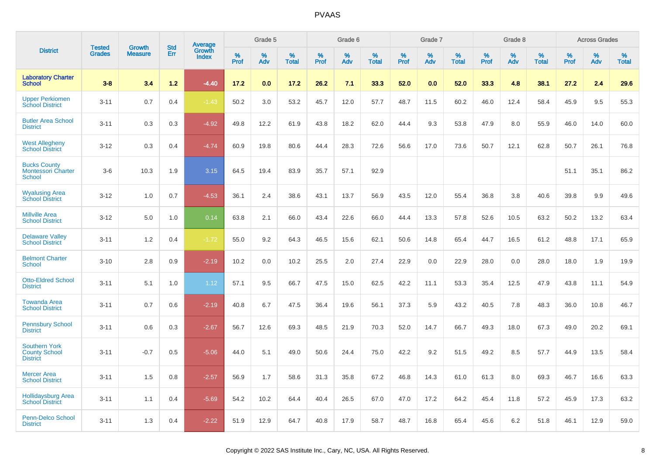|                                                                 | <b>Tested</b> | <b>Growth</b>  | <b>Std</b> | <b>Average</b>         |              | Grade 5  |                   |              | Grade 6  |                   |              | Grade 7  |                   |              | Grade 8  |                   |              | <b>Across Grades</b> |                   |
|-----------------------------------------------------------------|---------------|----------------|------------|------------------------|--------------|----------|-------------------|--------------|----------|-------------------|--------------|----------|-------------------|--------------|----------|-------------------|--------------|----------------------|-------------------|
| <b>District</b>                                                 | <b>Grades</b> | <b>Measure</b> | Err        | Growth<br><b>Index</b> | $\%$<br>Prof | %<br>Adv | %<br><b>Total</b> | $\%$<br>Prof | %<br>Adv | %<br><b>Total</b> | $\%$<br>Prof | %<br>Adv | %<br><b>Total</b> | $\%$<br>Prof | %<br>Adv | %<br><b>Total</b> | $\%$<br>Prof | %<br>Adv             | %<br><b>Total</b> |
| <b>Laboratory Charter</b><br><b>School</b>                      | $3 - 8$       | 3.4            | $1.2$      | $-4.40$                | 17.2         | 0.0      | 17.2              | 26.2         | 7.1      | 33.3              | 52.0         | 0.0      | 52.0              | 33.3         | 4.8      | 38.1              | 27.2         | 2.4                  | 29.6              |
| <b>Upper Perkiomen</b><br><b>School District</b>                | $3 - 11$      | 0.7            | 0.4        | $-1.43$                | 50.2         | 3.0      | 53.2              | 45.7         | 12.0     | 57.7              | 48.7         | 11.5     | 60.2              | 46.0         | 12.4     | 58.4              | 45.9         | 9.5                  | 55.3              |
| <b>Butler Area School</b><br><b>District</b>                    | $3 - 11$      | 0.3            | 0.3        | $-4.92$                | 49.8         | 12.2     | 61.9              | 43.8         | 18.2     | 62.0              | 44.4         | 9.3      | 53.8              | 47.9         | 8.0      | 55.9              | 46.0         | 14.0                 | 60.0              |
| <b>West Allegheny</b><br><b>School District</b>                 | $3 - 12$      | 0.3            | 0.4        | $-4.74$                | 60.9         | 19.8     | 80.6              | 44.4         | 28.3     | 72.6              | 56.6         | 17.0     | 73.6              | 50.7         | 12.1     | 62.8              | 50.7         | 26.1                 | 76.8              |
| <b>Bucks County</b><br><b>Montessori Charter</b><br>School      | $3-6$         | 10.3           | 1.9        | 3.15                   | 64.5         | 19.4     | 83.9              | 35.7         | 57.1     | 92.9              |              |          |                   |              |          |                   | 51.1         | 35.1                 | 86.2              |
| <b>Wyalusing Area</b><br><b>School District</b>                 | $3 - 12$      | 1.0            | 0.7        | $-4.53$                | 36.1         | 2.4      | 38.6              | 43.1         | 13.7     | 56.9              | 43.5         | 12.0     | 55.4              | 36.8         | 3.8      | 40.6              | 39.8         | 9.9                  | 49.6              |
| <b>Millville Area</b><br><b>School District</b>                 | $3 - 12$      | 5.0            | 1.0        | 0.14                   | 63.8         | 2.1      | 66.0              | 43.4         | 22.6     | 66.0              | 44.4         | 13.3     | 57.8              | 52.6         | 10.5     | 63.2              | 50.2         | 13.2                 | 63.4              |
| <b>Delaware Valley</b><br><b>School District</b>                | $3 - 11$      | 1.2            | 0.4        | $-1.72$                | 55.0         | 9.2      | 64.3              | 46.5         | 15.6     | 62.1              | 50.6         | 14.8     | 65.4              | 44.7         | 16.5     | 61.2              | 48.8         | 17.1                 | 65.9              |
| <b>Belmont Charter</b><br><b>School</b>                         | $3 - 10$      | 2.8            | 0.9        | $-2.19$                | 10.2         | 0.0      | 10.2              | 25.5         | 2.0      | 27.4              | 22.9         | 0.0      | 22.9              | 28.0         | 0.0      | 28.0              | 18.0         | 1.9                  | 19.9              |
| <b>Otto-Eldred School</b><br><b>District</b>                    | $3 - 11$      | 5.1            | 1.0        | 1.12                   | 57.1         | 9.5      | 66.7              | 47.5         | 15.0     | 62.5              | 42.2         | 11.1     | 53.3              | 35.4         | 12.5     | 47.9              | 43.8         | 11.1                 | 54.9              |
| <b>Towanda Area</b><br><b>School District</b>                   | $3 - 11$      | 0.7            | 0.6        | $-2.19$                | 40.8         | 6.7      | 47.5              | 36.4         | 19.6     | 56.1              | 37.3         | 5.9      | 43.2              | 40.5         | 7.8      | 48.3              | 36.0         | 10.8                 | 46.7              |
| <b>Pennsbury School</b><br><b>District</b>                      | $3 - 11$      | 0.6            | 0.3        | $-2.67$                | 56.7         | 12.6     | 69.3              | 48.5         | 21.9     | 70.3              | 52.0         | 14.7     | 66.7              | 49.3         | 18.0     | 67.3              | 49.0         | 20.2                 | 69.1              |
| <b>Southern York</b><br><b>County School</b><br><b>District</b> | $3 - 11$      | $-0.7$         | 0.5        | $-5.06$                | 44.0         | 5.1      | 49.0              | 50.6         | 24.4     | 75.0              | 42.2         | 9.2      | 51.5              | 49.2         | 8.5      | 57.7              | 44.9         | 13.5                 | 58.4              |
| <b>Mercer Area</b><br><b>School District</b>                    | $3 - 11$      | 1.5            | 0.8        | $-2.57$                | 56.9         | 1.7      | 58.6              | 31.3         | 35.8     | 67.2              | 46.8         | 14.3     | 61.0              | 61.3         | 8.0      | 69.3              | 46.7         | 16.6                 | 63.3              |
| <b>Hollidaysburg Area</b><br><b>School District</b>             | $3 - 11$      | 1.1            | 0.4        | $-5.69$                | 54.2         | 10.2     | 64.4              | 40.4         | 26.5     | 67.0              | 47.0         | 17.2     | 64.2              | 45.4         | 11.8     | 57.2              | 45.9         | 17.3                 | 63.2              |
| <b>Penn-Delco School</b><br><b>District</b>                     | $3 - 11$      | 1.3            | 0.4        | $-2.22$                | 51.9         | 12.9     | 64.7              | 40.8         | 17.9     | 58.7              | 48.7         | 16.8     | 65.4              | 45.6         | 6.2      | 51.8              | 46.1         | 12.9                 | 59.0              |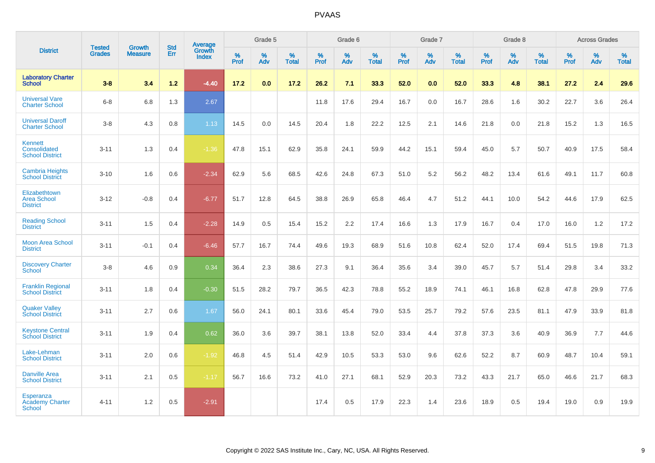|                                                          |                                |                                 | <b>Std</b> | Average                |           | Grade 5  |                   |           | Grade 6  |                   |           | Grade 7  |                   |           | Grade 8  |                   |           | <b>Across Grades</b> |                   |
|----------------------------------------------------------|--------------------------------|---------------------------------|------------|------------------------|-----------|----------|-------------------|-----------|----------|-------------------|-----------|----------|-------------------|-----------|----------|-------------------|-----------|----------------------|-------------------|
| <b>District</b>                                          | <b>Tested</b><br><b>Grades</b> | <b>Growth</b><br><b>Measure</b> | Err        | Growth<br><b>Index</b> | %<br>Prof | %<br>Adv | %<br><b>Total</b> | %<br>Prof | %<br>Adv | %<br><b>Total</b> | %<br>Prof | %<br>Adv | %<br><b>Total</b> | %<br>Prof | %<br>Adv | %<br><b>Total</b> | %<br>Prof | %<br>Adv             | %<br><b>Total</b> |
| <b>Laboratory Charter</b><br><b>School</b>               | $3 - 8$                        | 3.4                             | 1.2        | $-4.40$                | 17.2      | 0.0      | 17.2              | 26.2      | 7.1      | 33.3              | 52.0      | 0.0      | 52.0              | 33.3      | 4.8      | 38.1              | 27.2      | 2.4                  | 29.6              |
| <b>Universal Vare</b><br><b>Charter School</b>           | $6 - 8$                        | 6.8                             | 1.3        | 2.67                   |           |          |                   | 11.8      | 17.6     | 29.4              | 16.7      | 0.0      | 16.7              | 28.6      | 1.6      | 30.2              | 22.7      | 3.6                  | 26.4              |
| <b>Universal Daroff</b><br><b>Charter School</b>         | $3-8$                          | 4.3                             | 0.8        | 1.13                   | 14.5      | 0.0      | 14.5              | 20.4      | 1.8      | 22.2              | 12.5      | 2.1      | 14.6              | 21.8      | 0.0      | 21.8              | 15.2      | 1.3                  | 16.5              |
| <b>Kennett</b><br>Consolidated<br><b>School District</b> | $3 - 11$                       | 1.3                             | 0.4        | $-1.36$                | 47.8      | 15.1     | 62.9              | 35.8      | 24.1     | 59.9              | 44.2      | 15.1     | 59.4              | 45.0      | 5.7      | 50.7              | 40.9      | 17.5                 | 58.4              |
| <b>Cambria Heights</b><br><b>School District</b>         | $3 - 10$                       | 1.6                             | 0.6        | $-2.34$                | 62.9      | 5.6      | 68.5              | 42.6      | 24.8     | 67.3              | 51.0      | 5.2      | 56.2              | 48.2      | 13.4     | 61.6              | 49.1      | 11.7                 | 60.8              |
| Elizabethtown<br><b>Area School</b><br><b>District</b>   | $3 - 12$                       | $-0.8$                          | 0.4        | $-6.77$                | 51.7      | 12.8     | 64.5              | 38.8      | 26.9     | 65.8              | 46.4      | 4.7      | 51.2              | 44.1      | 10.0     | 54.2              | 44.6      | 17.9                 | 62.5              |
| <b>Reading School</b><br><b>District</b>                 | $3 - 11$                       | 1.5                             | 0.4        | $-2.28$                | 14.9      | 0.5      | 15.4              | 15.2      | 2.2      | 17.4              | 16.6      | 1.3      | 17.9              | 16.7      | 0.4      | 17.0              | 16.0      | 1.2                  | 17.2              |
| <b>Moon Area School</b><br><b>District</b>               | $3 - 11$                       | $-0.1$                          | 0.4        | $-6.46$                | 57.7      | 16.7     | 74.4              | 49.6      | 19.3     | 68.9              | 51.6      | 10.8     | 62.4              | 52.0      | 17.4     | 69.4              | 51.5      | 19.8                 | 71.3              |
| <b>Discovery Charter</b><br><b>School</b>                | $3 - 8$                        | 4.6                             | 0.9        | 0.34                   | 36.4      | 2.3      | 38.6              | 27.3      | 9.1      | 36.4              | 35.6      | 3.4      | 39.0              | 45.7      | 5.7      | 51.4              | 29.8      | 3.4                  | 33.2              |
| <b>Franklin Regional</b><br><b>School District</b>       | $3 - 11$                       | 1.8                             | 0.4        | $-0.30$                | 51.5      | 28.2     | 79.7              | 36.5      | 42.3     | 78.8              | 55.2      | 18.9     | 74.1              | 46.1      | 16.8     | 62.8              | 47.8      | 29.9                 | 77.6              |
| <b>Quaker Valley</b><br><b>School District</b>           | $3 - 11$                       | 2.7                             | 0.6        | 1.67                   | 56.0      | 24.1     | 80.1              | 33.6      | 45.4     | 79.0              | 53.5      | 25.7     | 79.2              | 57.6      | 23.5     | 81.1              | 47.9      | 33.9                 | 81.8              |
| <b>Keystone Central</b><br><b>School District</b>        | $3 - 11$                       | 1.9                             | 0.4        | 0.62                   | 36.0      | 3.6      | 39.7              | 38.1      | 13.8     | 52.0              | 33.4      | 4.4      | 37.8              | 37.3      | 3.6      | 40.9              | 36.9      | 7.7                  | 44.6              |
| Lake-Lehman<br><b>School District</b>                    | $3 - 11$                       | 2.0                             | 0.6        | $-1.92$                | 46.8      | 4.5      | 51.4              | 42.9      | 10.5     | 53.3              | 53.0      | 9.6      | 62.6              | 52.2      | 8.7      | 60.9              | 48.7      | 10.4                 | 59.1              |
| <b>Danville Area</b><br><b>School District</b>           | $3 - 11$                       | 2.1                             | 0.5        | $-1.17$                | 56.7      | 16.6     | 73.2              | 41.0      | 27.1     | 68.1              | 52.9      | 20.3     | 73.2              | 43.3      | 21.7     | 65.0              | 46.6      | 21.7                 | 68.3              |
| Esperanza<br><b>Academy Charter</b><br><b>School</b>     | $4 - 11$                       | 1.2                             | 0.5        | $-2.91$                |           |          |                   | 17.4      | 0.5      | 17.9              | 22.3      | 1.4      | 23.6              | 18.9      | 0.5      | 19.4              | 19.0      | 0.9                  | 19.9              |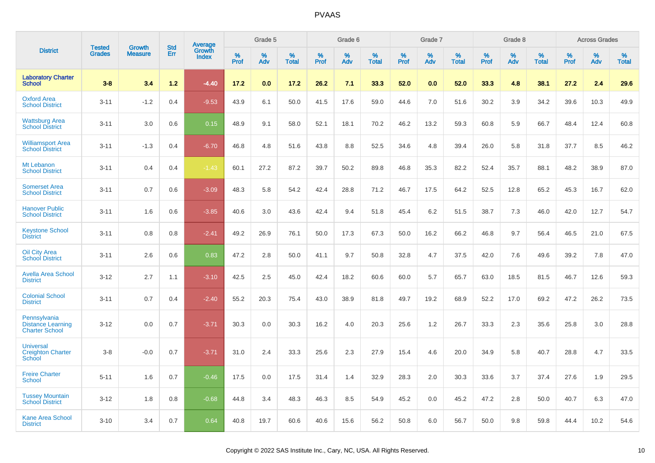|                                                                   | <b>Tested</b> |                                 | <b>Std</b> |                                          |                     | Grade 5  |                   |              | Grade 6  |                   |              | Grade 7  |                   |              | Grade 8  |                   |           | <b>Across Grades</b> |                   |
|-------------------------------------------------------------------|---------------|---------------------------------|------------|------------------------------------------|---------------------|----------|-------------------|--------------|----------|-------------------|--------------|----------|-------------------|--------------|----------|-------------------|-----------|----------------------|-------------------|
| <b>District</b>                                                   | <b>Grades</b> | <b>Growth</b><br><b>Measure</b> | Err        | <b>Average</b><br>Growth<br><b>Index</b> | $\%$<br><b>Prof</b> | %<br>Adv | %<br><b>Total</b> | $\%$<br>Prof | %<br>Adv | %<br><b>Total</b> | $\%$<br>Prof | %<br>Adv | %<br><b>Total</b> | $\%$<br>Prof | %<br>Adv | %<br><b>Total</b> | %<br>Prof | %<br>Adv             | %<br><b>Total</b> |
| <b>Laboratory Charter</b><br><b>School</b>                        | $3 - 8$       | 3.4                             | 1.2        | $-4.40$                                  | 17.2                | 0.0      | 17.2              | 26.2         | 7.1      | 33.3              | 52.0         | 0.0      | 52.0              | 33.3         | 4.8      | 38.1              | 27.2      | 2.4                  | 29.6              |
| <b>Oxford Area</b><br><b>School District</b>                      | $3 - 11$      | $-1.2$                          | 0.4        | $-9.53$                                  | 43.9                | 6.1      | 50.0              | 41.5         | 17.6     | 59.0              | 44.6         | 7.0      | 51.6              | 30.2         | 3.9      | 34.2              | 39.6      | 10.3                 | 49.9              |
| <b>Wattsburg Area</b><br><b>School District</b>                   | $3 - 11$      | 3.0                             | 0.6        | 0.15                                     | 48.9                | 9.1      | 58.0              | 52.1         | 18.1     | 70.2              | 46.2         | 13.2     | 59.3              | 60.8         | 5.9      | 66.7              | 48.4      | 12.4                 | 60.8              |
| <b>Williamsport Area</b><br><b>School District</b>                | $3 - 11$      | $-1.3$                          | 0.4        | $-6.70$                                  | 46.8                | 4.8      | 51.6              | 43.8         | 8.8      | 52.5              | 34.6         | 4.8      | 39.4              | 26.0         | 5.8      | 31.8              | 37.7      | 8.5                  | 46.2              |
| Mt Lebanon<br><b>School District</b>                              | $3 - 11$      | 0.4                             | 0.4        | $-1.43$                                  | 60.1                | 27.2     | 87.2              | 39.7         | 50.2     | 89.8              | 46.8         | 35.3     | 82.2              | 52.4         | 35.7     | 88.1              | 48.2      | 38.9                 | 87.0              |
| <b>Somerset Area</b><br><b>School District</b>                    | $3 - 11$      | 0.7                             | 0.6        | $-3.09$                                  | 48.3                | 5.8      | 54.2              | 42.4         | 28.8     | 71.2              | 46.7         | 17.5     | 64.2              | 52.5         | 12.8     | 65.2              | 45.3      | 16.7                 | 62.0              |
| <b>Hanover Public</b><br><b>School District</b>                   | $3 - 11$      | 1.6                             | 0.6        | $-3.85$                                  | 40.6                | 3.0      | 43.6              | 42.4         | 9.4      | 51.8              | 45.4         | 6.2      | 51.5              | 38.7         | 7.3      | 46.0              | 42.0      | 12.7                 | 54.7              |
| <b>Keystone School</b><br><b>District</b>                         | $3 - 11$      | 0.8                             | 0.8        | $-2.41$                                  | 49.2                | 26.9     | 76.1              | 50.0         | 17.3     | 67.3              | 50.0         | 16.2     | 66.2              | 46.8         | 9.7      | 56.4              | 46.5      | 21.0                 | 67.5              |
| <b>Oil City Area</b><br><b>School District</b>                    | $3 - 11$      | 2.6                             | 0.6        | 0.83                                     | 47.2                | 2.8      | 50.0              | 41.1         | 9.7      | 50.8              | 32.8         | 4.7      | 37.5              | 42.0         | 7.6      | 49.6              | 39.2      | 7.8                  | 47.0              |
| <b>Avella Area School</b><br><b>District</b>                      | $3 - 12$      | 2.7                             | 1.1        | $-3.10$                                  | 42.5                | 2.5      | 45.0              | 42.4         | 18.2     | 60.6              | 60.0         | 5.7      | 65.7              | 63.0         | 18.5     | 81.5              | 46.7      | 12.6                 | 59.3              |
| <b>Colonial School</b><br><b>District</b>                         | $3 - 11$      | 0.7                             | 0.4        | $-2.40$                                  | 55.2                | 20.3     | 75.4              | 43.0         | 38.9     | 81.8              | 49.7         | 19.2     | 68.9              | 52.2         | 17.0     | 69.2              | 47.2      | 26.2                 | 73.5              |
| Pennsylvania<br><b>Distance Learning</b><br><b>Charter School</b> | $3 - 12$      | 0.0                             | 0.7        | $-3.71$                                  | 30.3                | 0.0      | 30.3              | 16.2         | 4.0      | 20.3              | 25.6         | 1.2      | 26.7              | 33.3         | 2.3      | 35.6              | 25.8      | 3.0                  | 28.8              |
| <b>Universal</b><br><b>Creighton Charter</b><br>School            | $3-8$         | $-0.0$                          | 0.7        | $-3.71$                                  | 31.0                | 2.4      | 33.3              | 25.6         | 2.3      | 27.9              | 15.4         | 4.6      | 20.0              | 34.9         | 5.8      | 40.7              | 28.8      | 4.7                  | 33.5              |
| <b>Freire Charter</b><br><b>School</b>                            | $5 - 11$      | 1.6                             | 0.7        | $-0.46$                                  | 17.5                | 0.0      | 17.5              | 31.4         | 1.4      | 32.9              | 28.3         | 2.0      | 30.3              | 33.6         | 3.7      | 37.4              | 27.6      | 1.9                  | 29.5              |
| <b>Tussey Mountain</b><br><b>School District</b>                  | $3 - 12$      | 1.8                             | 0.8        | $-0.68$                                  | 44.8                | 3.4      | 48.3              | 46.3         | 8.5      | 54.9              | 45.2         | 0.0      | 45.2              | 47.2         | 2.8      | 50.0              | 40.7      | 6.3                  | 47.0              |
| <b>Kane Area School</b><br><b>District</b>                        | $3 - 10$      | 3.4                             | 0.7        | 0.64                                     | 40.8                | 19.7     | 60.6              | 40.6         | 15.6     | 56.2              | 50.8         | 6.0      | 56.7              | 50.0         | 9.8      | 59.8              | 44.4      | 10.2                 | 54.6              |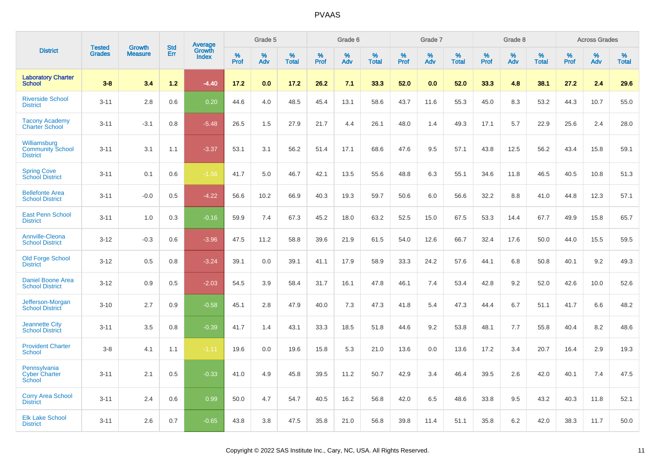|                                                            | <b>Tested</b> | <b>Growth</b>  | <b>Std</b> | Average         |              | Grade 5  |                   |              | Grade 6  |                   |              | Grade 7  |                   |              | Grade 8  |                   |              | <b>Across Grades</b> |                   |
|------------------------------------------------------------|---------------|----------------|------------|-----------------|--------------|----------|-------------------|--------------|----------|-------------------|--------------|----------|-------------------|--------------|----------|-------------------|--------------|----------------------|-------------------|
| <b>District</b>                                            | <b>Grades</b> | <b>Measure</b> | Err        | Growth<br>Index | $\%$<br>Prof | %<br>Adv | %<br><b>Total</b> | $\%$<br>Prof | %<br>Adv | %<br><b>Total</b> | $\%$<br>Prof | %<br>Adv | %<br><b>Total</b> | $\%$<br>Prof | %<br>Adv | %<br><b>Total</b> | $\%$<br>Prof | %<br>Adv             | %<br><b>Total</b> |
| <b>Laboratory Charter</b><br><b>School</b>                 | $3 - 8$       | 3.4            | 1.2        | $-4.40$         | 17.2         | 0.0      | 17.2              | 26.2         | 7.1      | 33.3              | 52.0         | 0.0      | 52.0              | 33.3         | 4.8      | 38.1              | 27.2         | 2.4                  | 29.6              |
| <b>Riverside School</b><br><b>District</b>                 | $3 - 11$      | 2.8            | 0.6        | 0.20            | 44.6         | 4.0      | 48.5              | 45.4         | 13.1     | 58.6              | 43.7         | 11.6     | 55.3              | 45.0         | 8.3      | 53.2              | 44.3         | 10.7                 | 55.0              |
| <b>Tacony Academy</b><br><b>Charter School</b>             | $3 - 11$      | $-3.1$         | 0.8        | $-5.48$         | 26.5         | 1.5      | 27.9              | 21.7         | 4.4      | 26.1              | 48.0         | 1.4      | 49.3              | 17.1         | 5.7      | 22.9              | 25.6         | 2.4                  | 28.0              |
| Williamsburg<br><b>Community School</b><br><b>District</b> | $3 - 11$      | 3.1            | 1.1        | $-3.37$         | 53.1         | 3.1      | 56.2              | 51.4         | 17.1     | 68.6              | 47.6         | 9.5      | 57.1              | 43.8         | 12.5     | 56.2              | 43.4         | 15.8                 | 59.1              |
| <b>Spring Cove</b><br><b>School District</b>               | $3 - 11$      | 0.1            | 0.6        | $-1.56$         | 41.7         | 5.0      | 46.7              | 42.1         | 13.5     | 55.6              | 48.8         | 6.3      | 55.1              | 34.6         | 11.8     | 46.5              | 40.5         | 10.8                 | 51.3              |
| <b>Bellefonte Area</b><br><b>School District</b>           | $3 - 11$      | $-0.0$         | 0.5        | $-4.22$         | 56.6         | 10.2     | 66.9              | 40.3         | 19.3     | 59.7              | 50.6         | 6.0      | 56.6              | 32.2         | 8.8      | 41.0              | 44.8         | 12.3                 | 57.1              |
| <b>East Penn School</b><br><b>District</b>                 | $3 - 11$      | 1.0            | 0.3        | $-0.16$         | 59.9         | 7.4      | 67.3              | 45.2         | 18.0     | 63.2              | 52.5         | 15.0     | 67.5              | 53.3         | 14.4     | 67.7              | 49.9         | 15.8                 | 65.7              |
| <b>Annville-Cleona</b><br><b>School District</b>           | $3 - 12$      | $-0.3$         | 0.6        | $-3.96$         | 47.5         | 11.2     | 58.8              | 39.6         | 21.9     | 61.5              | 54.0         | 12.6     | 66.7              | 32.4         | 17.6     | 50.0              | 44.0         | 15.5                 | 59.5              |
| <b>Old Forge School</b><br><b>District</b>                 | $3 - 12$      | 0.5            | 0.8        | $-3.24$         | 39.1         | 0.0      | 39.1              | 41.1         | 17.9     | 58.9              | 33.3         | 24.2     | 57.6              | 44.1         | 6.8      | 50.8              | 40.1         | 9.2                  | 49.3              |
| <b>Daniel Boone Area</b><br><b>School District</b>         | $3 - 12$      | 0.9            | 0.5        | $-2.03$         | 54.5         | 3.9      | 58.4              | 31.7         | 16.1     | 47.8              | 46.1         | 7.4      | 53.4              | 42.8         | 9.2      | 52.0              | 42.6         | 10.0                 | 52.6              |
| Jefferson-Morgan<br><b>School District</b>                 | $3 - 10$      | 2.7            | 0.9        | $-0.58$         | 45.1         | 2.8      | 47.9              | 40.0         | 7.3      | 47.3              | 41.8         | 5.4      | 47.3              | 44.4         | 6.7      | 51.1              | 41.7         | 6.6                  | 48.2              |
| <b>Jeannette City</b><br><b>School District</b>            | $3 - 11$      | 3.5            | 0.8        | $-0.39$         | 41.7         | 1.4      | 43.1              | 33.3         | 18.5     | 51.8              | 44.6         | 9.2      | 53.8              | 48.1         | 7.7      | 55.8              | 40.4         | 8.2                  | 48.6              |
| <b>Provident Charter</b><br><b>School</b>                  | $3 - 8$       | 4.1            | 1.1        | $-1.11$         | 19.6         | 0.0      | 19.6              | 15.8         | 5.3      | 21.0              | 13.6         | 0.0      | 13.6              | 17.2         | 3.4      | 20.7              | 16.4         | 2.9                  | 19.3              |
| Pennsylvania<br><b>Cyber Charter</b><br>School             | $3 - 11$      | 2.1            | 0.5        | $-0.33$         | 41.0         | 4.9      | 45.8              | 39.5         | 11.2     | 50.7              | 42.9         | 3.4      | 46.4              | 39.5         | 2.6      | 42.0              | 40.1         | 7.4                  | 47.5              |
| <b>Corry Area School</b><br><b>District</b>                | $3 - 11$      | 2.4            | 0.6        | 0.99            | 50.0         | 4.7      | 54.7              | 40.5         | 16.2     | 56.8              | 42.0         | 6.5      | 48.6              | 33.8         | 9.5      | 43.2              | 40.3         | 11.8                 | 52.1              |
| <b>Elk Lake School</b><br><b>District</b>                  | $3 - 11$      | 2.6            | 0.7        | $-0.65$         | 43.8         | 3.8      | 47.5              | 35.8         | 21.0     | 56.8              | 39.8         | 11.4     | 51.1              | 35.8         | 6.2      | 42.0              | 38.3         | 11.7                 | 50.0              |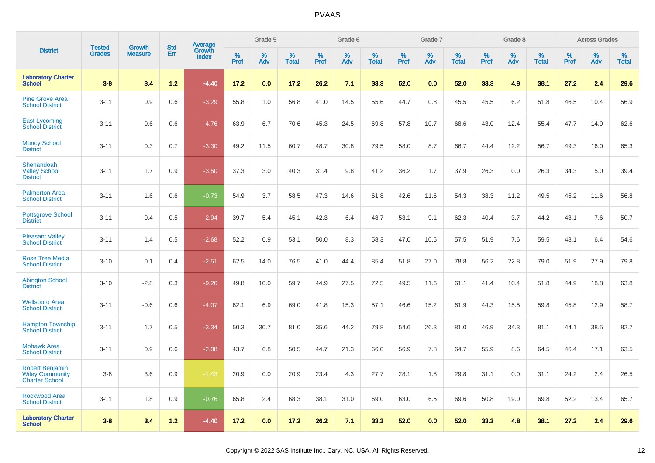|                                                                           | <b>Tested</b> | <b>Growth</b>  | <b>Std</b> | Average                |              | Grade 5  |                   |              | Grade 6  |                   |              | Grade 7  |                   |           | Grade 8  |                   |              | <b>Across Grades</b> |                   |
|---------------------------------------------------------------------------|---------------|----------------|------------|------------------------|--------------|----------|-------------------|--------------|----------|-------------------|--------------|----------|-------------------|-----------|----------|-------------------|--------------|----------------------|-------------------|
| <b>District</b>                                                           | <b>Grades</b> | <b>Measure</b> | Err        | Growth<br><b>Index</b> | $\%$<br>Prof | %<br>Adv | %<br><b>Total</b> | $\%$<br>Prof | %<br>Adv | %<br><b>Total</b> | $\%$<br>Prof | %<br>Adv | %<br><b>Total</b> | %<br>Prof | %<br>Adv | %<br><b>Total</b> | $\%$<br>Prof | $\%$<br>Adv          | %<br><b>Total</b> |
| <b>Laboratory Charter</b><br><b>School</b>                                | $3 - 8$       | 3.4            | $1.2$      | $-4.40$                | 17.2         | 0.0      | 17.2              | 26.2         | 7.1      | 33.3              | 52.0         | 0.0      | 52.0              | 33.3      | 4.8      | 38.1              | 27.2         | 2.4                  | 29.6              |
| <b>Pine Grove Area</b><br><b>School District</b>                          | $3 - 11$      | 0.9            | 0.6        | $-3.29$                | 55.8         | 1.0      | 56.8              | 41.0         | 14.5     | 55.6              | 44.7         | 0.8      | 45.5              | 45.5      | 6.2      | 51.8              | 46.5         | 10.4                 | 56.9              |
| <b>East Lycoming</b><br><b>School District</b>                            | $3 - 11$      | $-0.6$         | 0.6        | $-4.76$                | 63.9         | 6.7      | 70.6              | 45.3         | 24.5     | 69.8              | 57.8         | 10.7     | 68.6              | 43.0      | 12.4     | 55.4              | 47.7         | 14.9                 | 62.6              |
| <b>Muncy School</b><br><b>District</b>                                    | $3 - 11$      | 0.3            | 0.7        | $-3.30$                | 49.2         | 11.5     | 60.7              | 48.7         | 30.8     | 79.5              | 58.0         | 8.7      | 66.7              | 44.4      | 12.2     | 56.7              | 49.3         | 16.0                 | 65.3              |
| Shenandoah<br><b>Valley School</b><br><b>District</b>                     | $3 - 11$      | 1.7            | 0.9        | $-3.50$                | 37.3         | 3.0      | 40.3              | 31.4         | 9.8      | 41.2              | 36.2         | 1.7      | 37.9              | 26.3      | 0.0      | 26.3              | 34.3         | 5.0                  | 39.4              |
| <b>Palmerton Area</b><br><b>School District</b>                           | $3 - 11$      | 1.6            | 0.6        | $-0.73$                | 54.9         | 3.7      | 58.5              | 47.3         | 14.6     | 61.8              | 42.6         | 11.6     | 54.3              | 38.3      | 11.2     | 49.5              | 45.2         | 11.6                 | 56.8              |
| <b>Pottsgrove School</b><br><b>District</b>                               | $3 - 11$      | $-0.4$         | 0.5        | $-2.94$                | 39.7         | 5.4      | 45.1              | 42.3         | 6.4      | 48.7              | 53.1         | 9.1      | 62.3              | 40.4      | 3.7      | 44.2              | 43.1         | 7.6                  | 50.7              |
| <b>Pleasant Valley</b><br><b>School District</b>                          | $3 - 11$      | 1.4            | 0.5        | $-2.68$                | 52.2         | 0.9      | 53.1              | 50.0         | 8.3      | 58.3              | 47.0         | 10.5     | 57.5              | 51.9      | 7.6      | 59.5              | 48.1         | 6.4                  | 54.6              |
| <b>Rose Tree Media</b><br><b>School District</b>                          | $3 - 10$      | 0.1            | 0.4        | $-2.51$                | 62.5         | 14.0     | 76.5              | 41.0         | 44.4     | 85.4              | 51.8         | 27.0     | 78.8              | 56.2      | 22.8     | 79.0              | 51.9         | 27.9                 | 79.8              |
| <b>Abington School</b><br><b>District</b>                                 | $3 - 10$      | $-2.8$         | 0.3        | $-9.26$                | 49.8         | 10.0     | 59.7              | 44.9         | 27.5     | 72.5              | 49.5         | 11.6     | 61.1              | 41.4      | 10.4     | 51.8              | 44.9         | 18.8                 | 63.8              |
| <b>Wellsboro Area</b><br><b>School District</b>                           | $3 - 11$      | $-0.6$         | 0.6        | $-4.07$                | 62.1         | 6.9      | 69.0              | 41.8         | 15.3     | 57.1              | 46.6         | 15.2     | 61.9              | 44.3      | 15.5     | 59.8              | 45.8         | 12.9                 | 58.7              |
| <b>Hampton Township</b><br><b>School District</b>                         | $3 - 11$      | 1.7            | 0.5        | $-3.34$                | 50.3         | 30.7     | 81.0              | 35.6         | 44.2     | 79.8              | 54.6         | 26.3     | 81.0              | 46.9      | 34.3     | 81.1              | 44.1         | 38.5                 | 82.7              |
| <b>Mohawk Area</b><br><b>School District</b>                              | $3 - 11$      | 0.9            | 0.6        | $-2.08$                | 43.7         | 6.8      | 50.5              | 44.7         | 21.3     | 66.0              | 56.9         | 7.8      | 64.7              | 55.9      | 8.6      | 64.5              | 46.4         | 17.1                 | 63.5              |
| <b>Robert Benjamin</b><br><b>Wiley Community</b><br><b>Charter School</b> | $3 - 8$       | 3.6            | 0.9        | $-1.43$                | 20.9         | 0.0      | 20.9              | 23.4         | 4.3      | 27.7              | 28.1         | 1.8      | 29.8              | 31.1      | 0.0      | 31.1              | 24.2         | 2.4                  | 26.5              |
| <b>Rockwood Area</b><br><b>School District</b>                            | $3 - 11$      | 1.8            | 0.9        | $-0.76$                | 65.8         | 2.4      | 68.3              | 38.1         | 31.0     | 69.0              | 63.0         | 6.5      | 69.6              | 50.8      | 19.0     | 69.8              | 52.2         | 13.4                 | 65.7              |
| <b>Laboratory Charter</b><br><b>School</b>                                | $3 - 8$       | 3.4            | $1.2$      | $-4.40$                | 17.2         | 0.0      | 17.2              | 26.2         | 7.1      | 33.3              | 52.0         | 0.0      | 52.0              | 33.3      | 4.8      | 38.1              | 27.2         | 2.4                  | 29.6              |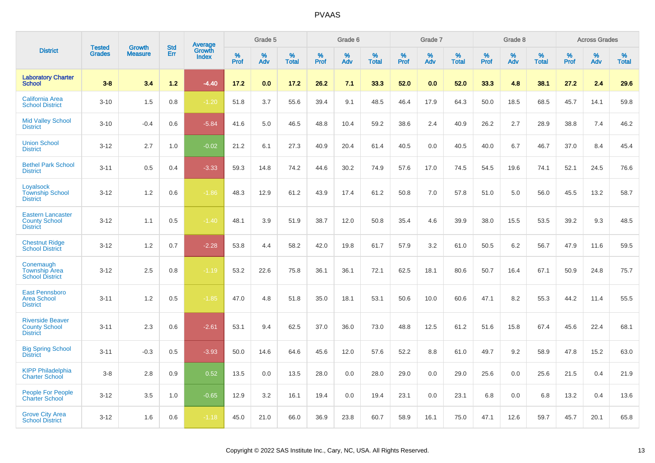| <b>District</b>                                                     |                                |                                 | <b>Std</b> | Average         |           | Grade 5  |                   |           | Grade 6  |                   |           | Grade 7  |                   |           | Grade 8  |                   |           | <b>Across Grades</b> |                   |
|---------------------------------------------------------------------|--------------------------------|---------------------------------|------------|-----------------|-----------|----------|-------------------|-----------|----------|-------------------|-----------|----------|-------------------|-----------|----------|-------------------|-----------|----------------------|-------------------|
|                                                                     | <b>Tested</b><br><b>Grades</b> | <b>Growth</b><br><b>Measure</b> | Err        | Growth<br>Index | %<br>Prof | %<br>Adv | %<br><b>Total</b> | %<br>Prof | %<br>Adv | %<br><b>Total</b> | %<br>Prof | %<br>Adv | %<br><b>Total</b> | %<br>Prof | %<br>Adv | %<br><b>Total</b> | %<br>Prof | $\%$<br>Adv          | %<br><b>Total</b> |
| <b>Laboratory Charter</b><br><b>School</b>                          | $3 - 8$                        | 3.4                             | $1.2$      | $-4.40$         | 17.2      | 0.0      | 17.2              | 26.2      | 7.1      | 33.3              | 52.0      | 0.0      | 52.0              | 33.3      | 4.8      | 38.1              | 27.2      | 2.4                  | 29.6              |
| <b>California Area</b><br><b>School District</b>                    | $3 - 10$                       | 1.5                             | 0.8        | $-1.20$         | 51.8      | 3.7      | 55.6              | 39.4      | 9.1      | 48.5              | 46.4      | 17.9     | 64.3              | 50.0      | 18.5     | 68.5              | 45.7      | 14.1                 | 59.8              |
| <b>Mid Valley School</b><br><b>District</b>                         | $3 - 10$                       | $-0.4$                          | 0.6        | $-5.84$         | 41.6      | 5.0      | 46.5              | 48.8      | 10.4     | 59.2              | 38.6      | 2.4      | 40.9              | 26.2      | 2.7      | 28.9              | 38.8      | 7.4                  | 46.2              |
| <b>Union School</b><br><b>District</b>                              | $3 - 12$                       | 2.7                             | 1.0        | $-0.02$         | 21.2      | 6.1      | 27.3              | 40.9      | 20.4     | 61.4              | 40.5      | 0.0      | 40.5              | 40.0      | 6.7      | 46.7              | 37.0      | 8.4                  | 45.4              |
| <b>Bethel Park School</b><br><b>District</b>                        | $3 - 11$                       | 0.5                             | 0.4        | $-3.33$         | 59.3      | 14.8     | 74.2              | 44.6      | 30.2     | 74.9              | 57.6      | 17.0     | 74.5              | 54.5      | 19.6     | 74.1              | 52.1      | 24.5                 | 76.6              |
| Loyalsock<br><b>Township School</b><br><b>District</b>              | $3 - 12$                       | 1.2                             | 0.6        | $-1.86$         | 48.3      | 12.9     | 61.2              | 43.9      | 17.4     | 61.2              | 50.8      | 7.0      | 57.8              | 51.0      | 5.0      | 56.0              | 45.5      | 13.2                 | 58.7              |
| <b>Eastern Lancaster</b><br><b>County School</b><br><b>District</b> | $3 - 12$                       | 1.1                             | 0.5        | $-1.40$         | 48.1      | 3.9      | 51.9              | 38.7      | 12.0     | 50.8              | 35.4      | 4.6      | 39.9              | 38.0      | 15.5     | 53.5              | 39.2      | 9.3                  | 48.5              |
| <b>Chestnut Ridge</b><br><b>School District</b>                     | $3 - 12$                       | 1.2                             | 0.7        | $-2.28$         | 53.8      | 4.4      | 58.2              | 42.0      | 19.8     | 61.7              | 57.9      | 3.2      | 61.0              | 50.5      | 6.2      | 56.7              | 47.9      | 11.6                 | 59.5              |
| Conemaugh<br><b>Township Area</b><br><b>School District</b>         | $3 - 12$                       | 2.5                             | 0.8        | $-1.19$         | 53.2      | 22.6     | 75.8              | 36.1      | 36.1     | 72.1              | 62.5      | 18.1     | 80.6              | 50.7      | 16.4     | 67.1              | 50.9      | 24.8                 | 75.7              |
| <b>East Pennsboro</b><br><b>Area School</b><br><b>District</b>      | $3 - 11$                       | 1.2                             | 0.5        | $-1.85$         | 47.0      | 4.8      | 51.8              | 35.0      | 18.1     | 53.1              | 50.6      | 10.0     | 60.6              | 47.1      | 8.2      | 55.3              | 44.2      | 11.4                 | 55.5              |
| <b>Riverside Beaver</b><br><b>County School</b><br><b>District</b>  | $3 - 11$                       | 2.3                             | 0.6        | $-2.61$         | 53.1      | 9.4      | 62.5              | 37.0      | 36.0     | 73.0              | 48.8      | 12.5     | 61.2              | 51.6      | 15.8     | 67.4              | 45.6      | 22.4                 | 68.1              |
| <b>Big Spring School</b><br><b>District</b>                         | $3 - 11$                       | $-0.3$                          | 0.5        | $-3.93$         | 50.0      | 14.6     | 64.6              | 45.6      | 12.0     | 57.6              | 52.2      | 8.8      | 61.0              | 49.7      | 9.2      | 58.9              | 47.8      | 15.2                 | 63.0              |
| <b>KIPP Philadelphia</b><br><b>Charter School</b>                   | $3 - 8$                        | 2.8                             | 0.9        | 0.52            | 13.5      | 0.0      | 13.5              | 28.0      | 0.0      | 28.0              | 29.0      | 0.0      | 29.0              | 25.6      | 0.0      | 25.6              | 21.5      | 0.4                  | 21.9              |
| <b>People For People</b><br><b>Charter School</b>                   | $3 - 12$                       | 3.5                             | 1.0        | $-0.65$         | 12.9      | 3.2      | 16.1              | 19.4      | 0.0      | 19.4              | 23.1      | 0.0      | 23.1              | 6.8       | 0.0      | 6.8               | 13.2      | 0.4                  | 13.6              |
| <b>Grove City Area</b><br><b>School District</b>                    | $3 - 12$                       | 1.6                             | 0.6        | $-1.18$         | 45.0      | 21.0     | 66.0              | 36.9      | 23.8     | 60.7              | 58.9      | 16.1     | 75.0              | 47.1      | 12.6     | 59.7              | 45.7      | 20.1                 | 65.8              |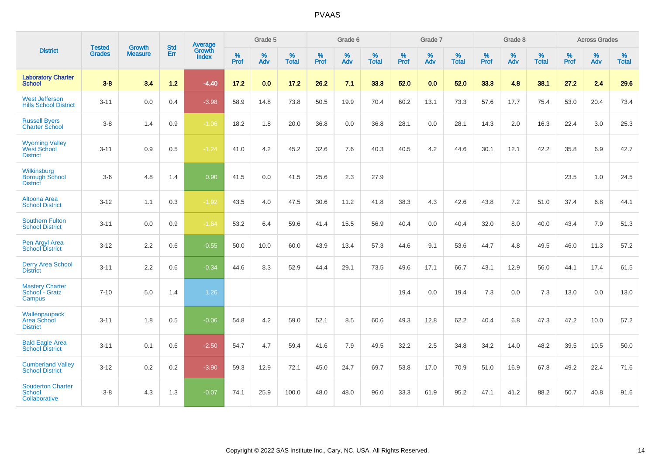|                                                                | <b>Tested</b> | <b>Growth</b>  | <b>Std</b> | Average                |              | Grade 5  |                   |                     | Grade 6  |                   |              | Grade 7  |                   |                     | Grade 8  |                   |                     | <b>Across Grades</b> |                   |
|----------------------------------------------------------------|---------------|----------------|------------|------------------------|--------------|----------|-------------------|---------------------|----------|-------------------|--------------|----------|-------------------|---------------------|----------|-------------------|---------------------|----------------------|-------------------|
| <b>District</b>                                                | <b>Grades</b> | <b>Measure</b> | Err        | Growth<br><b>Index</b> | $\%$<br>Prof | %<br>Adv | %<br><b>Total</b> | $\%$<br><b>Prof</b> | %<br>Adv | %<br><b>Total</b> | $\%$<br>Prof | %<br>Adv | %<br><b>Total</b> | $\%$<br><b>Prof</b> | %<br>Adv | %<br><b>Total</b> | $\%$<br><b>Prof</b> | $\%$<br>Adv          | %<br><b>Total</b> |
| <b>Laboratory Charter</b><br><b>School</b>                     | $3 - 8$       | 3.4            | $1.2$      | $-4.40$                | 17.2         | 0.0      | 17.2              | 26.2                | 7.1      | 33.3              | 52.0         | 0.0      | 52.0              | 33.3                | 4.8      | 38.1              | 27.2                | 2.4                  | 29.6              |
| <b>West Jefferson</b><br><b>Hills School District</b>          | $3 - 11$      | 0.0            | 0.4        | $-3.98$                | 58.9         | 14.8     | 73.8              | 50.5                | 19.9     | 70.4              | 60.2         | 13.1     | 73.3              | 57.6                | 17.7     | 75.4              | 53.0                | 20.4                 | 73.4              |
| <b>Russell Byers</b><br><b>Charter School</b>                  | $3 - 8$       | 1.4            | 0.9        | $-1.06$                | 18.2         | 1.8      | 20.0              | 36.8                | 0.0      | 36.8              | 28.1         | 0.0      | 28.1              | 14.3                | 2.0      | 16.3              | 22.4                | 3.0                  | 25.3              |
| <b>Wyoming Valley</b><br><b>West School</b><br><b>District</b> | $3 - 11$      | 0.9            | 0.5        | $-1.24$                | 41.0         | 4.2      | 45.2              | 32.6                | 7.6      | 40.3              | 40.5         | 4.2      | 44.6              | 30.1                | 12.1     | 42.2              | 35.8                | 6.9                  | 42.7              |
| Wilkinsburg<br><b>Borough School</b><br><b>District</b>        | $3-6$         | 4.8            | 1.4        | 0.90                   | 41.5         | 0.0      | 41.5              | 25.6                | 2.3      | 27.9              |              |          |                   |                     |          |                   | 23.5                | 1.0                  | 24.5              |
| Altoona Area<br><b>School District</b>                         | $3 - 12$      | 1.1            | 0.3        | $-1.92$                | 43.5         | 4.0      | 47.5              | 30.6                | 11.2     | 41.8              | 38.3         | 4.3      | 42.6              | 43.8                | 7.2      | 51.0              | 37.4                | 6.8                  | 44.1              |
| <b>Southern Fulton</b><br><b>School District</b>               | $3 - 11$      | 0.0            | 0.9        | $-1.64$                | 53.2         | 6.4      | 59.6              | 41.4                | 15.5     | 56.9              | 40.4         | 0.0      | 40.4              | 32.0                | 8.0      | 40.0              | 43.4                | 7.9                  | 51.3              |
| Pen Argyl Area<br><b>School District</b>                       | $3 - 12$      | 2.2            | 0.6        | $-0.55$                | 50.0         | 10.0     | 60.0              | 43.9                | 13.4     | 57.3              | 44.6         | 9.1      | 53.6              | 44.7                | 4.8      | 49.5              | 46.0                | 11.3                 | 57.2              |
| <b>Derry Area School</b><br><b>District</b>                    | $3 - 11$      | 2.2            | 0.6        | $-0.34$                | 44.6         | 8.3      | 52.9              | 44.4                | 29.1     | 73.5              | 49.6         | 17.1     | 66.7              | 43.1                | 12.9     | 56.0              | 44.1                | 17.4                 | 61.5              |
| <b>Mastery Charter</b><br>School - Gratz<br>Campus             | $7 - 10$      | 5.0            | 1.4        | 1.26                   |              |          |                   |                     |          |                   | 19.4         | 0.0      | 19.4              | 7.3                 | 0.0      | 7.3               | 13.0                | 0.0                  | 13.0              |
| Wallenpaupack<br>Area School<br><b>District</b>                | $3 - 11$      | 1.8            | 0.5        | $-0.06$                | 54.8         | 4.2      | 59.0              | 52.1                | 8.5      | 60.6              | 49.3         | 12.8     | 62.2              | 40.4                | 6.8      | 47.3              | 47.2                | 10.0                 | 57.2              |
| <b>Bald Eagle Area</b><br><b>School District</b>               | $3 - 11$      | 0.1            | 0.6        | $-2.50$                | 54.7         | 4.7      | 59.4              | 41.6                | 7.9      | 49.5              | 32.2         | 2.5      | 34.8              | 34.2                | 14.0     | 48.2              | 39.5                | 10.5                 | 50.0              |
| <b>Cumberland Valley</b><br><b>School District</b>             | $3 - 12$      | $0.2\,$        | 0.2        | $-3.90$                | 59.3         | 12.9     | 72.1              | 45.0                | 24.7     | 69.7              | 53.8         | 17.0     | 70.9              | 51.0                | 16.9     | 67.8              | 49.2                | 22.4                 | 71.6              |
| <b>Souderton Charter</b><br>School<br>Collaborative            | $3 - 8$       | 4.3            | 1.3        | $-0.07$                | 74.1         | 25.9     | 100.0             | 48.0                | 48.0     | 96.0              | 33.3         | 61.9     | 95.2              | 47.1                | 41.2     | 88.2              | 50.7                | 40.8                 | 91.6              |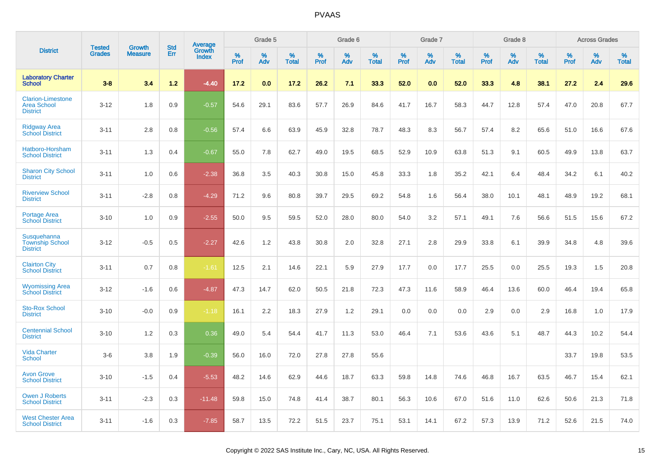|                                                                   | <b>Tested</b> | <b>Growth</b>  | <b>Std</b> | Average                |              | Grade 5  |                   |           | Grade 6  |                   |              | Grade 7  |                   |              | Grade 8  |                   |              | <b>Across Grades</b> |                   |
|-------------------------------------------------------------------|---------------|----------------|------------|------------------------|--------------|----------|-------------------|-----------|----------|-------------------|--------------|----------|-------------------|--------------|----------|-------------------|--------------|----------------------|-------------------|
| <b>District</b>                                                   | <b>Grades</b> | <b>Measure</b> | Err        | Growth<br><b>Index</b> | $\%$<br>Prof | %<br>Adv | %<br><b>Total</b> | %<br>Prof | %<br>Adv | %<br><b>Total</b> | $\%$<br>Prof | %<br>Adv | %<br><b>Total</b> | $\%$<br>Prof | %<br>Adv | %<br><b>Total</b> | $\%$<br>Prof | %<br>Adv             | %<br><b>Total</b> |
| <b>Laboratory Charter</b><br><b>School</b>                        | $3 - 8$       | 3.4            | $1.2$      | $-4.40$                | 17.2         | 0.0      | 17.2              | 26.2      | 7.1      | 33.3              | 52.0         | 0.0      | 52.0              | 33.3         | 4.8      | 38.1              | 27.2         | 2.4                  | 29.6              |
| <b>Clarion-Limestone</b><br><b>Area School</b><br><b>District</b> | $3 - 12$      | 1.8            | 0.9        | $-0.57$                | 54.6         | 29.1     | 83.6              | 57.7      | 26.9     | 84.6              | 41.7         | 16.7     | 58.3              | 44.7         | 12.8     | 57.4              | 47.0         | 20.8                 | 67.7              |
| <b>Ridgway Area</b><br><b>School District</b>                     | $3 - 11$      | 2.8            | 0.8        | $-0.56$                | 57.4         | 6.6      | 63.9              | 45.9      | 32.8     | 78.7              | 48.3         | 8.3      | 56.7              | 57.4         | 8.2      | 65.6              | 51.0         | 16.6                 | 67.6              |
| Hatboro-Horsham<br><b>School District</b>                         | $3 - 11$      | 1.3            | 0.4        | $-0.67$                | 55.0         | 7.8      | 62.7              | 49.0      | 19.5     | 68.5              | 52.9         | 10.9     | 63.8              | 51.3         | 9.1      | 60.5              | 49.9         | 13.8                 | 63.7              |
| <b>Sharon City School</b><br><b>District</b>                      | $3 - 11$      | 1.0            | 0.6        | $-2.38$                | 36.8         | 3.5      | 40.3              | 30.8      | 15.0     | 45.8              | 33.3         | 1.8      | 35.2              | 42.1         | 6.4      | 48.4              | 34.2         | 6.1                  | 40.2              |
| <b>Riverview School</b><br><b>District</b>                        | $3 - 11$      | $-2.8$         | 0.8        | $-4.29$                | 71.2         | 9.6      | 80.8              | 39.7      | 29.5     | 69.2              | 54.8         | 1.6      | 56.4              | 38.0         | 10.1     | 48.1              | 48.9         | 19.2                 | 68.1              |
| <b>Portage Area</b><br><b>School District</b>                     | $3 - 10$      | 1.0            | 0.9        | $-2.55$                | 50.0         | 9.5      | 59.5              | 52.0      | 28.0     | 80.0              | 54.0         | 3.2      | 57.1              | 49.1         | 7.6      | 56.6              | 51.5         | 15.6                 | 67.2              |
| Susquehanna<br><b>Township School</b><br><b>District</b>          | $3 - 12$      | $-0.5$         | 0.5        | $-2.27$                | 42.6         | 1.2      | 43.8              | 30.8      | 2.0      | 32.8              | 27.1         | 2.8      | 29.9              | 33.8         | 6.1      | 39.9              | 34.8         | 4.8                  | 39.6              |
| <b>Clairton City</b><br><b>School District</b>                    | $3 - 11$      | 0.7            | 0.8        | $-1.61$                | 12.5         | 2.1      | 14.6              | 22.1      | 5.9      | 27.9              | 17.7         | 0.0      | 17.7              | 25.5         | 0.0      | 25.5              | 19.3         | 1.5                  | 20.8              |
| <b>Wyomissing Area</b><br><b>School District</b>                  | $3 - 12$      | $-1.6$         | 0.6        | $-4.87$                | 47.3         | 14.7     | 62.0              | 50.5      | 21.8     | 72.3              | 47.3         | 11.6     | 58.9              | 46.4         | 13.6     | 60.0              | 46.4         | 19.4                 | 65.8              |
| <b>Sto-Rox School</b><br><b>District</b>                          | $3 - 10$      | $-0.0$         | 0.9        | $-1.18$                | 16.1         | 2.2      | 18.3              | 27.9      | 1.2      | 29.1              | 0.0          | 0.0      | 0.0               | 2.9          | 0.0      | 2.9               | 16.8         | 1.0                  | 17.9              |
| <b>Centennial School</b><br><b>District</b>                       | $3 - 10$      | 1.2            | 0.3        | 0.36                   | 49.0         | 5.4      | 54.4              | 41.7      | 11.3     | 53.0              | 46.4         | 7.1      | 53.6              | 43.6         | 5.1      | 48.7              | 44.3         | 10.2                 | 54.4              |
| <b>Vida Charter</b><br><b>School</b>                              | $3-6$         | 3.8            | 1.9        | $-0.39$                | 56.0         | 16.0     | 72.0              | 27.8      | 27.8     | 55.6              |              |          |                   |              |          |                   | 33.7         | 19.8                 | 53.5              |
| <b>Avon Grove</b><br><b>School District</b>                       | $3 - 10$      | $-1.5$         | 0.4        | $-5.53$                | 48.2         | 14.6     | 62.9              | 44.6      | 18.7     | 63.3              | 59.8         | 14.8     | 74.6              | 46.8         | 16.7     | 63.5              | 46.7         | 15.4                 | 62.1              |
| <b>Owen J Roberts</b><br><b>School District</b>                   | $3 - 11$      | $-2.3$         | 0.3        | $-11.48$               | 59.8         | 15.0     | 74.8              | 41.4      | 38.7     | 80.1              | 56.3         | 10.6     | 67.0              | 51.6         | 11.0     | 62.6              | 50.6         | 21.3                 | 71.8              |
| <b>West Chester Area</b><br><b>School District</b>                | $3 - 11$      | $-1.6$         | 0.3        | $-7.85$                | 58.7         | 13.5     | 72.2              | 51.5      | 23.7     | 75.1              | 53.1         | 14.1     | 67.2              | 57.3         | 13.9     | 71.2              | 52.6         | 21.5                 | 74.0              |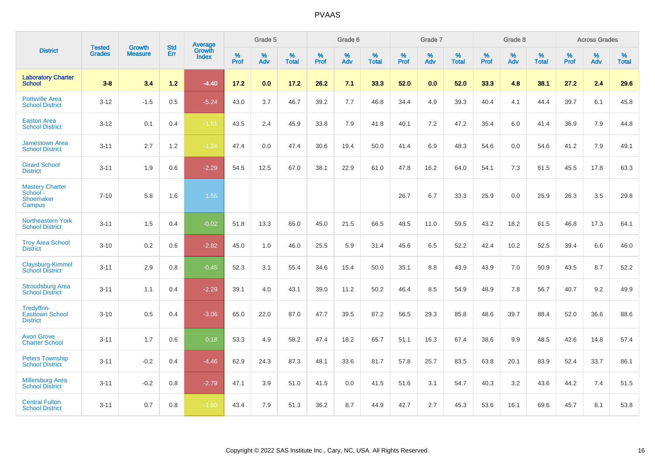|                                                           |                                |                                 | <b>Std</b> | <b>Average</b>         |           | Grade 5  |                   |           | Grade 6  |                   |           | Grade 7  |                   |           | Grade 8  |                   |           | <b>Across Grades</b> |                   |
|-----------------------------------------------------------|--------------------------------|---------------------------------|------------|------------------------|-----------|----------|-------------------|-----------|----------|-------------------|-----------|----------|-------------------|-----------|----------|-------------------|-----------|----------------------|-------------------|
| <b>District</b>                                           | <b>Tested</b><br><b>Grades</b> | <b>Growth</b><br><b>Measure</b> | Err        | <b>Growth</b><br>Index | %<br>Prof | %<br>Adv | %<br><b>Total</b> | %<br>Prof | %<br>Adv | %<br><b>Total</b> | %<br>Prof | %<br>Adv | %<br><b>Total</b> | %<br>Prof | %<br>Adv | %<br><b>Total</b> | %<br>Prof | %<br>Adv             | %<br><b>Total</b> |
| <b>Laboratory Charter</b><br><b>School</b>                | $3 - 8$                        | 3.4                             | $1.2$      | $-4.40$                | 17.2      | 0.0      | 17.2              | 26.2      | 7.1      | 33.3              | 52.0      | 0.0      | 52.0              | 33.3      | 4.8      | 38.1              | 27.2      | 2.4                  | 29.6              |
| <b>Pottsville Area</b><br><b>School District</b>          | $3 - 12$                       | $-1.5$                          | 0.5        | $-5.24$                | 43.0      | 3.7      | 46.7              | 39.2      | 7.7      | 46.8              | 34.4      | 4.9      | 39.3              | 40.4      | 4.1      | 44.4              | 39.7      | 6.1                  | 45.8              |
| <b>Easton Area</b><br><b>School District</b>              | $3 - 12$                       | 0.1                             | 0.4        | $-1.51$                | 43.5      | 2.4      | 45.9              | 33.8      | 7.9      | 41.8              | 40.1      | 7.2      | 47.2              | 35.4      | 6.0      | 41.4              | 36.9      | 7.9                  | 44.8              |
| <b>Jamestown Area</b><br><b>School District</b>           | $3 - 11$                       | 2.7                             | 1.2        | $-1.24$                | 47.4      | 0.0      | 47.4              | 30.6      | 19.4     | 50.0              | 41.4      | 6.9      | 48.3              | 54.6      | 0.0      | 54.6              | 41.2      | 7.9                  | 49.1              |
| <b>Girard School</b><br><b>District</b>                   | $3 - 11$                       | 1.9                             | 0.6        | $-2.29$                | 54.5      | 12.5     | 67.0              | 38.1      | 22.9     | 61.0              | 47.8      | 16.2     | 64.0              | 54.1      | 7.3      | 61.5              | 45.5      | 17.8                 | 63.3              |
| <b>Mastery Charter</b><br>School -<br>Shoemaker<br>Campus | $7 - 10$                       | 5.8                             | 1.6        | 1.55                   |           |          |                   |           |          |                   | 26.7      | 6.7      | 33.3              | 25.9      | 0.0      | 25.9              | 26.3      | 3.5                  | 29.8              |
| <b>Northeastern York</b><br><b>School District</b>        | $3 - 11$                       | 1.5                             | 0.4        | $-0.02$                | 51.8      | 13.3     | 65.0              | 45.0      | 21.5     | 66.5              | 48.5      | 11.0     | 59.5              | 43.2      | 18.2     | 61.5              | 46.8      | 17.3                 | 64.1              |
| <b>Troy Area School</b><br><b>District</b>                | $3 - 10$                       | 0.2                             | 0.6        | $-2.82$                | 45.0      | 1.0      | 46.0              | 25.5      | 5.9      | 31.4              | 45.6      | 6.5      | 52.2              | 42.4      | 10.2     | 52.5              | 39.4      | 6.6                  | 46.0              |
| Claysburg-Kimmel<br><b>School District</b>                | $3 - 11$                       | 2.9                             | 0.8        | $-0.45$                | 52.3      | 3.1      | 55.4              | 34.6      | 15.4     | 50.0              | 35.1      | 8.8      | 43.9              | 43.9      | 7.0      | 50.9              | 43.5      | 8.7                  | 52.2              |
| <b>Stroudsburg Area</b><br><b>School District</b>         | $3 - 11$                       | 1.1                             | 0.4        | $-2.29$                | 39.1      | 4.0      | 43.1              | 39.0      | 11.2     | 50.2              | 46.4      | 8.5      | 54.9              | 48.9      | 7.8      | 56.7              | 40.7      | 9.2                  | 49.9              |
| Tredyffrin-<br><b>Easttown School</b><br><b>District</b>  | $3 - 10$                       | 0.5                             | 0.4        | $-3.06$                | 65.0      | 22.0     | 87.0              | 47.7      | 39.5     | 87.2              | 56.5      | 29.3     | 85.8              | 48.6      | 39.7     | 88.4              | 52.0      | 36.6                 | 88.6              |
| <b>Avon Grove</b><br><b>Charter School</b>                | $3 - 11$                       | 1.7                             | 0.6        | 0.18                   | 53.3      | 4.9      | 58.2              | 47.4      | 18.2     | 65.7              | 51.1      | 16.3     | 67.4              | 38.6      | 9.9      | 48.5              | 42.6      | 14.8                 | 57.4              |
| <b>Peters Township</b><br><b>School District</b>          | $3 - 11$                       | $-0.2$                          | 0.4        | $-4.46$                | 62.9      | 24.3     | 87.3              | 48.1      | 33.6     | 81.7              | 57.8      | 25.7     | 83.5              | 63.8      | 20.1     | 83.9              | 52.4      | 33.7                 | 86.1              |
| <b>Millersburg Area</b><br><b>School District</b>         | $3 - 11$                       | $-0.2$                          | 0.8        | $-2.79$                | 47.1      | 3.9      | 51.0              | 41.5      | 0.0      | 41.5              | 51.6      | 3.1      | 54.7              | 40.3      | 3.2      | 43.6              | 44.2      | 7.4                  | 51.5              |
| <b>Central Fulton</b><br><b>School District</b>           | $3 - 11$                       | 0.7                             | 0.8        | $-1.60$                | 43.4      | 7.9      | 51.3              | 36.2      | 8.7      | 44.9              | 42.7      | 2.7      | 45.3              | 53.6      | 16.1     | 69.6              | 45.7      | 8.1                  | 53.8              |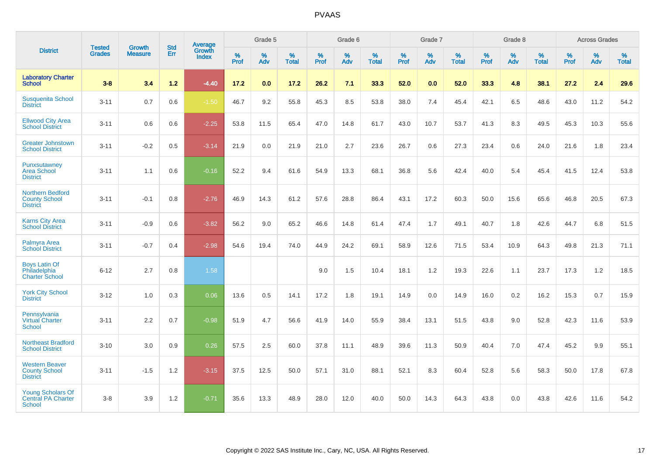|                                                                        |                                |                                 | <b>Std</b> | <b>Average</b>                |              | Grade 5  |                   |           | Grade 6  |                   |           | Grade 7  |                   |           | Grade 8  |                   |           | <b>Across Grades</b> |                   |
|------------------------------------------------------------------------|--------------------------------|---------------------------------|------------|-------------------------------|--------------|----------|-------------------|-----------|----------|-------------------|-----------|----------|-------------------|-----------|----------|-------------------|-----------|----------------------|-------------------|
| <b>District</b>                                                        | <b>Tested</b><br><b>Grades</b> | <b>Growth</b><br><b>Measure</b> | Err        | <b>Growth</b><br><b>Index</b> | $\%$<br>Prof | %<br>Adv | %<br><b>Total</b> | %<br>Prof | %<br>Adv | %<br><b>Total</b> | %<br>Prof | %<br>Adv | %<br><b>Total</b> | %<br>Prof | %<br>Adv | %<br><b>Total</b> | %<br>Prof | %<br>Adv             | %<br><b>Total</b> |
| <b>Laboratory Charter</b><br><b>School</b>                             | $3 - 8$                        | 3.4                             | $1.2$      | $-4.40$                       | 17.2         | 0.0      | 17.2              | 26.2      | 7.1      | 33.3              | 52.0      | 0.0      | 52.0              | 33.3      | 4.8      | 38.1              | 27.2      | 2.4                  | 29.6              |
| <b>Susquenita School</b><br><b>District</b>                            | $3 - 11$                       | 0.7                             | 0.6        | $-1.50$                       | 46.7         | 9.2      | 55.8              | 45.3      | 8.5      | 53.8              | 38.0      | 7.4      | 45.4              | 42.1      | 6.5      | 48.6              | 43.0      | 11.2                 | 54.2              |
| <b>Ellwood City Area</b><br><b>School District</b>                     | $3 - 11$                       | 0.6                             | 0.6        | $-2.25$                       | 53.8         | 11.5     | 65.4              | 47.0      | 14.8     | 61.7              | 43.0      | 10.7     | 53.7              | 41.3      | 8.3      | 49.5              | 45.3      | 10.3                 | 55.6              |
| <b>Greater Johnstown</b><br><b>School District</b>                     | $3 - 11$                       | $-0.2$                          | 0.5        | $-3.14$                       | 21.9         | 0.0      | 21.9              | 21.0      | 2.7      | 23.6              | 26.7      | 0.6      | 27.3              | 23.4      | 0.6      | 24.0              | 21.6      | 1.8                  | 23.4              |
| Punxsutawney<br><b>Area School</b><br><b>District</b>                  | $3 - 11$                       | 1.1                             | 0.6        | $-0.16$                       | 52.2         | 9.4      | 61.6              | 54.9      | 13.3     | 68.1              | 36.8      | 5.6      | 42.4              | 40.0      | 5.4      | 45.4              | 41.5      | 12.4                 | 53.8              |
| Northern Bedford<br><b>County School</b><br><b>District</b>            | $3 - 11$                       | $-0.1$                          | 0.8        | $-2.76$                       | 46.9         | 14.3     | 61.2              | 57.6      | 28.8     | 86.4              | 43.1      | 17.2     | 60.3              | 50.0      | 15.6     | 65.6              | 46.8      | 20.5                 | 67.3              |
| <b>Karns City Area</b><br><b>School District</b>                       | $3 - 11$                       | $-0.9$                          | 0.6        | $-3.82$                       | 56.2         | 9.0      | 65.2              | 46.6      | 14.8     | 61.4              | 47.4      | 1.7      | 49.1              | 40.7      | 1.8      | 42.6              | 44.7      | 6.8                  | 51.5              |
| <b>Palmyra Area</b><br><b>School District</b>                          | $3 - 11$                       | $-0.7$                          | 0.4        | $-2.98$                       | 54.6         | 19.4     | 74.0              | 44.9      | 24.2     | 69.1              | 58.9      | 12.6     | 71.5              | 53.4      | 10.9     | 64.3              | 49.8      | 21.3                 | 71.1              |
| <b>Boys Latin Of</b><br>Philadelphia<br><b>Charter School</b>          | $6 - 12$                       | 2.7                             | 0.8        | 1.58                          |              |          |                   | 9.0       | 1.5      | 10.4              | 18.1      | 1.2      | 19.3              | 22.6      | 1.1      | 23.7              | 17.3      | 1.2                  | 18.5              |
| <b>York City School</b><br><b>District</b>                             | $3 - 12$                       | 1.0                             | 0.3        | 0.06                          | 13.6         | 0.5      | 14.1              | 17.2      | 1.8      | 19.1              | 14.9      | 0.0      | 14.9              | 16.0      | 0.2      | 16.2              | 15.3      | 0.7                  | 15.9              |
| Pennsylvania<br><b>Virtual Charter</b><br><b>School</b>                | $3 - 11$                       | 2.2                             | 0.7        | $-0.98$                       | 51.9         | 4.7      | 56.6              | 41.9      | 14.0     | 55.9              | 38.4      | 13.1     | 51.5              | 43.8      | 9.0      | 52.8              | 42.3      | 11.6                 | 53.9              |
| <b>Northeast Bradford</b><br><b>School District</b>                    | $3 - 10$                       | 3.0                             | 0.9        | 0.26                          | 57.5         | 2.5      | 60.0              | 37.8      | 11.1     | 48.9              | 39.6      | 11.3     | 50.9              | 40.4      | 7.0      | 47.4              | 45.2      | 9.9                  | 55.1              |
| <b>Western Beaver</b><br><b>County School</b><br><b>District</b>       | $3 - 11$                       | $-1.5$                          | 1.2        | $-3.15$                       | 37.5         | 12.5     | 50.0              | 57.1      | 31.0     | 88.1              | 52.1      | 8.3      | 60.4              | 52.8      | 5.6      | 58.3              | 50.0      | 17.8                 | 67.8              |
| <b>Young Scholars Of</b><br><b>Central PA Charter</b><br><b>School</b> | $3 - 8$                        | 3.9                             | 1.2        | $-0.71$                       | 35.6         | 13.3     | 48.9              | 28.0      | 12.0     | 40.0              | 50.0      | 14.3     | 64.3              | 43.8      | 0.0      | 43.8              | 42.6      | 11.6                 | 54.2              |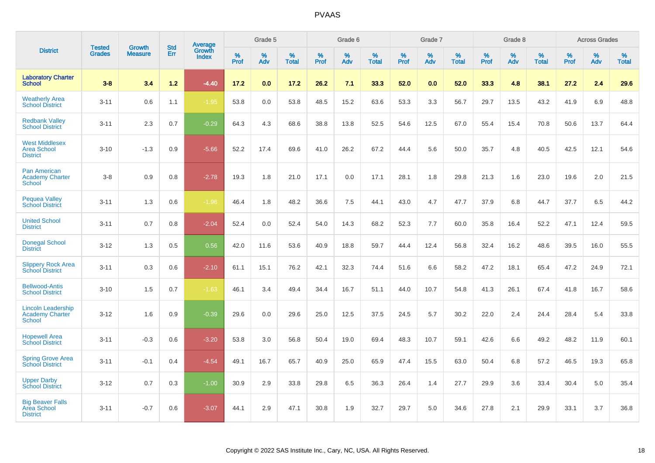|                                                                      |                                |                                 | <b>Std</b> | Average         |           | Grade 5  |                   |           | Grade 6  |                   |           | Grade 7  |                   |           | Grade 8  |                   |              | <b>Across Grades</b> |                   |
|----------------------------------------------------------------------|--------------------------------|---------------------------------|------------|-----------------|-----------|----------|-------------------|-----------|----------|-------------------|-----------|----------|-------------------|-----------|----------|-------------------|--------------|----------------------|-------------------|
| <b>District</b>                                                      | <b>Tested</b><br><b>Grades</b> | <b>Growth</b><br><b>Measure</b> | Err        | Growth<br>Index | %<br>Prof | %<br>Adv | %<br><b>Total</b> | %<br>Prof | %<br>Adv | %<br><b>Total</b> | %<br>Prof | %<br>Adv | %<br><b>Total</b> | %<br>Prof | %<br>Adv | %<br><b>Total</b> | $\%$<br>Prof | %<br>Adv             | %<br><b>Total</b> |
| <b>Laboratory Charter</b><br><b>School</b>                           | $3 - 8$                        | 3.4                             | $1.2$      | $-4.40$         | 17.2      | 0.0      | 17.2              | 26.2      | 7.1      | 33.3              | 52.0      | 0.0      | 52.0              | 33.3      | 4.8      | 38.1              | 27.2         | 2.4                  | 29.6              |
| <b>Weatherly Area</b><br><b>School District</b>                      | $3 - 11$                       | 0.6                             | 1.1        | $-1.95$         | 53.8      | 0.0      | 53.8              | 48.5      | 15.2     | 63.6              | 53.3      | 3.3      | 56.7              | 29.7      | 13.5     | 43.2              | 41.9         | 6.9                  | 48.8              |
| <b>Redbank Valley</b><br><b>School District</b>                      | $3 - 11$                       | 2.3                             | 0.7        | $-0.29$         | 64.3      | 4.3      | 68.6              | 38.8      | 13.8     | 52.5              | 54.6      | 12.5     | 67.0              | 55.4      | 15.4     | 70.8              | 50.6         | 13.7                 | 64.4              |
| <b>West Middlesex</b><br><b>Area School</b><br><b>District</b>       | $3 - 10$                       | $-1.3$                          | 0.9        | $-5.66$         | 52.2      | 17.4     | 69.6              | 41.0      | 26.2     | 67.2              | 44.4      | 5.6      | 50.0              | 35.7      | 4.8      | 40.5              | 42.5         | 12.1                 | 54.6              |
| <b>Pan American</b><br><b>Academy Charter</b><br><b>School</b>       | $3 - 8$                        | 0.9                             | 0.8        | $-2.78$         | 19.3      | 1.8      | 21.0              | 17.1      | 0.0      | 17.1              | 28.1      | 1.8      | 29.8              | 21.3      | 1.6      | 23.0              | 19.6         | 2.0                  | 21.5              |
| <b>Pequea Valley</b><br><b>School District</b>                       | $3 - 11$                       | 1.3                             | 0.6        | $-1.96$         | 46.4      | 1.8      | 48.2              | 36.6      | 7.5      | 44.1              | 43.0      | 4.7      | 47.7              | 37.9      | 6.8      | 44.7              | 37.7         | 6.5                  | 44.2              |
| <b>United School</b><br><b>District</b>                              | $3 - 11$                       | 0.7                             | 0.8        | $-2.04$         | 52.4      | 0.0      | 52.4              | 54.0      | 14.3     | 68.2              | 52.3      | 7.7      | 60.0              | 35.8      | 16.4     | 52.2              | 47.1         | 12.4                 | 59.5              |
| <b>Donegal School</b><br><b>District</b>                             | $3 - 12$                       | 1.3                             | 0.5        | 0.56            | 42.0      | 11.6     | 53.6              | 40.9      | 18.8     | 59.7              | 44.4      | 12.4     | 56.8              | 32.4      | 16.2     | 48.6              | 39.5         | 16.0                 | 55.5              |
| <b>Slippery Rock Area</b><br><b>School District</b>                  | $3 - 11$                       | 0.3                             | 0.6        | $-2.10$         | 61.1      | 15.1     | 76.2              | 42.1      | 32.3     | 74.4              | 51.6      | 6.6      | 58.2              | 47.2      | 18.1     | 65.4              | 47.2         | 24.9                 | 72.1              |
| <b>Bellwood-Antis</b><br><b>School District</b>                      | $3 - 10$                       | 1.5                             | 0.7        | $-1.63$         | 46.1      | 3.4      | 49.4              | 34.4      | 16.7     | 51.1              | 44.0      | 10.7     | 54.8              | 41.3      | 26.1     | 67.4              | 41.8         | 16.7                 | 58.6              |
| <b>Lincoln Leadership</b><br><b>Academy Charter</b><br><b>School</b> | $3 - 12$                       | 1.6                             | 0.9        | $-0.39$         | 29.6      | 0.0      | 29.6              | 25.0      | 12.5     | 37.5              | 24.5      | 5.7      | 30.2              | 22.0      | 2.4      | 24.4              | 28.4         | 5.4                  | 33.8              |
| <b>Hopewell Area</b><br><b>School District</b>                       | $3 - 11$                       | $-0.3$                          | 0.6        | $-3.20$         | 53.8      | 3.0      | 56.8              | 50.4      | 19.0     | 69.4              | 48.3      | 10.7     | 59.1              | 42.6      | 6.6      | 49.2              | 48.2         | 11.9                 | 60.1              |
| <b>Spring Grove Area</b><br><b>School District</b>                   | $3 - 11$                       | $-0.1$                          | 0.4        | $-4.54$         | 49.1      | 16.7     | 65.7              | 40.9      | 25.0     | 65.9              | 47.4      | 15.5     | 63.0              | 50.4      | 6.8      | 57.2              | 46.5         | 19.3                 | 65.8              |
| <b>Upper Darby</b><br><b>School District</b>                         | $3 - 12$                       | 0.7                             | 0.3        | $-1.00$         | 30.9      | 2.9      | 33.8              | 29.8      | 6.5      | 36.3              | 26.4      | 1.4      | 27.7              | 29.9      | 3.6      | 33.4              | 30.4         | 5.0                  | 35.4              |
| <b>Big Beaver Falls</b><br>Area School<br><b>District</b>            | $3 - 11$                       | $-0.7$                          | 0.6        | $-3.07$         | 44.1      | 2.9      | 47.1              | 30.8      | 1.9      | 32.7              | 29.7      | 5.0      | 34.6              | 27.8      | 2.1      | 29.9              | 33.1         | 3.7                  | 36.8              |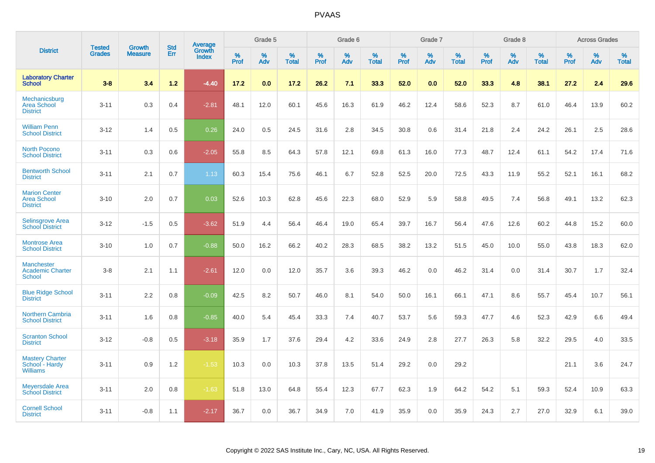|                                                               | <b>Tested</b> | <b>Growth</b>  | <b>Std</b> | <b>Average</b><br>Growth |                  | Grade 5  |                   |           | Grade 6  |                   |           | Grade 7  |                   |           | Grade 8  |                   |                  | <b>Across Grades</b> |                   |
|---------------------------------------------------------------|---------------|----------------|------------|--------------------------|------------------|----------|-------------------|-----------|----------|-------------------|-----------|----------|-------------------|-----------|----------|-------------------|------------------|----------------------|-------------------|
| <b>District</b>                                               | <b>Grades</b> | <b>Measure</b> | <b>Err</b> | <b>Index</b>             | %<br><b>Prof</b> | %<br>Adv | %<br><b>Total</b> | %<br>Prof | %<br>Adv | %<br><b>Total</b> | %<br>Prof | %<br>Adv | %<br><b>Total</b> | %<br>Prof | %<br>Adv | %<br><b>Total</b> | %<br><b>Prof</b> | %<br>Adv             | %<br><b>Total</b> |
| <b>Laboratory Charter</b><br><b>School</b>                    | $3 - 8$       | 3.4            | 1.2        | $-4.40$                  | 17.2             | 0.0      | 17.2              | 26.2      | 7.1      | 33.3              | 52.0      | 0.0      | 52.0              | 33.3      | 4.8      | 38.1              | 27.2             | 2.4                  | 29.6              |
| Mechanicsburg<br><b>Area School</b><br><b>District</b>        | $3 - 11$      | 0.3            | 0.4        | $-2.81$                  | 48.1             | 12.0     | 60.1              | 45.6      | 16.3     | 61.9              | 46.2      | 12.4     | 58.6              | 52.3      | 8.7      | 61.0              | 46.4             | 13.9                 | 60.2              |
| <b>William Penn</b><br><b>School District</b>                 | $3 - 12$      | 1.4            | 0.5        | 0.26                     | 24.0             | 0.5      | 24.5              | 31.6      | 2.8      | 34.5              | 30.8      | 0.6      | 31.4              | 21.8      | 2.4      | 24.2              | 26.1             | 2.5                  | 28.6              |
| <b>North Pocono</b><br><b>School District</b>                 | $3 - 11$      | 0.3            | 0.6        | $-2.05$                  | 55.8             | 8.5      | 64.3              | 57.8      | 12.1     | 69.8              | 61.3      | 16.0     | 77.3              | 48.7      | 12.4     | 61.1              | 54.2             | 17.4                 | 71.6              |
| <b>Bentworth School</b><br><b>District</b>                    | $3 - 11$      | 2.1            | 0.7        | 1.13                     | 60.3             | 15.4     | 75.6              | 46.1      | 6.7      | 52.8              | 52.5      | 20.0     | 72.5              | 43.3      | 11.9     | 55.2              | 52.1             | 16.1                 | 68.2              |
| <b>Marion Center</b><br><b>Area School</b><br><b>District</b> | $3 - 10$      | 2.0            | 0.7        | 0.03                     | 52.6             | 10.3     | 62.8              | 45.6      | 22.3     | 68.0              | 52.9      | 5.9      | 58.8              | 49.5      | 7.4      | 56.8              | 49.1             | 13.2                 | 62.3              |
| Selinsgrove Area<br><b>School District</b>                    | $3 - 12$      | $-1.5$         | 0.5        | $-3.62$                  | 51.9             | 4.4      | 56.4              | 46.4      | 19.0     | 65.4              | 39.7      | 16.7     | 56.4              | 47.6      | 12.6     | 60.2              | 44.8             | 15.2                 | 60.0              |
| <b>Montrose Area</b><br><b>School District</b>                | $3 - 10$      | 1.0            | 0.7        | $-0.88$                  | 50.0             | 16.2     | 66.2              | 40.2      | 28.3     | 68.5              | 38.2      | 13.2     | 51.5              | 45.0      | 10.0     | 55.0              | 43.8             | 18.3                 | 62.0              |
| <b>Manchester</b><br><b>Academic Charter</b><br>School        | $3 - 8$       | 2.1            | 1.1        | $-2.61$                  | 12.0             | 0.0      | 12.0              | 35.7      | 3.6      | 39.3              | 46.2      | 0.0      | 46.2              | 31.4      | 0.0      | 31.4              | 30.7             | 1.7                  | 32.4              |
| <b>Blue Ridge School</b><br><b>District</b>                   | $3 - 11$      | 2.2            | 0.8        | $-0.09$                  | 42.5             | 8.2      | 50.7              | 46.0      | 8.1      | 54.0              | 50.0      | 16.1     | 66.1              | 47.1      | 8.6      | 55.7              | 45.4             | 10.7                 | 56.1              |
| <b>Northern Cambria</b><br><b>School District</b>             | $3 - 11$      | 1.6            | 0.8        | $-0.85$                  | 40.0             | 5.4      | 45.4              | 33.3      | 7.4      | 40.7              | 53.7      | 5.6      | 59.3              | 47.7      | 4.6      | 52.3              | 42.9             | 6.6                  | 49.4              |
| <b>Scranton School</b><br><b>District</b>                     | $3 - 12$      | $-0.8$         | 0.5        | $-3.18$                  | 35.9             | 1.7      | 37.6              | 29.4      | 4.2      | 33.6              | 24.9      | 2.8      | 27.7              | 26.3      | 5.8      | 32.2              | 29.5             | 4.0                  | 33.5              |
| <b>Mastery Charter</b><br>School - Hardy<br><b>Williams</b>   | $3 - 11$      | 0.9            | 1.2        | $-1.53$                  | 10.3             | 0.0      | 10.3              | 37.8      | 13.5     | 51.4              | 29.2      | 0.0      | 29.2              |           |          |                   | 21.1             | 3.6                  | 24.7              |
| <b>Meyersdale Area</b><br><b>School District</b>              | $3 - 11$      | 2.0            | 0.8        | $-1.63$                  | 51.8             | 13.0     | 64.8              | 55.4      | 12.3     | 67.7              | 62.3      | 1.9      | 64.2              | 54.2      | 5.1      | 59.3              | 52.4             | 10.9                 | 63.3              |
| <b>Cornell School</b><br><b>District</b>                      | $3 - 11$      | $-0.8$         | 1.1        | $-2.17$                  | 36.7             | 0.0      | 36.7              | 34.9      | 7.0      | 41.9              | 35.9      | 0.0      | 35.9              | 24.3      | 2.7      | 27.0              | 32.9             | 6.1                  | 39.0              |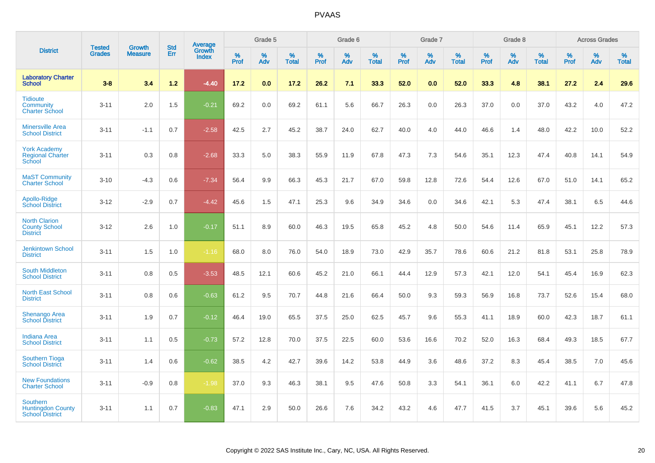|                                                                       |                                |                                 | <b>Std</b> | Average                |              | Grade 5  |                   |           | Grade 6  |                   |           | Grade 7  |                   |           | Grade 8  |                   |              | <b>Across Grades</b> |                   |
|-----------------------------------------------------------------------|--------------------------------|---------------------------------|------------|------------------------|--------------|----------|-------------------|-----------|----------|-------------------|-----------|----------|-------------------|-----------|----------|-------------------|--------------|----------------------|-------------------|
| <b>District</b>                                                       | <b>Tested</b><br><b>Grades</b> | <b>Growth</b><br><b>Measure</b> | Err        | Growth<br><b>Index</b> | $\%$<br>Prof | %<br>Adv | %<br><b>Total</b> | %<br>Prof | %<br>Adv | %<br><b>Total</b> | %<br>Prof | %<br>Adv | %<br><b>Total</b> | %<br>Prof | %<br>Adv | %<br><b>Total</b> | $\%$<br>Prof | %<br>Adv             | %<br><b>Total</b> |
| <b>Laboratory Charter</b><br><b>School</b>                            | $3 - 8$                        | 3.4                             | $1.2$      | $-4.40$                | 17.2         | 0.0      | 17.2              | 26.2      | 7.1      | 33.3              | 52.0      | 0.0      | 52.0              | 33.3      | 4.8      | 38.1              | 27.2         | 2.4                  | 29.6              |
| <b>Tidioute</b><br>Community<br><b>Charter School</b>                 | $3 - 11$                       | 2.0                             | 1.5        | $-0.21$                | 69.2         | 0.0      | 69.2              | 61.1      | 5.6      | 66.7              | 26.3      | 0.0      | 26.3              | 37.0      | 0.0      | 37.0              | 43.2         | 4.0                  | 47.2              |
| <b>Minersville Area</b><br><b>School District</b>                     | $3 - 11$                       | $-1.1$                          | 0.7        | $-2.58$                | 42.5         | 2.7      | 45.2              | 38.7      | 24.0     | 62.7              | 40.0      | 4.0      | 44.0              | 46.6      | 1.4      | 48.0              | 42.2         | 10.0                 | 52.2              |
| <b>York Academy</b><br><b>Regional Charter</b><br>School              | $3 - 11$                       | 0.3                             | 0.8        | $-2.68$                | 33.3         | 5.0      | 38.3              | 55.9      | 11.9     | 67.8              | 47.3      | 7.3      | 54.6              | 35.1      | 12.3     | 47.4              | 40.8         | 14.1                 | 54.9              |
| <b>MaST Community</b><br><b>Charter School</b>                        | $3 - 10$                       | $-4.3$                          | 0.6        | $-7.34$                | 56.4         | 9.9      | 66.3              | 45.3      | 21.7     | 67.0              | 59.8      | 12.8     | 72.6              | 54.4      | 12.6     | 67.0              | 51.0         | 14.1                 | 65.2              |
| Apollo-Ridge<br><b>School District</b>                                | $3 - 12$                       | $-2.9$                          | 0.7        | $-4.42$                | 45.6         | 1.5      | 47.1              | 25.3      | 9.6      | 34.9              | 34.6      | 0.0      | 34.6              | 42.1      | 5.3      | 47.4              | 38.1         | 6.5                  | 44.6              |
| <b>North Clarion</b><br><b>County School</b><br><b>District</b>       | $3 - 12$                       | 2.6                             | 1.0        | $-0.17$                | 51.1         | 8.9      | 60.0              | 46.3      | 19.5     | 65.8              | 45.2      | 4.8      | 50.0              | 54.6      | 11.4     | 65.9              | 45.1         | 12.2                 | 57.3              |
| <b>Jenkintown School</b><br><b>District</b>                           | $3 - 11$                       | 1.5                             | 1.0        | $-1.16$                | 68.0         | 8.0      | 76.0              | 54.0      | 18.9     | 73.0              | 42.9      | 35.7     | 78.6              | 60.6      | 21.2     | 81.8              | 53.1         | 25.8                 | 78.9              |
| <b>South Middleton</b><br><b>School District</b>                      | $3 - 11$                       | 0.8                             | 0.5        | $-3.53$                | 48.5         | 12.1     | 60.6              | 45.2      | 21.0     | 66.1              | 44.4      | 12.9     | 57.3              | 42.1      | 12.0     | 54.1              | 45.4         | 16.9                 | 62.3              |
| <b>North East School</b><br><b>District</b>                           | $3 - 11$                       | 0.8                             | 0.6        | $-0.63$                | 61.2         | 9.5      | 70.7              | 44.8      | 21.6     | 66.4              | 50.0      | 9.3      | 59.3              | 56.9      | 16.8     | 73.7              | 52.6         | 15.4                 | 68.0              |
| <b>Shenango Area</b><br><b>School District</b>                        | $3 - 11$                       | 1.9                             | 0.7        | $-0.12$                | 46.4         | 19.0     | 65.5              | 37.5      | 25.0     | 62.5              | 45.7      | 9.6      | 55.3              | 41.1      | 18.9     | 60.0              | 42.3         | 18.7                 | 61.1              |
| <b>Indiana Area</b><br><b>School District</b>                         | $3 - 11$                       | 1.1                             | 0.5        | $-0.73$                | 57.2         | 12.8     | 70.0              | 37.5      | 22.5     | 60.0              | 53.6      | 16.6     | 70.2              | 52.0      | 16.3     | 68.4              | 49.3         | 18.5                 | 67.7              |
| <b>Southern Tioga</b><br><b>School District</b>                       | $3 - 11$                       | 1.4                             | 0.6        | $-0.62$                | 38.5         | 4.2      | 42.7              | 39.6      | 14.2     | 53.8              | 44.9      | 3.6      | 48.6              | 37.2      | 8.3      | 45.4              | 38.5         | 7.0                  | 45.6              |
| <b>New Foundations</b><br><b>Charter School</b>                       | $3 - 11$                       | $-0.9$                          | 0.8        | $-1.98$                | 37.0         | 9.3      | 46.3              | 38.1      | 9.5      | 47.6              | 50.8      | 3.3      | 54.1              | 36.1      | 6.0      | 42.2              | 41.1         | 6.7                  | 47.8              |
| <b>Southern</b><br><b>Huntingdon County</b><br><b>School District</b> | $3 - 11$                       | 1.1                             | 0.7        | $-0.83$                | 47.1         | 2.9      | 50.0              | 26.6      | 7.6      | 34.2              | 43.2      | 4.6      | 47.7              | 41.5      | 3.7      | 45.1              | 39.6         | 5.6                  | 45.2              |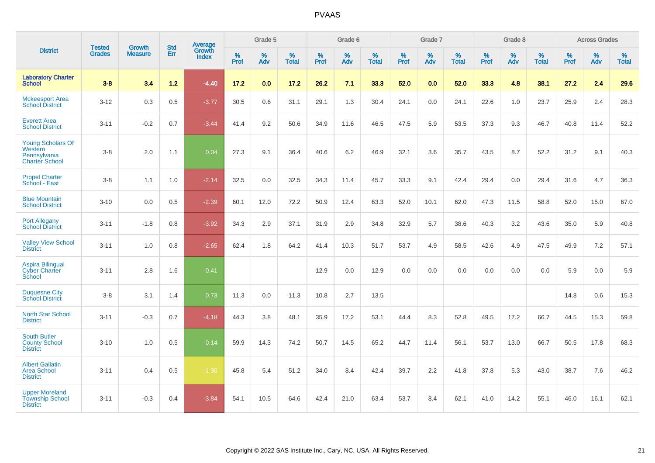|                                                                              |                                |                                 | <b>Std</b> | Average                |           | Grade 5  |                   |           | Grade 6  |                   |           | Grade 7  |                   |           | Grade 8  |                   |           | <b>Across Grades</b> |                   |
|------------------------------------------------------------------------------|--------------------------------|---------------------------------|------------|------------------------|-----------|----------|-------------------|-----------|----------|-------------------|-----------|----------|-------------------|-----------|----------|-------------------|-----------|----------------------|-------------------|
| <b>District</b>                                                              | <b>Tested</b><br><b>Grades</b> | <b>Growth</b><br><b>Measure</b> | Err        | Growth<br><b>Index</b> | %<br>Prof | %<br>Adv | %<br><b>Total</b> | %<br>Prof | %<br>Adv | %<br><b>Total</b> | %<br>Prof | %<br>Adv | %<br><b>Total</b> | %<br>Prof | %<br>Adv | %<br><b>Total</b> | %<br>Prof | %<br>Adv             | %<br><b>Total</b> |
| <b>Laboratory Charter</b><br><b>School</b>                                   | $3 - 8$                        | 3.4                             | $1.2$      | $-4.40$                | 17.2      | 0.0      | 17.2              | 26.2      | 7.1      | 33.3              | 52.0      | 0.0      | 52.0              | 33.3      | 4.8      | 38.1              | 27.2      | 2.4                  | 29.6              |
| <b>Mckeesport Area</b><br><b>School District</b>                             | $3 - 12$                       | 0.3                             | 0.5        | $-3.77$                | 30.5      | 0.6      | 31.1              | 29.1      | 1.3      | 30.4              | 24.1      | 0.0      | 24.1              | 22.6      | 1.0      | 23.7              | 25.9      | 2.4                  | 28.3              |
| <b>Everett Area</b><br><b>School District</b>                                | $3 - 11$                       | $-0.2$                          | 0.7        | $-3.44$                | 41.4      | 9.2      | 50.6              | 34.9      | 11.6     | 46.5              | 47.5      | 5.9      | 53.5              | 37.3      | 9.3      | 46.7              | 40.8      | 11.4                 | 52.2              |
| <b>Young Scholars Of</b><br>Western<br>Pennsylvania<br><b>Charter School</b> | $3-8$                          | 2.0                             | 1.1        | 0.04                   | 27.3      | 9.1      | 36.4              | 40.6      | 6.2      | 46.9              | 32.1      | 3.6      | 35.7              | 43.5      | 8.7      | 52.2              | 31.2      | 9.1                  | 40.3              |
| <b>Propel Charter</b><br>School - East                                       | $3-8$                          | 1.1                             | 1.0        | $-2.14$                | 32.5      | 0.0      | 32.5              | 34.3      | 11.4     | 45.7              | 33.3      | 9.1      | 42.4              | 29.4      | 0.0      | 29.4              | 31.6      | 4.7                  | 36.3              |
| <b>Blue Mountain</b><br><b>School District</b>                               | $3 - 10$                       | 0.0                             | 0.5        | $-2.39$                | 60.1      | 12.0     | 72.2              | 50.9      | 12.4     | 63.3              | 52.0      | 10.1     | 62.0              | 47.3      | 11.5     | 58.8              | 52.0      | 15.0                 | 67.0              |
| <b>Port Allegany</b><br><b>School District</b>                               | $3 - 11$                       | $-1.8$                          | 0.8        | $-3.92$                | 34.3      | 2.9      | 37.1              | 31.9      | 2.9      | 34.8              | 32.9      | 5.7      | 38.6              | 40.3      | 3.2      | 43.6              | 35.0      | 5.9                  | 40.8              |
| <b>Valley View School</b><br><b>District</b>                                 | $3 - 11$                       | 1.0                             | 0.8        | $-2.65$                | 62.4      | 1.8      | 64.2              | 41.4      | 10.3     | 51.7              | 53.7      | 4.9      | 58.5              | 42.6      | 4.9      | 47.5              | 49.9      | 7.2                  | 57.1              |
| <b>Aspira Bilingual</b><br><b>Cyber Charter</b><br>School                    | $3 - 11$                       | 2.8                             | 1.6        | $-0.41$                |           |          |                   | 12.9      | 0.0      | 12.9              | 0.0       | 0.0      | 0.0               | 0.0       | 0.0      | 0.0               | 5.9       | 0.0                  | 5.9               |
| <b>Duquesne City</b><br><b>School District</b>                               | $3-8$                          | 3.1                             | 1.4        | 0.73                   | 11.3      | 0.0      | 11.3              | 10.8      | 2.7      | 13.5              |           |          |                   |           |          |                   | 14.8      | 0.6                  | 15.3              |
| <b>North Star School</b><br><b>District</b>                                  | $3 - 11$                       | $-0.3$                          | 0.7        | $-4.18$                | 44.3      | 3.8      | 48.1              | 35.9      | 17.2     | 53.1              | 44.4      | 8.3      | 52.8              | 49.5      | 17.2     | 66.7              | 44.5      | 15.3                 | 59.8              |
| <b>South Butler</b><br><b>County School</b><br><b>District</b>               | $3 - 10$                       | 1.0                             | 0.5        | $-0.14$                | 59.9      | 14.3     | 74.2              | 50.7      | 14.5     | 65.2              | 44.7      | 11.4     | 56.1              | 53.7      | 13.0     | 66.7              | 50.5      | 17.8                 | 68.3              |
| <b>Albert Gallatin</b><br>Area School<br><b>District</b>                     | $3 - 11$                       | 0.4                             | 0.5        | $-1.30$                | 45.8      | 5.4      | 51.2              | 34.0      | 8.4      | 42.4              | 39.7      | 2.2      | 41.8              | 37.8      | 5.3      | 43.0              | 38.7      | 7.6                  | 46.2              |
| <b>Upper Moreland</b><br><b>Township School</b><br><b>District</b>           | $3 - 11$                       | $-0.3$                          | 0.4        | $-3.84$                | 54.1      | 10.5     | 64.6              | 42.4      | 21.0     | 63.4              | 53.7      | 8.4      | 62.1              | 41.0      | 14.2     | 55.1              | 46.0      | 16.1                 | 62.1              |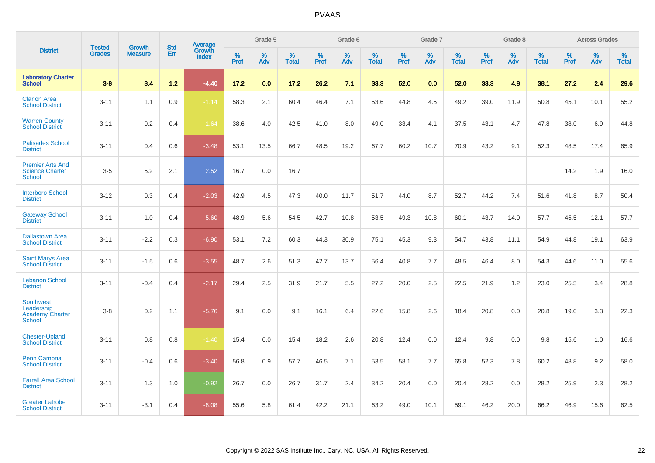|                                                                           |                                |                                 | <b>Std</b> | <b>Average</b>                |           | Grade 5  |                   |           | Grade 6  |                   |           | Grade 7  |                   |           | Grade 8  |                   |           | <b>Across Grades</b> |                   |
|---------------------------------------------------------------------------|--------------------------------|---------------------------------|------------|-------------------------------|-----------|----------|-------------------|-----------|----------|-------------------|-----------|----------|-------------------|-----------|----------|-------------------|-----------|----------------------|-------------------|
| <b>District</b>                                                           | <b>Tested</b><br><b>Grades</b> | <b>Growth</b><br><b>Measure</b> | Err        | <b>Growth</b><br><b>Index</b> | %<br>Prof | %<br>Adv | %<br><b>Total</b> | %<br>Prof | %<br>Adv | %<br><b>Total</b> | %<br>Prof | %<br>Adv | %<br><b>Total</b> | %<br>Prof | %<br>Adv | %<br><b>Total</b> | %<br>Prof | %<br>Adv             | %<br><b>Total</b> |
| <b>Laboratory Charter</b><br><b>School</b>                                | $3 - 8$                        | 3.4                             | $1.2$      | $-4.40$                       | 17.2      | 0.0      | 17.2              | 26.2      | 7.1      | 33.3              | 52.0      | 0.0      | 52.0              | 33.3      | 4.8      | 38.1              | 27.2      | 2.4                  | 29.6              |
| <b>Clarion Area</b><br><b>School District</b>                             | $3 - 11$                       | 1.1                             | 0.9        | $-1.14$                       | 58.3      | 2.1      | 60.4              | 46.4      | 7.1      | 53.6              | 44.8      | 4.5      | 49.2              | 39.0      | 11.9     | 50.8              | 45.1      | 10.1                 | 55.2              |
| <b>Warren County</b><br><b>School District</b>                            | $3 - 11$                       | $0.2\,$                         | 0.4        | $-1.64$                       | 38.6      | 4.0      | 42.5              | 41.0      | 8.0      | 49.0              | 33.4      | 4.1      | 37.5              | 43.1      | 4.7      | 47.8              | 38.0      | 6.9                  | 44.8              |
| <b>Palisades School</b><br><b>District</b>                                | $3 - 11$                       | 0.4                             | 0.6        | $-3.48$                       | 53.1      | 13.5     | 66.7              | 48.5      | 19.2     | 67.7              | 60.2      | 10.7     | 70.9              | 43.2      | 9.1      | 52.3              | 48.5      | 17.4                 | 65.9              |
| <b>Premier Arts And</b><br><b>Science Charter</b><br><b>School</b>        | $3-5$                          | 5.2                             | 2.1        | 2.52                          | 16.7      | 0.0      | 16.7              |           |          |                   |           |          |                   |           |          |                   | 14.2      | 1.9                  | 16.0              |
| <b>Interboro School</b><br><b>District</b>                                | $3 - 12$                       | 0.3                             | 0.4        | $-2.03$                       | 42.9      | 4.5      | 47.3              | 40.0      | 11.7     | 51.7              | 44.0      | 8.7      | 52.7              | 44.2      | 7.4      | 51.6              | 41.8      | 8.7                  | 50.4              |
| <b>Gateway School</b><br><b>District</b>                                  | $3 - 11$                       | $-1.0$                          | 0.4        | $-5.60$                       | 48.9      | 5.6      | 54.5              | 42.7      | 10.8     | 53.5              | 49.3      | 10.8     | 60.1              | 43.7      | 14.0     | 57.7              | 45.5      | 12.1                 | 57.7              |
| <b>Dallastown Area</b><br><b>School District</b>                          | $3 - 11$                       | $-2.2$                          | 0.3        | $-6.90$                       | 53.1      | 7.2      | 60.3              | 44.3      | 30.9     | 75.1              | 45.3      | 9.3      | 54.7              | 43.8      | 11.1     | 54.9              | 44.8      | 19.1                 | 63.9              |
| <b>Saint Marys Area</b><br><b>School District</b>                         | $3 - 11$                       | $-1.5$                          | 0.6        | $-3.55$                       | 48.7      | 2.6      | 51.3              | 42.7      | 13.7     | 56.4              | 40.8      | 7.7      | 48.5              | 46.4      | 8.0      | 54.3              | 44.6      | 11.0                 | 55.6              |
| <b>Lebanon School</b><br><b>District</b>                                  | $3 - 11$                       | $-0.4$                          | 0.4        | $-2.17$                       | 29.4      | 2.5      | 31.9              | 21.7      | 5.5      | 27.2              | 20.0      | 2.5      | 22.5              | 21.9      | 1.2      | 23.0              | 25.5      | 3.4                  | 28.8              |
| <b>Southwest</b><br>Leadership<br><b>Academy Charter</b><br><b>School</b> | $3 - 8$                        | 0.2                             | 1.1        | $-5.76$                       | 9.1       | 0.0      | 9.1               | 16.1      | 6.4      | 22.6              | 15.8      | 2.6      | 18.4              | 20.8      | 0.0      | 20.8              | 19.0      | 3.3                  | 22.3              |
| <b>Chester-Upland</b><br><b>School District</b>                           | $3 - 11$                       | 0.8                             | 0.8        | $-1.40$                       | 15.4      | 0.0      | 15.4              | 18.2      | 2.6      | 20.8              | 12.4      | 0.0      | 12.4              | 9.8       | 0.0      | 9.8               | 15.6      | 1.0                  | 16.6              |
| Penn Cambria<br><b>School District</b>                                    | $3 - 11$                       | $-0.4$                          | 0.6        | $-3.40$                       | 56.8      | 0.9      | 57.7              | 46.5      | 7.1      | 53.5              | 58.1      | 7.7      | 65.8              | 52.3      | 7.8      | 60.2              | 48.8      | 9.2                  | 58.0              |
| <b>Farrell Area School</b><br><b>District</b>                             | $3 - 11$                       | 1.3                             | 1.0        | $-0.92$                       | 26.7      | 0.0      | 26.7              | 31.7      | 2.4      | 34.2              | 20.4      | 0.0      | 20.4              | 28.2      | 0.0      | 28.2              | 25.9      | 2.3                  | 28.2              |
| <b>Greater Latrobe</b><br><b>School District</b>                          | $3 - 11$                       | $-3.1$                          | 0.4        | $-8.08$                       | 55.6      | 5.8      | 61.4              | 42.2      | 21.1     | 63.2              | 49.0      | 10.1     | 59.1              | 46.2      | 20.0     | 66.2              | 46.9      | 15.6                 | 62.5              |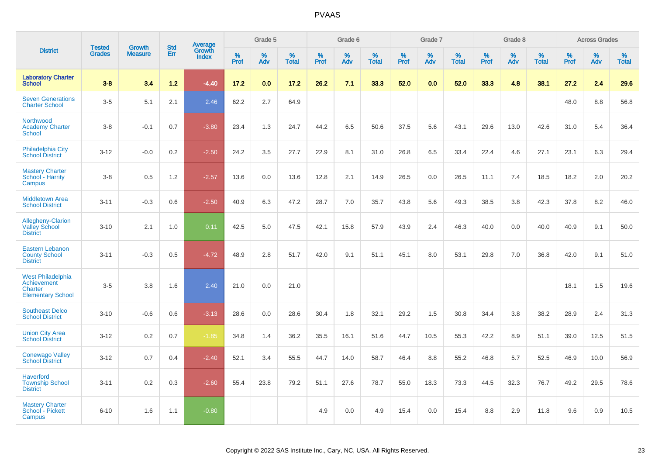|                                                                                |                                |                                 | <b>Std</b> | Average                |              | Grade 5     |                      |              | Grade 6  |                      |              | Grade 7  |                   |              | Grade 8  |                   |              | <b>Across Grades</b> |            |
|--------------------------------------------------------------------------------|--------------------------------|---------------------------------|------------|------------------------|--------------|-------------|----------------------|--------------|----------|----------------------|--------------|----------|-------------------|--------------|----------|-------------------|--------------|----------------------|------------|
| <b>District</b>                                                                | <b>Tested</b><br><b>Grades</b> | <b>Growth</b><br><b>Measure</b> | Err        | Growth<br><b>Index</b> | $\%$<br>Prof | $\%$<br>Adv | $\%$<br><b>Total</b> | $\%$<br>Prof | %<br>Adv | $\%$<br><b>Total</b> | $\%$<br>Prof | %<br>Adv | %<br><b>Total</b> | $\%$<br>Prof | %<br>Adv | %<br><b>Total</b> | $\%$<br>Prof | %<br>Adv             | %<br>Total |
| <b>Laboratory Charter</b><br><b>School</b>                                     | $3 - 8$                        | 3.4                             | $1.2$      | $-4.40$                | 17.2         | 0.0         | 17.2                 | 26.2         | 7.1      | 33.3                 | 52.0         | 0.0      | 52.0              | 33.3         | 4.8      | 38.1              | 27.2         | 2.4                  | 29.6       |
| <b>Seven Generations</b><br><b>Charter School</b>                              | $3-5$                          | 5.1                             | 2.1        | 2.46                   | 62.2         | 2.7         | 64.9                 |              |          |                      |              |          |                   |              |          |                   | 48.0         | 8.8                  | 56.8       |
| Northwood<br><b>Academy Charter</b><br>School                                  | $3-8$                          | $-0.1$                          | 0.7        | $-3.80$                | 23.4         | 1.3         | 24.7                 | 44.2         | 6.5      | 50.6                 | 37.5         | 5.6      | 43.1              | 29.6         | 13.0     | 42.6              | 31.0         | 5.4                  | 36.4       |
| <b>Philadelphia City</b><br><b>School District</b>                             | $3 - 12$                       | $-0.0$                          | $0.2\,$    | $-2.50$                | 24.2         | 3.5         | 27.7                 | 22.9         | 8.1      | 31.0                 | 26.8         | 6.5      | 33.4              | 22.4         | 4.6      | 27.1              | 23.1         | 6.3                  | 29.4       |
| <b>Mastery Charter</b><br>School - Harrity<br>Campus                           | $3-8$                          | 0.5                             | 1.2        | $-2.57$                | 13.6         | 0.0         | 13.6                 | 12.8         | 2.1      | 14.9                 | 26.5         | 0.0      | 26.5              | 11.1         | 7.4      | 18.5              | 18.2         | 2.0                  | 20.2       |
| <b>Middletown Area</b><br><b>School District</b>                               | $3 - 11$                       | $-0.3$                          | 0.6        | $-2.50$                | 40.9         | 6.3         | 47.2                 | 28.7         | 7.0      | 35.7                 | 43.8         | 5.6      | 49.3              | 38.5         | 3.8      | 42.3              | 37.8         | 8.2                  | 46.0       |
| <b>Allegheny-Clarion</b><br><b>Valley School</b><br><b>District</b>            | $3 - 10$                       | 2.1                             | 1.0        | 0.11                   | 42.5         | 5.0         | 47.5                 | 42.1         | 15.8     | 57.9                 | 43.9         | 2.4      | 46.3              | 40.0         | 0.0      | 40.0              | 40.9         | 9.1                  | 50.0       |
| <b>Eastern Lebanon</b><br><b>County School</b><br><b>District</b>              | $3 - 11$                       | $-0.3$                          | 0.5        | $-4.72$                | 48.9         | 2.8         | 51.7                 | 42.0         | 9.1      | 51.1                 | 45.1         | 8.0      | 53.1              | 29.8         | 7.0      | 36.8              | 42.0         | 9.1                  | 51.0       |
| <b>West Philadelphia</b><br>Achievement<br>Charter<br><b>Elementary School</b> | $3-5$                          | 3.8                             | 1.6        | 2.40                   | 21.0         | 0.0         | 21.0                 |              |          |                      |              |          |                   |              |          |                   | 18.1         | 1.5                  | 19.6       |
| <b>Southeast Delco</b><br><b>School District</b>                               | $3 - 10$                       | $-0.6$                          | 0.6        | $-3.13$                | 28.6         | 0.0         | 28.6                 | 30.4         | 1.8      | 32.1                 | 29.2         | 1.5      | 30.8              | 34.4         | 3.8      | 38.2              | 28.9         | 2.4                  | 31.3       |
| <b>Union City Area</b><br><b>School District</b>                               | $3 - 12$                       | 0.2                             | 0.7        | $-1.85$                | 34.8         | 1.4         | 36.2                 | 35.5         | 16.1     | 51.6                 | 44.7         | 10.5     | 55.3              | 42.2         | 8.9      | 51.1              | 39.0         | 12.5                 | 51.5       |
| <b>Conewago Valley</b><br><b>School District</b>                               | $3 - 12$                       | 0.7                             | 0.4        | $-2.40$                | 52.1         | 3.4         | 55.5                 | 44.7         | 14.0     | 58.7                 | 46.4         | 8.8      | 55.2              | 46.8         | 5.7      | 52.5              | 46.9         | 10.0                 | 56.9       |
| <b>Haverford</b><br><b>Township School</b><br><b>District</b>                  | $3 - 11$                       | 0.2                             | 0.3        | $-2.60$                | 55.4         | 23.8        | 79.2                 | 51.1         | 27.6     | 78.7                 | 55.0         | 18.3     | 73.3              | 44.5         | 32.3     | 76.7              | 49.2         | 29.5                 | 78.6       |
| <b>Mastery Charter</b><br>School - Pickett<br>Campus                           | $6 - 10$                       | 1.6                             | 1.1        | $-0.80$                |              |             |                      | 4.9          | 0.0      | 4.9                  | 15.4         | 0.0      | 15.4              | 8.8          | 2.9      | 11.8              | 9.6          | 0.9                  | 10.5       |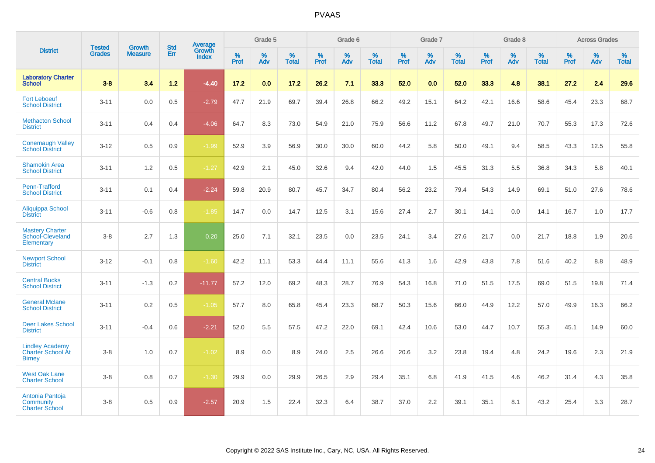|                                                                     |                                |                                 | <b>Std</b> | Average                |           | Grade 5  |                   |           | Grade 6  |                   |           | Grade 7  |                   |           | Grade 8  |                   |           | <b>Across Grades</b> |                   |
|---------------------------------------------------------------------|--------------------------------|---------------------------------|------------|------------------------|-----------|----------|-------------------|-----------|----------|-------------------|-----------|----------|-------------------|-----------|----------|-------------------|-----------|----------------------|-------------------|
| <b>District</b>                                                     | <b>Tested</b><br><b>Grades</b> | <b>Growth</b><br><b>Measure</b> | Err        | Growth<br><b>Index</b> | %<br>Prof | %<br>Adv | %<br><b>Total</b> | %<br>Prof | %<br>Adv | %<br><b>Total</b> | %<br>Prof | %<br>Adv | %<br><b>Total</b> | %<br>Prof | %<br>Adv | %<br><b>Total</b> | %<br>Prof | %<br>Adv             | %<br><b>Total</b> |
| <b>Laboratory Charter</b><br><b>School</b>                          | $3 - 8$                        | 3.4                             | 1.2        | $-4.40$                | 17.2      | 0.0      | 17.2              | 26.2      | 7.1      | 33.3              | 52.0      | 0.0      | 52.0              | 33.3      | 4.8      | 38.1              | 27.2      | 2.4                  | 29.6              |
| <b>Fort Leboeuf</b><br><b>School District</b>                       | $3 - 11$                       | 0.0                             | 0.5        | $-2.79$                | 47.7      | 21.9     | 69.7              | 39.4      | 26.8     | 66.2              | 49.2      | 15.1     | 64.2              | 42.1      | 16.6     | 58.6              | 45.4      | 23.3                 | 68.7              |
| <b>Methacton School</b><br><b>District</b>                          | $3 - 11$                       | 0.4                             | 0.4        | $-4.06$                | 64.7      | 8.3      | 73.0              | 54.9      | 21.0     | 75.9              | 56.6      | 11.2     | 67.8              | 49.7      | 21.0     | 70.7              | 55.3      | 17.3                 | 72.6              |
| <b>Conemaugh Valley</b><br><b>School District</b>                   | $3 - 12$                       | 0.5                             | 0.9        | $-1.99$                | 52.9      | 3.9      | 56.9              | 30.0      | 30.0     | 60.0              | 44.2      | 5.8      | 50.0              | 49.1      | 9.4      | 58.5              | 43.3      | 12.5                 | 55.8              |
| <b>Shamokin Area</b><br><b>School District</b>                      | $3 - 11$                       | 1.2                             | 0.5        | $-1.27$                | 42.9      | 2.1      | 45.0              | 32.6      | 9.4      | 42.0              | 44.0      | 1.5      | 45.5              | 31.3      | 5.5      | 36.8              | 34.3      | 5.8                  | 40.1              |
| Penn-Trafford<br><b>School District</b>                             | $3 - 11$                       | 0.1                             | 0.4        | $-2.24$                | 59.8      | 20.9     | 80.7              | 45.7      | 34.7     | 80.4              | 56.2      | 23.2     | 79.4              | 54.3      | 14.9     | 69.1              | 51.0      | 27.6                 | 78.6              |
| Aliquippa School<br><b>District</b>                                 | $3 - 11$                       | $-0.6$                          | 0.8        | $-1.85$                | 14.7      | 0.0      | 14.7              | 12.5      | 3.1      | 15.6              | 27.4      | 2.7      | 30.1              | 14.1      | 0.0      | 14.1              | 16.7      | 1.0                  | 17.7              |
| <b>Mastery Charter</b><br>School-Cleveland<br>Elementary            | $3 - 8$                        | 2.7                             | 1.3        | 0.20                   | 25.0      | 7.1      | 32.1              | 23.5      | 0.0      | 23.5              | 24.1      | 3.4      | 27.6              | 21.7      | 0.0      | 21.7              | 18.8      | 1.9                  | 20.6              |
| <b>Newport School</b><br><b>District</b>                            | $3 - 12$                       | $-0.1$                          | 0.8        | $-1.60$                | 42.2      | 11.1     | 53.3              | 44.4      | 11.1     | 55.6              | 41.3      | 1.6      | 42.9              | 43.8      | 7.8      | 51.6              | 40.2      | 8.8                  | 48.9              |
| <b>Central Bucks</b><br><b>School District</b>                      | $3 - 11$                       | $-1.3$                          | 0.2        | $-11.77$               | 57.2      | 12.0     | 69.2              | 48.3      | 28.7     | 76.9              | 54.3      | 16.8     | 71.0              | 51.5      | 17.5     | 69.0              | 51.5      | 19.8                 | 71.4              |
| <b>General Mclane</b><br><b>School District</b>                     | $3 - 11$                       | 0.2                             | 0.5        | $-1.05$                | 57.7      | 8.0      | 65.8              | 45.4      | 23.3     | 68.7              | 50.3      | 15.6     | 66.0              | 44.9      | 12.2     | 57.0              | 49.9      | 16.3                 | 66.2              |
| <b>Deer Lakes School</b><br><b>District</b>                         | $3 - 11$                       | $-0.4$                          | 0.6        | $-2.21$                | 52.0      | 5.5      | 57.5              | 47.2      | 22.0     | 69.1              | 42.4      | 10.6     | 53.0              | 44.7      | 10.7     | 55.3              | 45.1      | 14.9                 | 60.0              |
| <b>Lindley Academy</b><br><b>Charter School At</b><br><b>Birney</b> | $3 - 8$                        | 1.0                             | 0.7        | $-1.02$                | 8.9       | 0.0      | 8.9               | 24.0      | 2.5      | 26.6              | 20.6      | 3.2      | 23.8              | 19.4      | 4.8      | 24.2              | 19.6      | 2.3                  | 21.9              |
| <b>West Oak Lane</b><br><b>Charter School</b>                       | $3 - 8$                        | 0.8                             | 0.7        | $-1.30$                | 29.9      | 0.0      | 29.9              | 26.5      | 2.9      | 29.4              | 35.1      | 6.8      | 41.9              | 41.5      | 4.6      | 46.2              | 31.4      | 4.3                  | 35.8              |
| Antonia Pantoja<br>Community<br><b>Charter School</b>               | $3 - 8$                        | 0.5                             | 0.9        | $-2.57$                | 20.9      | 1.5      | 22.4              | 32.3      | 6.4      | 38.7              | 37.0      | 2.2      | 39.1              | 35.1      | 8.1      | 43.2              | 25.4      | 3.3                  | 28.7              |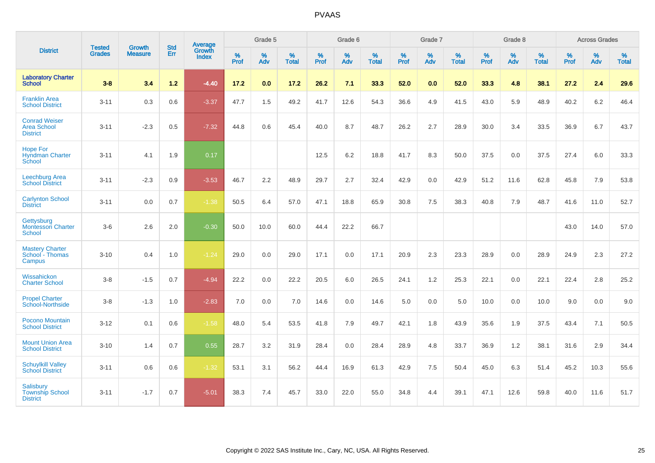|                                                               | <b>Tested</b> | <b>Growth</b>  | <b>Std</b> | Average                |                     | Grade 5     |                   |                     | Grade 6  |                   |                     | Grade 7  |                   |              | Grade 8  |                   |                     | <b>Across Grades</b> |                   |
|---------------------------------------------------------------|---------------|----------------|------------|------------------------|---------------------|-------------|-------------------|---------------------|----------|-------------------|---------------------|----------|-------------------|--------------|----------|-------------------|---------------------|----------------------|-------------------|
| <b>District</b>                                               | <b>Grades</b> | <b>Measure</b> | Err        | Growth<br><b>Index</b> | $\%$<br><b>Prof</b> | $\%$<br>Adv | %<br><b>Total</b> | $\%$<br><b>Prof</b> | %<br>Adv | %<br><b>Total</b> | $\%$<br><b>Prof</b> | %<br>Adv | %<br><b>Total</b> | $\%$<br>Prof | %<br>Adv | %<br><b>Total</b> | $\%$<br><b>Prof</b> | %<br>Adv             | %<br><b>Total</b> |
| <b>Laboratory Charter</b><br><b>School</b>                    | $3-8$         | 3.4            | 1.2        | $-4.40$                | 17.2                | 0.0         | 17.2              | 26.2                | 7.1      | 33.3              | 52.0                | 0.0      | 52.0              | 33.3         | 4.8      | 38.1              | 27.2                | 2.4                  | 29.6              |
| <b>Franklin Area</b><br><b>School District</b>                | $3 - 11$      | 0.3            | 0.6        | $-3.37$                | 47.7                | 1.5         | 49.2              | 41.7                | 12.6     | 54.3              | 36.6                | 4.9      | 41.5              | 43.0         | 5.9      | 48.9              | 40.2                | 6.2                  | 46.4              |
| <b>Conrad Weiser</b><br>Area School<br><b>District</b>        | $3 - 11$      | $-2.3$         | 0.5        | $-7.32$                | 44.8                | 0.6         | 45.4              | 40.0                | 8.7      | 48.7              | 26.2                | 2.7      | 28.9              | 30.0         | 3.4      | 33.5              | 36.9                | 6.7                  | 43.7              |
| <b>Hope For</b><br><b>Hyndman Charter</b><br>School           | $3 - 11$      | 4.1            | 1.9        | 0.17                   |                     |             |                   | 12.5                | 6.2      | 18.8              | 41.7                | 8.3      | 50.0              | 37.5         | 0.0      | 37.5              | 27.4                | 6.0                  | 33.3              |
| Leechburg Area<br><b>School District</b>                      | $3 - 11$      | $-2.3$         | 0.9        | $-3.53$                | 46.7                | 2.2         | 48.9              | 29.7                | 2.7      | 32.4              | 42.9                | 0.0      | 42.9              | 51.2         | 11.6     | 62.8              | 45.8                | 7.9                  | 53.8              |
| <b>Carlynton School</b><br><b>District</b>                    | $3 - 11$      | 0.0            | 0.7        | $-1.38$                | 50.5                | 6.4         | 57.0              | 47.1                | 18.8     | 65.9              | 30.8                | 7.5      | 38.3              | 40.8         | 7.9      | 48.7              | 41.6                | 11.0                 | 52.7              |
| Gettysburg<br><b>Montessori Charter</b><br>School             | $3-6$         | 2.6            | 2.0        | $-0.30$                | 50.0                | 10.0        | 60.0              | 44.4                | 22.2     | 66.7              |                     |          |                   |              |          |                   | 43.0                | 14.0                 | 57.0              |
| <b>Mastery Charter</b><br>School - Thomas<br>Campus           | $3 - 10$      | 0.4            | 1.0        | $-1.24$                | 29.0                | 0.0         | 29.0              | 17.1                | 0.0      | 17.1              | 20.9                | 2.3      | 23.3              | 28.9         | 0.0      | 28.9              | 24.9                | 2.3                  | 27.2              |
| Wissahickon<br><b>Charter School</b>                          | $3-8$         | $-1.5$         | 0.7        | $-4.94$                | 22.2                | 0.0         | 22.2              | 20.5                | 6.0      | 26.5              | 24.1                | 1.2      | 25.3              | 22.1         | 0.0      | 22.1              | 22.4                | 2.8                  | 25.2              |
| <b>Propel Charter</b><br>School-Northside                     | $3-8$         | $-1.3$         | 1.0        | $-2.83$                | 7.0                 | 0.0         | 7.0               | 14.6                | 0.0      | 14.6              | 5.0                 | 0.0      | 5.0               | 10.0         | 0.0      | 10.0              | 9.0                 | 0.0                  | 9.0               |
| Pocono Mountain<br><b>School District</b>                     | $3 - 12$      | 0.1            | 0.6        | $-1.58$                | 48.0                | 5.4         | 53.5              | 41.8                | 7.9      | 49.7              | 42.1                | 1.8      | 43.9              | 35.6         | 1.9      | 37.5              | 43.4                | 7.1                  | 50.5              |
| <b>Mount Union Area</b><br><b>School District</b>             | $3 - 10$      | 1.4            | 0.7        | 0.55                   | 28.7                | 3.2         | 31.9              | 28.4                | 0.0      | 28.4              | 28.9                | 4.8      | 33.7              | 36.9         | 1.2      | 38.1              | 31.6                | 2.9                  | 34.4              |
| <b>Schuylkill Valley</b><br><b>School District</b>            | $3 - 11$      | 0.6            | 0.6        | $-1.32$                | 53.1                | 3.1         | 56.2              | 44.4                | 16.9     | 61.3              | 42.9                | 7.5      | 50.4              | 45.0         | 6.3      | 51.4              | 45.2                | 10.3                 | 55.6              |
| <b>Salisbury</b><br><b>Township School</b><br><b>District</b> | $3 - 11$      | $-1.7$         | 0.7        | $-5.01$                | 38.3                | 7.4         | 45.7              | 33.0                | 22.0     | 55.0              | 34.8                | 4.4      | 39.1              | 47.1         | 12.6     | 59.8              | 40.0                | 11.6                 | 51.7              |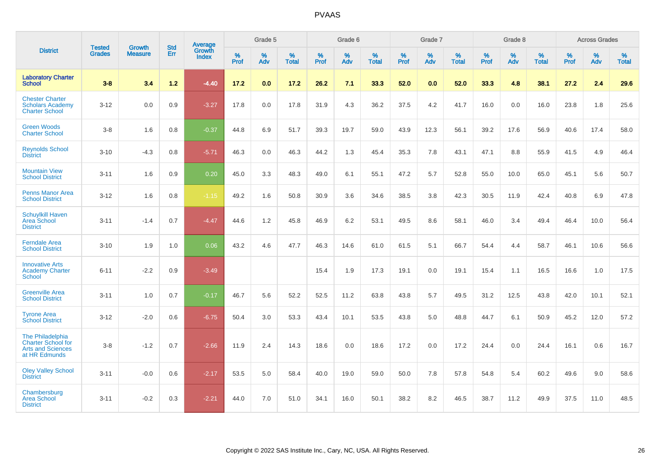|                                                                                            |                                |                                 | <b>Std</b> | Average                       |              | Grade 5  |                   |           | Grade 6  |                   |           | Grade 7  |                   |           | Grade 8  |                   |           | <b>Across Grades</b> |                   |
|--------------------------------------------------------------------------------------------|--------------------------------|---------------------------------|------------|-------------------------------|--------------|----------|-------------------|-----------|----------|-------------------|-----------|----------|-------------------|-----------|----------|-------------------|-----------|----------------------|-------------------|
| <b>District</b>                                                                            | <b>Tested</b><br><b>Grades</b> | <b>Growth</b><br><b>Measure</b> | Err        | <b>Growth</b><br><b>Index</b> | $\%$<br>Prof | %<br>Adv | %<br><b>Total</b> | %<br>Prof | %<br>Adv | %<br><b>Total</b> | %<br>Prof | %<br>Adv | %<br><b>Total</b> | %<br>Prof | %<br>Adv | %<br><b>Total</b> | %<br>Prof | %<br>Adv             | %<br><b>Total</b> |
| <b>Laboratory Charter</b><br><b>School</b>                                                 | $3 - 8$                        | 3.4                             | $1.2$      | $-4.40$                       | 17.2         | 0.0      | 17.2              | 26.2      | 7.1      | 33.3              | 52.0      | 0.0      | 52.0              | 33.3      | 4.8      | 38.1              | 27.2      | 2.4                  | 29.6              |
| <b>Chester Charter</b><br><b>Scholars Academy</b><br><b>Charter School</b>                 | $3 - 12$                       | 0.0                             | 0.9        | $-3.27$                       | 17.8         | 0.0      | 17.8              | 31.9      | 4.3      | 36.2              | 37.5      | 4.2      | 41.7              | 16.0      | 0.0      | 16.0              | 23.8      | 1.8                  | 25.6              |
| <b>Green Woods</b><br><b>Charter School</b>                                                | $3-8$                          | 1.6                             | 0.8        | $-0.37$                       | 44.8         | 6.9      | 51.7              | 39.3      | 19.7     | 59.0              | 43.9      | 12.3     | 56.1              | 39.2      | 17.6     | 56.9              | 40.6      | 17.4                 | 58.0              |
| <b>Reynolds School</b><br><b>District</b>                                                  | $3 - 10$                       | $-4.3$                          | 0.8        | $-5.71$                       | 46.3         | 0.0      | 46.3              | 44.2      | 1.3      | 45.4              | 35.3      | 7.8      | 43.1              | 47.1      | 8.8      | 55.9              | 41.5      | 4.9                  | 46.4              |
| <b>Mountain View</b><br><b>School District</b>                                             | $3 - 11$                       | 1.6                             | 0.9        | 0.20                          | 45.0         | 3.3      | 48.3              | 49.0      | 6.1      | 55.1              | 47.2      | 5.7      | 52.8              | 55.0      | 10.0     | 65.0              | 45.1      | 5.6                  | 50.7              |
| <b>Penns Manor Area</b><br><b>School District</b>                                          | $3 - 12$                       | 1.6                             | 0.8        | $-1.15$                       | 49.2         | 1.6      | 50.8              | 30.9      | 3.6      | 34.6              | 38.5      | 3.8      | 42.3              | 30.5      | 11.9     | 42.4              | 40.8      | 6.9                  | 47.8              |
| <b>Schuylkill Haven</b><br>Area School<br><b>District</b>                                  | $3 - 11$                       | $-1.4$                          | 0.7        | $-4.47$                       | 44.6         | 1.2      | 45.8              | 46.9      | 6.2      | 53.1              | 49.5      | 8.6      | 58.1              | 46.0      | 3.4      | 49.4              | 46.4      | 10.0                 | 56.4              |
| <b>Ferndale Area</b><br><b>School District</b>                                             | $3 - 10$                       | 1.9                             | 1.0        | 0.06                          | 43.2         | 4.6      | 47.7              | 46.3      | 14.6     | 61.0              | 61.5      | 5.1      | 66.7              | 54.4      | 4.4      | 58.7              | 46.1      | 10.6                 | 56.6              |
| <b>Innovative Arts</b><br><b>Academy Charter</b><br>School                                 | $6 - 11$                       | $-2.2$                          | 0.9        | $-3.49$                       |              |          |                   | 15.4      | 1.9      | 17.3              | 19.1      | 0.0      | 19.1              | 15.4      | 1.1      | 16.5              | 16.6      | 1.0                  | 17.5              |
| <b>Greenville Area</b><br><b>School District</b>                                           | $3 - 11$                       | 1.0                             | 0.7        | $-0.17$                       | 46.7         | 5.6      | 52.2              | 52.5      | 11.2     | 63.8              | 43.8      | 5.7      | 49.5              | 31.2      | 12.5     | 43.8              | 42.0      | 10.1                 | 52.1              |
| <b>Tyrone Area</b><br><b>School District</b>                                               | $3 - 12$                       | $-2.0$                          | 0.6        | $-6.75$                       | 50.4         | 3.0      | 53.3              | 43.4      | 10.1     | 53.5              | 43.8      | 5.0      | 48.8              | 44.7      | 6.1      | 50.9              | 45.2      | 12.0                 | 57.2              |
| The Philadelphia<br><b>Charter School for</b><br><b>Arts and Sciences</b><br>at HR Edmunds | $3-8$                          | $-1.2$                          | 0.7        | $-2.66$                       | 11.9         | 2.4      | 14.3              | 18.6      | 0.0      | 18.6              | 17.2      | 0.0      | 17.2              | 24.4      | 0.0      | 24.4              | 16.1      | 0.6                  | 16.7              |
| <b>Oley Valley School</b><br><b>District</b>                                               | $3 - 11$                       | $-0.0$                          | 0.6        | $-2.17$                       | 53.5         | 5.0      | 58.4              | 40.0      | 19.0     | 59.0              | 50.0      | 7.8      | 57.8              | 54.8      | 5.4      | 60.2              | 49.6      | 9.0                  | 58.6              |
| Chambersburg<br><b>Area School</b><br><b>District</b>                                      | $3 - 11$                       | $-0.2$                          | 0.3        | $-2.21$                       | 44.0         | 7.0      | 51.0              | 34.1      | 16.0     | 50.1              | 38.2      | 8.2      | 46.5              | 38.7      | 11.2     | 49.9              | 37.5      | 11.0                 | 48.5              |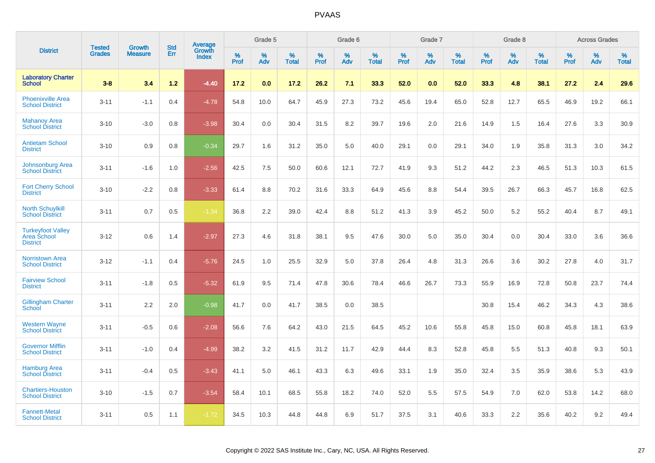|                                                            |                                |                                 | <b>Std</b> | Average                |              | Grade 5  |                      |                     | Grade 6     |                      |              | Grade 7     |                   |              | Grade 8     |                   |                     | <b>Across Grades</b> |                      |
|------------------------------------------------------------|--------------------------------|---------------------------------|------------|------------------------|--------------|----------|----------------------|---------------------|-------------|----------------------|--------------|-------------|-------------------|--------------|-------------|-------------------|---------------------|----------------------|----------------------|
| <b>District</b>                                            | <b>Tested</b><br><b>Grades</b> | <b>Growth</b><br><b>Measure</b> | Err        | Growth<br><b>Index</b> | $\%$<br>Prof | %<br>Adv | $\%$<br><b>Total</b> | $\%$<br><b>Prof</b> | $\%$<br>Adv | $\%$<br><b>Total</b> | $\%$<br>Prof | $\%$<br>Adv | %<br><b>Total</b> | $\%$<br>Prof | $\%$<br>Adv | %<br><b>Total</b> | $\%$<br><b>Prof</b> | $\%$<br>Adv          | $\%$<br><b>Total</b> |
| <b>Laboratory Charter</b><br><b>School</b>                 | $3 - 8$                        | 3.4                             | 1.2        | $-4.40$                | 17.2         | 0.0      | 17.2                 | 26.2                | 7.1         | 33.3                 | 52.0         | 0.0         | 52.0              | 33.3         | 4.8         | 38.1              | 27.2                | 2.4                  | 29.6                 |
| <b>Phoenixville Area</b><br><b>School District</b>         | $3 - 11$                       | $-1.1$                          | 0.4        | $-4.78$                | 54.8         | 10.0     | 64.7                 | 45.9                | 27.3        | 73.2                 | 45.6         | 19.4        | 65.0              | 52.8         | 12.7        | 65.5              | 46.9                | 19.2                 | 66.1                 |
| <b>Mahanoy Area</b><br><b>School District</b>              | $3 - 10$                       | $-3.0$                          | 0.8        | $-3.98$                | 30.4         | 0.0      | 30.4                 | 31.5                | 8.2         | 39.7                 | 19.6         | 2.0         | 21.6              | 14.9         | 1.5         | 16.4              | 27.6                | 3.3                  | 30.9                 |
| <b>Antietam School</b><br><b>District</b>                  | $3 - 10$                       | 0.9                             | 0.8        | $-0.34$                | 29.7         | 1.6      | 31.2                 | 35.0                | 5.0         | 40.0                 | 29.1         | 0.0         | 29.1              | 34.0         | 1.9         | 35.8              | 31.3                | 3.0                  | 34.2                 |
| <b>Johnsonburg Area</b><br><b>School District</b>          | $3 - 11$                       | $-1.6$                          | 1.0        | $-2.56$                | 42.5         | 7.5      | 50.0                 | 60.6                | 12.1        | 72.7                 | 41.9         | 9.3         | 51.2              | 44.2         | 2.3         | 46.5              | 51.3                | 10.3                 | 61.5                 |
| <b>Fort Cherry School</b><br><b>District</b>               | $3 - 10$                       | $-2.2$                          | 0.8        | $-3.33$                | 61.4         | 8.8      | 70.2                 | 31.6                | 33.3        | 64.9                 | 45.6         | 8.8         | 54.4              | 39.5         | 26.7        | 66.3              | 45.7                | 16.8                 | 62.5                 |
| <b>North Schuylkill</b><br><b>School District</b>          | $3 - 11$                       | 0.7                             | 0.5        | $-1.34$                | 36.8         | 2.2      | 39.0                 | 42.4                | 8.8         | 51.2                 | 41.3         | 3.9         | 45.2              | 50.0         | 5.2         | 55.2              | 40.4                | 8.7                  | 49.1                 |
| <b>Turkeyfoot Valley</b><br>Area School<br><b>District</b> | $3 - 12$                       | 0.6                             | 1.4        | $-2.97$                | 27.3         | 4.6      | 31.8                 | 38.1                | 9.5         | 47.6                 | 30.0         | 5.0         | 35.0              | 30.4         | 0.0         | 30.4              | 33.0                | 3.6                  | 36.6                 |
| <b>Norristown Area</b><br><b>School District</b>           | $3 - 12$                       | $-1.1$                          | 0.4        | $-5.76$                | 24.5         | 1.0      | 25.5                 | 32.9                | 5.0         | 37.8                 | 26.4         | 4.8         | 31.3              | 26.6         | 3.6         | 30.2              | 27.8                | 4.0                  | 31.7                 |
| <b>Fairview School</b><br><b>District</b>                  | $3 - 11$                       | $-1.8$                          | 0.5        | $-5.32$                | 61.9         | 9.5      | 71.4                 | 47.8                | 30.6        | 78.4                 | 46.6         | 26.7        | 73.3              | 55.9         | 16.9        | 72.8              | 50.8                | 23.7                 | 74.4                 |
| <b>Gillingham Charter</b><br>School                        | $3 - 11$                       | 2.2                             | 2.0        | $-0.98$                | 41.7         | 0.0      | 41.7                 | 38.5                | 0.0         | 38.5                 |              |             |                   | 30.8         | 15.4        | 46.2              | 34.3                | 4.3                  | 38.6                 |
| <b>Western Wayne</b><br><b>School District</b>             | $3 - 11$                       | $-0.5$                          | 0.6        | $-2.08$                | 56.6         | 7.6      | 64.2                 | 43.0                | 21.5        | 64.5                 | 45.2         | 10.6        | 55.8              | 45.8         | 15.0        | 60.8              | 45.8                | 18.1                 | 63.9                 |
| <b>Governor Mifflin</b><br><b>School District</b>          | $3 - 11$                       | $-1.0$                          | 0.4        | $-4.99$                | 38.2         | 3.2      | 41.5                 | 31.2                | 11.7        | 42.9                 | 44.4         | 8.3         | 52.8              | 45.8         | 5.5         | 51.3              | 40.8                | 9.3                  | 50.1                 |
| <b>Hamburg Area</b><br><b>School District</b>              | $3 - 11$                       | $-0.4$                          | 0.5        | $-3.43$                | 41.1         | 5.0      | 46.1                 | 43.3                | 6.3         | 49.6                 | 33.1         | 1.9         | 35.0              | 32.4         | 3.5         | 35.9              | 38.6                | 5.3                  | 43.9                 |
| <b>Chartiers-Houston</b><br><b>School District</b>         | $3 - 10$                       | $-1.5$                          | 0.7        | $-3.54$                | 58.4         | 10.1     | 68.5                 | 55.8                | 18.2        | 74.0                 | 52.0         | 5.5         | 57.5              | 54.9         | 7.0         | 62.0              | 53.8                | 14.2                 | 68.0                 |
| <b>Fannett-Metal</b><br><b>School District</b>             | $3 - 11$                       | 0.5                             | 1.1        | $-1.72$                | 34.5         | 10.3     | 44.8                 | 44.8                | 6.9         | 51.7                 | 37.5         | 3.1         | 40.6              | 33.3         | 2.2         | 35.6              | 40.2                | 9.2                  | 49.4                 |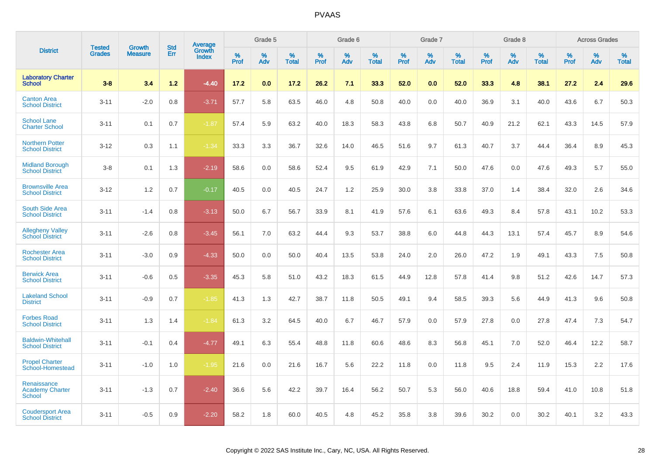|                                                        | <b>Tested</b> | <b>Growth</b>  | <b>Std</b> | Average                |                     | Grade 5  |                      |                     | Grade 6  |                      |              | Grade 7     |                   |              | Grade 8     |                   |                     | <b>Across Grades</b> |                   |
|--------------------------------------------------------|---------------|----------------|------------|------------------------|---------------------|----------|----------------------|---------------------|----------|----------------------|--------------|-------------|-------------------|--------------|-------------|-------------------|---------------------|----------------------|-------------------|
| <b>District</b>                                        | <b>Grades</b> | <b>Measure</b> | Err        | Growth<br><b>Index</b> | $\%$<br><b>Prof</b> | %<br>Adv | $\%$<br><b>Total</b> | $\%$<br><b>Prof</b> | %<br>Adv | $\%$<br><b>Total</b> | $\%$<br>Prof | $\%$<br>Adv | %<br><b>Total</b> | $\%$<br>Prof | $\%$<br>Adv | %<br><b>Total</b> | $\%$<br><b>Prof</b> | $\%$<br>Adv          | %<br><b>Total</b> |
| <b>Laboratory Charter</b><br><b>School</b>             | $3 - 8$       | 3.4            | 1.2        | $-4.40$                | 17.2                | 0.0      | 17.2                 | 26.2                | 7.1      | 33.3                 | 52.0         | 0.0         | 52.0              | 33.3         | 4.8         | 38.1              | 27.2                | 2.4                  | 29.6              |
| <b>Canton Area</b><br><b>School District</b>           | $3 - 11$      | $-2.0$         | 0.8        | $-3.71$                | 57.7                | 5.8      | 63.5                 | 46.0                | 4.8      | 50.8                 | 40.0         | 0.0         | 40.0              | 36.9         | 3.1         | 40.0              | 43.6                | 6.7                  | 50.3              |
| <b>School Lane</b><br><b>Charter School</b>            | $3 - 11$      | 0.1            | 0.7        | $-1.87$                | 57.4                | 5.9      | 63.2                 | 40.0                | 18.3     | 58.3                 | 43.8         | 6.8         | 50.7              | 40.9         | 21.2        | 62.1              | 43.3                | 14.5                 | 57.9              |
| <b>Northern Potter</b><br><b>School District</b>       | $3 - 12$      | 0.3            | 1.1        | $-1.34$                | 33.3                | 3.3      | 36.7                 | 32.6                | 14.0     | 46.5                 | 51.6         | 9.7         | 61.3              | 40.7         | 3.7         | 44.4              | 36.4                | 8.9                  | 45.3              |
| <b>Midland Borough</b><br><b>School District</b>       | $3 - 8$       | 0.1            | 1.3        | $-2.19$                | 58.6                | 0.0      | 58.6                 | 52.4                | 9.5      | 61.9                 | 42.9         | 7.1         | 50.0              | 47.6         | 0.0         | 47.6              | 49.3                | 5.7                  | 55.0              |
| <b>Brownsville Area</b><br><b>School District</b>      | $3 - 12$      | 1.2            | 0.7        | $-0.17$                | 40.5                | 0.0      | 40.5                 | 24.7                | 1.2      | 25.9                 | 30.0         | 3.8         | 33.8              | 37.0         | 1.4         | 38.4              | 32.0                | 2.6                  | 34.6              |
| <b>South Side Area</b><br><b>School District</b>       | $3 - 11$      | $-1.4$         | 0.8        | $-3.13$                | 50.0                | 6.7      | 56.7                 | 33.9                | 8.1      | 41.9                 | 57.6         | 6.1         | 63.6              | 49.3         | 8.4         | 57.8              | 43.1                | 10.2                 | 53.3              |
| <b>Allegheny Valley</b><br><b>School District</b>      | $3 - 11$      | $-2.6$         | 0.8        | $-3.45$                | 56.1                | 7.0      | 63.2                 | 44.4                | 9.3      | 53.7                 | 38.8         | 6.0         | 44.8              | 44.3         | 13.1        | 57.4              | 45.7                | 8.9                  | 54.6              |
| <b>Rochester Area</b><br><b>School District</b>        | $3 - 11$      | $-3.0$         | 0.9        | $-4.33$                | 50.0                | 0.0      | 50.0                 | 40.4                | 13.5     | 53.8                 | 24.0         | 2.0         | 26.0              | 47.2         | 1.9         | 49.1              | 43.3                | 7.5                  | 50.8              |
| <b>Berwick Area</b><br><b>School District</b>          | $3 - 11$      | $-0.6$         | 0.5        | $-3.35$                | 45.3                | 5.8      | 51.0                 | 43.2                | 18.3     | 61.5                 | 44.9         | 12.8        | 57.8              | 41.4         | 9.8         | 51.2              | 42.6                | 14.7                 | 57.3              |
| <b>Lakeland School</b><br><b>District</b>              | $3 - 11$      | $-0.9$         | 0.7        | $-1.85$                | 41.3                | 1.3      | 42.7                 | 38.7                | 11.8     | 50.5                 | 49.1         | 9.4         | 58.5              | 39.3         | 5.6         | 44.9              | 41.3                | 9.6                  | 50.8              |
| <b>Forbes Road</b><br><b>School District</b>           | $3 - 11$      | 1.3            | 1.4        | $-1.84$                | 61.3                | 3.2      | 64.5                 | 40.0                | 6.7      | 46.7                 | 57.9         | 0.0         | 57.9              | 27.8         | 0.0         | 27.8              | 47.4                | 7.3                  | 54.7              |
| <b>Baldwin-Whitehall</b><br><b>School District</b>     | $3 - 11$      | $-0.1$         | 0.4        | $-4.77$                | 49.1                | 6.3      | 55.4                 | 48.8                | 11.8     | 60.6                 | 48.6         | 8.3         | 56.8              | 45.1         | 7.0         | 52.0              | 46.4                | 12.2                 | 58.7              |
| <b>Propel Charter</b><br>School-Homestead              | $3 - 11$      | $-1.0$         | 1.0        | $-1.95$                | 21.6                | 0.0      | 21.6                 | 16.7                | 5.6      | 22.2                 | 11.8         | 0.0         | 11.8              | 9.5          | 2.4         | 11.9              | 15.3                | 2.2                  | 17.6              |
| Renaissance<br><b>Academy Charter</b><br><b>School</b> | $3 - 11$      | $-1.3$         | 0.7        | $-2.40$                | 36.6                | 5.6      | 42.2                 | 39.7                | 16.4     | 56.2                 | 50.7         | 5.3         | 56.0              | 40.6         | 18.8        | 59.4              | 41.0                | 10.8                 | 51.8              |
| <b>Coudersport Area</b><br><b>School District</b>      | $3 - 11$      | $-0.5$         | 0.9        | $-2.20$                | 58.2                | 1.8      | 60.0                 | 40.5                | 4.8      | 45.2                 | 35.8         | 3.8         | 39.6              | 30.2         | 0.0         | 30.2              | 40.1                | 3.2                  | 43.3              |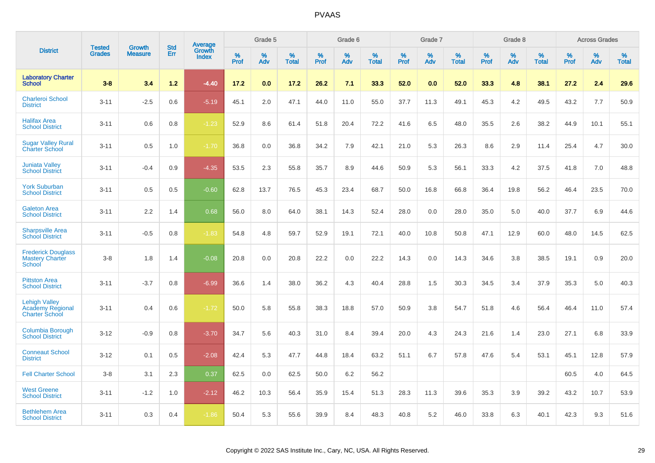|                                                                          |                                | <b>Growth</b>  | <b>Std</b> | Average                |              | Grade 5     |                      |                     | Grade 6     |                      |              | Grade 7     |                      |              | Grade 8     |                      |                     | <b>Across Grades</b> |                      |
|--------------------------------------------------------------------------|--------------------------------|----------------|------------|------------------------|--------------|-------------|----------------------|---------------------|-------------|----------------------|--------------|-------------|----------------------|--------------|-------------|----------------------|---------------------|----------------------|----------------------|
| <b>District</b>                                                          | <b>Tested</b><br><b>Grades</b> | <b>Measure</b> | Err        | Growth<br><b>Index</b> | $\%$<br>Prof | $\%$<br>Adv | $\%$<br><b>Total</b> | $\%$<br><b>Prof</b> | $\%$<br>Adv | $\%$<br><b>Total</b> | $\%$<br>Prof | $\%$<br>Adv | $\%$<br><b>Total</b> | $\%$<br>Prof | $\%$<br>Adv | $\%$<br><b>Total</b> | $\%$<br><b>Prof</b> | $\%$<br>Adv          | $\%$<br><b>Total</b> |
| <b>Laboratory Charter</b><br><b>School</b>                               | $3 - 8$                        | 3.4            | $1.2$      | $-4.40$                | 17.2         | 0.0         | 17.2                 | 26.2                | 7.1         | 33.3                 | 52.0         | 0.0         | 52.0                 | 33.3         | 4.8         | 38.1                 | 27.2                | 2.4                  | 29.6                 |
| <b>Charleroi School</b><br><b>District</b>                               | $3 - 11$                       | $-2.5$         | 0.6        | $-5.19$                | 45.1         | 2.0         | 47.1                 | 44.0                | 11.0        | 55.0                 | 37.7         | 11.3        | 49.1                 | 45.3         | 4.2         | 49.5                 | 43.2                | 7.7                  | 50.9                 |
| <b>Halifax Area</b><br><b>School District</b>                            | $3 - 11$                       | 0.6            | 0.8        | $-1.23$                | 52.9         | 8.6         | 61.4                 | 51.8                | 20.4        | 72.2                 | 41.6         | 6.5         | 48.0                 | 35.5         | 2.6         | 38.2                 | 44.9                | 10.1                 | 55.1                 |
| <b>Sugar Valley Rural</b><br><b>Charter School</b>                       | $3 - 11$                       | 0.5            | 1.0        | $-1.70$                | 36.8         | 0.0         | 36.8                 | 34.2                | 7.9         | 42.1                 | 21.0         | 5.3         | 26.3                 | 8.6          | 2.9         | 11.4                 | 25.4                | 4.7                  | 30.0                 |
| <b>Juniata Valley</b><br><b>School District</b>                          | $3 - 11$                       | $-0.4$         | 0.9        | $-4.35$                | 53.5         | 2.3         | 55.8                 | 35.7                | 8.9         | 44.6                 | 50.9         | 5.3         | 56.1                 | 33.3         | 4.2         | 37.5                 | 41.8                | 7.0                  | 48.8                 |
| <b>York Suburban</b><br><b>School District</b>                           | $3 - 11$                       | 0.5            | 0.5        | $-0.60$                | 62.8         | 13.7        | 76.5                 | 45.3                | 23.4        | 68.7                 | 50.0         | 16.8        | 66.8                 | 36.4         | 19.8        | 56.2                 | 46.4                | 23.5                 | 70.0                 |
| <b>Galeton Area</b><br><b>School District</b>                            | $3 - 11$                       | 2.2            | 1.4        | 0.68                   | 56.0         | 8.0         | 64.0                 | 38.1                | 14.3        | 52.4                 | 28.0         | 0.0         | 28.0                 | 35.0         | 5.0         | 40.0                 | 37.7                | 6.9                  | 44.6                 |
| <b>Sharpsville Area</b><br><b>School District</b>                        | $3 - 11$                       | $-0.5$         | 0.8        | $-1.83$                | 54.8         | 4.8         | 59.7                 | 52.9                | 19.1        | 72.1                 | 40.0         | 10.8        | 50.8                 | 47.1         | 12.9        | 60.0                 | 48.0                | 14.5                 | 62.5                 |
| <b>Frederick Douglass</b><br><b>Mastery Charter</b><br>School            | $3-8$                          | 1.8            | 1.4        | $-0.08$                | 20.8         | 0.0         | 20.8                 | 22.2                | 0.0         | 22.2                 | 14.3         | 0.0         | 14.3                 | 34.6         | 3.8         | 38.5                 | 19.1                | 0.9                  | 20.0                 |
| <b>Pittston Area</b><br><b>School District</b>                           | $3 - 11$                       | $-3.7$         | 0.8        | $-6.99$                | 36.6         | 1.4         | 38.0                 | 36.2                | 4.3         | 40.4                 | 28.8         | 1.5         | 30.3                 | 34.5         | 3.4         | 37.9                 | 35.3                | 5.0                  | 40.3                 |
| <b>Lehigh Valley</b><br><b>Academy Regional</b><br><b>Charter School</b> | $3 - 11$                       | 0.4            | 0.6        | $-1.72$                | 50.0         | 5.8         | 55.8                 | 38.3                | 18.8        | 57.0                 | 50.9         | 3.8         | 54.7                 | 51.8         | 4.6         | 56.4                 | 46.4                | 11.0                 | 57.4                 |
| <b>Columbia Borough</b><br><b>School District</b>                        | $3 - 12$                       | $-0.9$         | 0.8        | $-3.70$                | 34.7         | 5.6         | 40.3                 | 31.0                | 8.4         | 39.4                 | 20.0         | 4.3         | 24.3                 | 21.6         | 1.4         | 23.0                 | 27.1                | 6.8                  | 33.9                 |
| <b>Conneaut School</b><br><b>District</b>                                | $3 - 12$                       | 0.1            | 0.5        | $-2.08$                | 42.4         | 5.3         | 47.7                 | 44.8                | 18.4        | 63.2                 | 51.1         | 6.7         | 57.8                 | 47.6         | 5.4         | 53.1                 | 45.1                | 12.8                 | 57.9                 |
| <b>Fell Charter School</b>                                               | $3 - 8$                        | 3.1            | 2.3        | 0.37                   | 62.5         | 0.0         | 62.5                 | 50.0                | 6.2         | 56.2                 |              |             |                      |              |             |                      | 60.5                | 4.0                  | 64.5                 |
| <b>West Greene</b><br><b>School District</b>                             | $3 - 11$                       | $-1.2$         | 1.0        | $-2.12$                | 46.2         | 10.3        | 56.4                 | 35.9                | 15.4        | 51.3                 | 28.3         | 11.3        | 39.6                 | 35.3         | 3.9         | 39.2                 | 43.2                | 10.7                 | 53.9                 |
| <b>Bethlehem Area</b><br><b>School District</b>                          | $3 - 11$                       | 0.3            | 0.4        | $-1.86$                | 50.4         | 5.3         | 55.6                 | 39.9                | 8.4         | 48.3                 | 40.8         | 5.2         | 46.0                 | 33.8         | 6.3         | 40.1                 | 42.3                | 9.3                  | 51.6                 |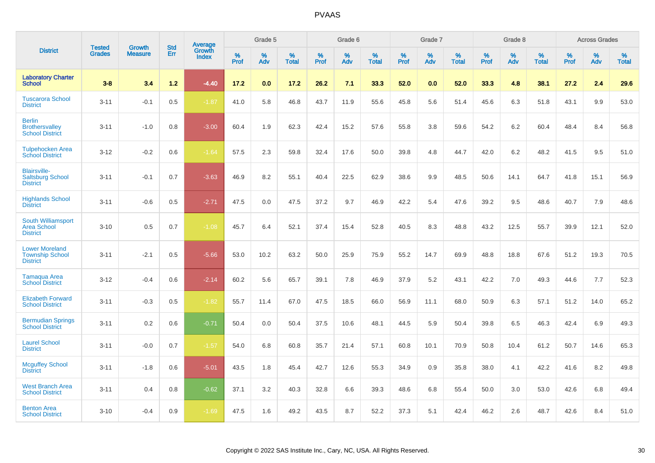|                                                                    |                                | <b>Growth</b>  | <b>Std</b> |                                   |              | Grade 5  |                   |              | Grade 6  |                   |              | Grade 7  |                   |              | Grade 8  |                   |              | <b>Across Grades</b> |                   |
|--------------------------------------------------------------------|--------------------------------|----------------|------------|-----------------------------------|--------------|----------|-------------------|--------------|----------|-------------------|--------------|----------|-------------------|--------------|----------|-------------------|--------------|----------------------|-------------------|
| <b>District</b>                                                    | <b>Tested</b><br><b>Grades</b> | <b>Measure</b> | <b>Err</b> | <b>Average</b><br>Growth<br>Index | $\%$<br>Prof | %<br>Adv | %<br><b>Total</b> | $\%$<br>Prof | %<br>Adv | %<br><b>Total</b> | $\%$<br>Prof | %<br>Adv | %<br><b>Total</b> | $\%$<br>Prof | %<br>Adv | %<br><b>Total</b> | $\%$<br>Prof | %<br>Adv             | %<br><b>Total</b> |
| <b>Laboratory Charter</b><br><b>School</b>                         | $3 - 8$                        | 3.4            | 1.2        | $-4.40$                           | 17.2         | 0.0      | 17.2              | 26.2         | 7.1      | 33.3              | 52.0         | 0.0      | 52.0              | 33.3         | 4.8      | 38.1              | 27.2         | 2.4                  | 29.6              |
| <b>Tuscarora School</b><br><b>District</b>                         | $3 - 11$                       | $-0.1$         | 0.5        | $-1.87$                           | 41.0         | 5.8      | 46.8              | 43.7         | 11.9     | 55.6              | 45.8         | 5.6      | 51.4              | 45.6         | 6.3      | 51.8              | 43.1         | 9.9                  | 53.0              |
| <b>Berlin</b><br><b>Brothersvalley</b><br><b>School District</b>   | $3 - 11$                       | $-1.0$         | 0.8        | $-3.00$                           | 60.4         | 1.9      | 62.3              | 42.4         | 15.2     | 57.6              | 55.8         | 3.8      | 59.6              | 54.2         | 6.2      | 60.4              | 48.4         | 8.4                  | 56.8              |
| <b>Tulpehocken Area</b><br><b>School District</b>                  | $3 - 12$                       | $-0.2$         | 0.6        | $-1.64$                           | 57.5         | 2.3      | 59.8              | 32.4         | 17.6     | 50.0              | 39.8         | 4.8      | 44.7              | 42.0         | 6.2      | 48.2              | 41.5         | 9.5                  | 51.0              |
| <b>Blairsville-</b><br><b>Saltsburg School</b><br><b>District</b>  | $3 - 11$                       | $-0.1$         | 0.7        | $-3.63$                           | 46.9         | 8.2      | 55.1              | 40.4         | 22.5     | 62.9              | 38.6         | 9.9      | 48.5              | 50.6         | 14.1     | 64.7              | 41.8         | 15.1                 | 56.9              |
| <b>Highlands School</b><br><b>District</b>                         | $3 - 11$                       | $-0.6$         | 0.5        | $-2.71$                           | 47.5         | 0.0      | 47.5              | 37.2         | 9.7      | 46.9              | 42.2         | 5.4      | 47.6              | 39.2         | 9.5      | 48.6              | 40.7         | 7.9                  | 48.6              |
| South Williamsport<br>Area School<br><b>District</b>               | $3 - 10$                       | 0.5            | 0.7        | $-1.08$                           | 45.7         | 6.4      | 52.1              | 37.4         | 15.4     | 52.8              | 40.5         | 8.3      | 48.8              | 43.2         | 12.5     | 55.7              | 39.9         | 12.1                 | 52.0              |
| <b>Lower Moreland</b><br><b>Township School</b><br><b>District</b> | $3 - 11$                       | $-2.1$         | 0.5        | $-5.66$                           | 53.0         | 10.2     | 63.2              | 50.0         | 25.9     | 75.9              | 55.2         | 14.7     | 69.9              | 48.8         | 18.8     | 67.6              | 51.2         | 19.3                 | 70.5              |
| <b>Tamaqua Area</b><br><b>School District</b>                      | $3 - 12$                       | $-0.4$         | 0.6        | $-2.14$                           | 60.2         | 5.6      | 65.7              | 39.1         | 7.8      | 46.9              | 37.9         | 5.2      | 43.1              | 42.2         | 7.0      | 49.3              | 44.6         | 7.7                  | 52.3              |
| <b>Elizabeth Forward</b><br><b>School District</b>                 | $3 - 11$                       | $-0.3$         | 0.5        | $-1.82$                           | 55.7         | 11.4     | 67.0              | 47.5         | 18.5     | 66.0              | 56.9         | 11.1     | 68.0              | 50.9         | 6.3      | 57.1              | 51.2         | 14.0                 | 65.2              |
| <b>Bermudian Springs</b><br><b>School District</b>                 | $3 - 11$                       | 0.2            | 0.6        | $-0.71$                           | 50.4         | 0.0      | 50.4              | 37.5         | 10.6     | 48.1              | 44.5         | 5.9      | 50.4              | 39.8         | 6.5      | 46.3              | 42.4         | 6.9                  | 49.3              |
| <b>Laurel School</b><br><b>District</b>                            | $3 - 11$                       | $-0.0$         | 0.7        | $-1.57$                           | 54.0         | 6.8      | 60.8              | 35.7         | 21.4     | 57.1              | 60.8         | 10.1     | 70.9              | 50.8         | 10.4     | 61.2              | 50.7         | 14.6                 | 65.3              |
| <b>Mcguffey School</b><br><b>District</b>                          | $3 - 11$                       | $-1.8$         | 0.6        | $-5.01$                           | 43.5         | 1.8      | 45.4              | 42.7         | 12.6     | 55.3              | 34.9         | 0.9      | 35.8              | 38.0         | 4.1      | 42.2              | 41.6         | 8.2                  | 49.8              |
| <b>West Branch Area</b><br><b>School District</b>                  | $3 - 11$                       | 0.4            | 0.8        | $-0.62$                           | 37.1         | 3.2      | 40.3              | 32.8         | 6.6      | 39.3              | 48.6         | 6.8      | 55.4              | 50.0         | 3.0      | 53.0              | 42.6         | 6.8                  | 49.4              |
| <b>Benton Area</b><br><b>School District</b>                       | $3 - 10$                       | $-0.4$         | 0.9        | $-1.69$                           | 47.5         | 1.6      | 49.2              | 43.5         | 8.7      | 52.2              | 37.3         | 5.1      | 42.4              | 46.2         | 2.6      | 48.7              | 42.6         | 8.4                  | 51.0              |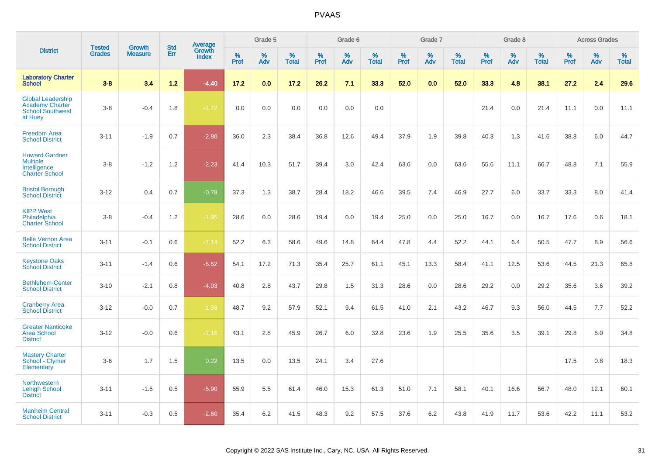|                                                                                          | <b>Tested</b> | <b>Growth</b>  | <b>Std</b> |                                   |              | Grade 5  |                   |              | Grade 6  |                   |              | Grade 7  |                   |              | Grade 8  |                   |           | <b>Across Grades</b> |                   |
|------------------------------------------------------------------------------------------|---------------|----------------|------------|-----------------------------------|--------------|----------|-------------------|--------------|----------|-------------------|--------------|----------|-------------------|--------------|----------|-------------------|-----------|----------------------|-------------------|
| <b>District</b>                                                                          | <b>Grades</b> | <b>Measure</b> | Err        | Average<br>Growth<br><b>Index</b> | $\%$<br>Prof | %<br>Adv | %<br><b>Total</b> | $\%$<br>Prof | %<br>Adv | %<br><b>Total</b> | $\%$<br>Prof | %<br>Adv | %<br><b>Total</b> | $\%$<br>Prof | %<br>Adv | %<br><b>Total</b> | %<br>Prof | %<br>Adv             | %<br><b>Total</b> |
| <b>Laboratory Charter</b><br><b>School</b>                                               | $3 - 8$       | 3.4            | $1.2$      | $-4.40$                           | 17.2         | 0.0      | 17.2              | 26.2         | 7.1      | 33.3              | 52.0         | 0.0      | 52.0              | 33.3         | 4.8      | 38.1              | 27.2      | 2.4                  | 29.6              |
| <b>Global Leadership</b><br><b>Academy Charter</b><br><b>School Southwest</b><br>at Huey | $3-8$         | $-0.4$         | 1.8        | $-1.72$                           | 0.0          | 0.0      | 0.0               | 0.0          | 0.0      | 0.0               |              |          |                   | 21.4         | 0.0      | 21.4              | 11.1      | 0.0                  | 11.1              |
| <b>Freedom Area</b><br><b>School District</b>                                            | $3 - 11$      | $-1.9$         | 0.7        | $-2.80$                           | 36.0         | 2.3      | 38.4              | 36.8         | 12.6     | 49.4              | 37.9         | 1.9      | 39.8              | 40.3         | 1.3      | 41.6              | 38.8      | 6.0                  | 44.7              |
| <b>Howard Gardner</b><br><b>Multiple</b><br>Intelligence<br><b>Charter School</b>        | $3-8$         | $-1.2$         | 1.2        | $-2.23$                           | 41.4         | 10.3     | 51.7              | 39.4         | 3.0      | 42.4              | 63.6         | 0.0      | 63.6              | 55.6         | 11.1     | 66.7              | 48.8      | 7.1                  | 55.9              |
| <b>Bristol Borough</b><br><b>School District</b>                                         | $3 - 12$      | 0.4            | 0.7        | $-0.78$                           | 37.3         | 1.3      | 38.7              | 28.4         | 18.2     | 46.6              | 39.5         | 7.4      | 46.9              | 27.7         | 6.0      | 33.7              | 33.3      | 8.0                  | 41.4              |
| <b>KIPP West</b><br>Philadelphia<br><b>Charter School</b>                                | $3-8$         | $-0.4$         | 1.2        | $-1.95$                           | 28.6         | 0.0      | 28.6              | 19.4         | 0.0      | 19.4              | 25.0         | 0.0      | 25.0              | 16.7         | 0.0      | 16.7              | 17.6      | 0.6                  | 18.1              |
| <b>Belle Vernon Area</b><br><b>School District</b>                                       | $3 - 11$      | $-0.1$         | 0.6        | $-1.14$                           | 52.2         | 6.3      | 58.6              | 49.6         | 14.8     | 64.4              | 47.8         | 4.4      | 52.2              | 44.1         | 6.4      | 50.5              | 47.7      | 8.9                  | 56.6              |
| <b>Keystone Oaks</b><br><b>School District</b>                                           | $3 - 11$      | $-1.4$         | 0.6        | $-5.52$                           | 54.1         | 17.2     | 71.3              | 35.4         | 25.7     | 61.1              | 45.1         | 13.3     | 58.4              | 41.1         | 12.5     | 53.6              | 44.5      | 21.3                 | 65.8              |
| <b>Bethlehem-Center</b><br><b>School District</b>                                        | $3 - 10$      | $-2.1$         | 0.8        | $-4.03$                           | 40.8         | 2.8      | 43.7              | 29.8         | 1.5      | 31.3              | 28.6         | 0.0      | 28.6              | 29.2         | 0.0      | 29.2              | 35.6      | 3.6                  | 39.2              |
| <b>Cranberry Area</b><br><b>School District</b>                                          | $3 - 12$      | $-0.0$         | 0.7        | $-1.98$                           | 48.7         | 9.2      | 57.9              | 52.1         | 9.4      | 61.5              | 41.0         | 2.1      | 43.2              | 46.7         | 9.3      | 56.0              | 44.5      | 7.7                  | 52.2              |
| <b>Greater Nanticoke</b><br><b>Area School</b><br><b>District</b>                        | $3-12$        | $-0.0$         | 0.6        | $-1.16$                           | 43.1         | 2.8      | 45.9              | 26.7         | 6.0      | 32.8              | 23.6         | 1.9      | 25.5              | 35.6         | 3.5      | 39.1              | 29.8      | 5.0                  | 34.8              |
| <b>Mastery Charter</b><br>School - Clymer<br>Elementary                                  | $3-6$         | 1.7            | 1.5        | 0.22                              | 13.5         | 0.0      | 13.5              | 24.1         | 3.4      | 27.6              |              |          |                   |              |          |                   | 17.5      | 0.8                  | 18.3              |
| <b>Northwestern</b><br><b>Lehigh School</b><br><b>District</b>                           | $3 - 11$      | $-1.5$         | 0.5        | $-5.90$                           | 55.9         | 5.5      | 61.4              | 46.0         | 15.3     | 61.3              | 51.0         | 7.1      | 58.1              | 40.1         | 16.6     | 56.7              | 48.0      | 12.1                 | 60.1              |
| <b>Manheim Central</b><br><b>School District</b>                                         | $3 - 11$      | $-0.3$         | 0.5        | $-2.60$                           | 35.4         | 6.2      | 41.5              | 48.3         | 9.2      | 57.5              | 37.6         | 6.2      | 43.8              | 41.9         | 11.7     | 53.6              | 42.2      | 11.1                 | 53.2              |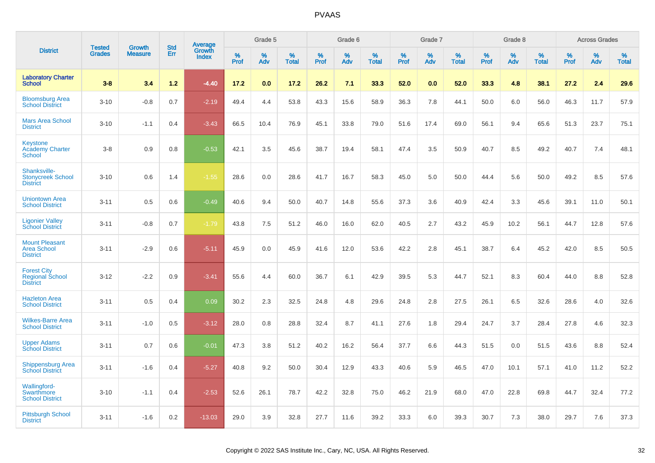|                                                                    | <b>Tested</b> | <b>Growth</b>  | <b>Std</b> |                                          |              | Grade 5  |                   |           | Grade 6  |                   |           | Grade 7  |                   |           | Grade 8  |                   |              | <b>Across Grades</b> |                   |
|--------------------------------------------------------------------|---------------|----------------|------------|------------------------------------------|--------------|----------|-------------------|-----------|----------|-------------------|-----------|----------|-------------------|-----------|----------|-------------------|--------------|----------------------|-------------------|
| <b>District</b>                                                    | <b>Grades</b> | <b>Measure</b> | <b>Err</b> | <b>Average</b><br>Growth<br><b>Index</b> | $\%$<br>Prof | %<br>Adv | %<br><b>Total</b> | %<br>Prof | %<br>Adv | %<br><b>Total</b> | %<br>Prof | %<br>Adv | %<br><b>Total</b> | %<br>Prof | %<br>Adv | %<br><b>Total</b> | $\%$<br>Prof | %<br>Adv             | %<br><b>Total</b> |
| <b>Laboratory Charter</b><br><b>School</b>                         | $3 - 8$       | 3.4            | $1.2$      | $-4.40$                                  | 17.2         | 0.0      | 17.2              | 26.2      | 7.1      | 33.3              | 52.0      | 0.0      | 52.0              | 33.3      | 4.8      | 38.1              | 27.2         | 2.4                  | 29.6              |
| <b>Bloomsburg Area</b><br><b>School District</b>                   | $3 - 10$      | $-0.8$         | 0.7        | $-2.19$                                  | 49.4         | 4.4      | 53.8              | 43.3      | 15.6     | 58.9              | 36.3      | 7.8      | 44.1              | 50.0      | 6.0      | 56.0              | 46.3         | 11.7                 | 57.9              |
| <b>Mars Area School</b><br><b>District</b>                         | $3 - 10$      | $-1.1$         | 0.4        | $-3.43$                                  | 66.5         | 10.4     | 76.9              | 45.1      | 33.8     | 79.0              | 51.6      | 17.4     | 69.0              | 56.1      | 9.4      | 65.6              | 51.3         | 23.7                 | 75.1              |
| <b>Keystone</b><br><b>Academy Charter</b><br>School                | $3 - 8$       | 0.9            | 0.8        | $-0.53$                                  | 42.1         | 3.5      | 45.6              | 38.7      | 19.4     | 58.1              | 47.4      | 3.5      | 50.9              | 40.7      | 8.5      | 49.2              | 40.7         | 7.4                  | 48.1              |
| Shanksville-<br><b>Stonycreek School</b><br><b>District</b>        | $3 - 10$      | 0.6            | 1.4        | $-1.55$                                  | 28.6         | 0.0      | 28.6              | 41.7      | 16.7     | 58.3              | 45.0      | 5.0      | 50.0              | 44.4      | 5.6      | 50.0              | 49.2         | 8.5                  | 57.6              |
| <b>Uniontown Area</b><br><b>School District</b>                    | $3 - 11$      | 0.5            | 0.6        | $-0.49$                                  | 40.6         | 9.4      | 50.0              | 40.7      | 14.8     | 55.6              | 37.3      | 3.6      | 40.9              | 42.4      | 3.3      | 45.6              | 39.1         | 11.0                 | 50.1              |
| <b>Ligonier Valley</b><br><b>School District</b>                   | $3 - 11$      | $-0.8$         | 0.7        | $-1.79$                                  | 43.8         | $7.5\,$  | 51.2              | 46.0      | 16.0     | 62.0              | 40.5      | 2.7      | 43.2              | 45.9      | 10.2     | 56.1              | 44.7         | 12.8                 | 57.6              |
| <b>Mount Pleasant</b><br><b>Area School</b><br><b>District</b>     | $3 - 11$      | $-2.9$         | 0.6        | $-5.11$                                  | 45.9         | 0.0      | 45.9              | 41.6      | 12.0     | 53.6              | 42.2      | 2.8      | 45.1              | 38.7      | 6.4      | 45.2              | 42.0         | 8.5                  | 50.5              |
| <b>Forest City</b><br><b>Regional School</b><br><b>District</b>    | $3 - 12$      | $-2.2$         | 0.9        | $-3.41$                                  | 55.6         | 4.4      | 60.0              | 36.7      | 6.1      | 42.9              | 39.5      | 5.3      | 44.7              | 52.1      | 8.3      | 60.4              | 44.0         | 8.8                  | 52.8              |
| <b>Hazleton Area</b><br><b>School District</b>                     | $3 - 11$      | 0.5            | 0.4        | 0.09                                     | 30.2         | 2.3      | 32.5              | 24.8      | 4.8      | 29.6              | 24.8      | 2.8      | 27.5              | 26.1      | 6.5      | 32.6              | 28.6         | 4.0                  | 32.6              |
| <b>Wilkes-Barre Area</b><br><b>School District</b>                 | $3 - 11$      | $-1.0$         | 0.5        | $-3.12$                                  | 28.0         | 0.8      | 28.8              | 32.4      | 8.7      | 41.1              | 27.6      | 1.8      | 29.4              | 24.7      | 3.7      | 28.4              | 27.8         | 4.6                  | 32.3              |
| <b>Upper Adams</b><br><b>School District</b>                       | $3 - 11$      | 0.7            | 0.6        | $-0.01$                                  | 47.3         | 3.8      | 51.2              | 40.2      | 16.2     | 56.4              | 37.7      | 6.6      | 44.3              | 51.5      | 0.0      | 51.5              | 43.6         | 8.8                  | 52.4              |
| <b>Shippensburg Area</b><br><b>School District</b>                 | $3 - 11$      | $-1.6$         | 0.4        | $-5.27$                                  | 40.8         | 9.2      | 50.0              | 30.4      | 12.9     | 43.3              | 40.6      | 5.9      | 46.5              | 47.0      | 10.1     | 57.1              | 41.0         | 11.2                 | 52.2              |
| <b>Wallingford-</b><br><b>Swarthmore</b><br><b>School District</b> | $3 - 10$      | $-1.1$         | 0.4        | $-2.53$                                  | 52.6         | 26.1     | 78.7              | 42.2      | 32.8     | 75.0              | 46.2      | 21.9     | 68.0              | 47.0      | 22.8     | 69.8              | 44.7         | 32.4                 | 77.2              |
| <b>Pittsburgh School</b><br><b>District</b>                        | $3 - 11$      | $-1.6$         | 0.2        | $-13.03$                                 | 29.0         | 3.9      | 32.8              | 27.7      | 11.6     | 39.2              | 33.3      | 6.0      | 39.3              | 30.7      | 7.3      | 38.0              | 29.7         | 7.6                  | 37.3              |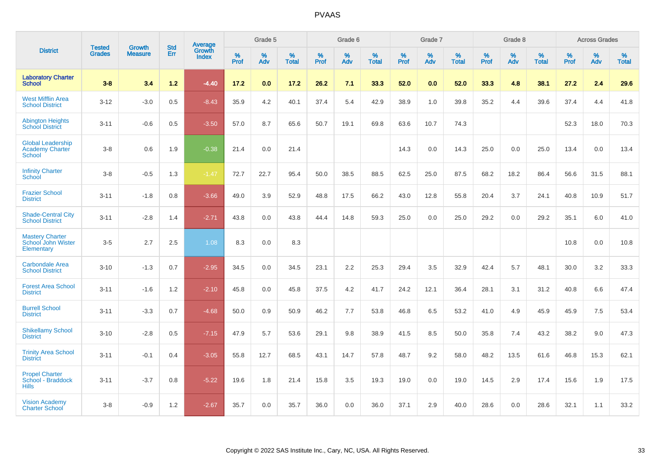|                                                                     | <b>Tested</b> | <b>Growth</b>  | <b>Std</b> | <b>Average</b>         |           | Grade 5  |                   |           | Grade 6  |                   |           | Grade 7  |                   |           | Grade 8  |                   |           | <b>Across Grades</b> |                   |
|---------------------------------------------------------------------|---------------|----------------|------------|------------------------|-----------|----------|-------------------|-----------|----------|-------------------|-----------|----------|-------------------|-----------|----------|-------------------|-----------|----------------------|-------------------|
| <b>District</b>                                                     | <b>Grades</b> | <b>Measure</b> | Err        | Growth<br><b>Index</b> | %<br>Prof | %<br>Adv | %<br><b>Total</b> | %<br>Prof | %<br>Adv | %<br><b>Total</b> | %<br>Prof | %<br>Adv | %<br><b>Total</b> | %<br>Prof | %<br>Adv | %<br><b>Total</b> | %<br>Prof | %<br>Adv             | %<br><b>Total</b> |
| <b>Laboratory Charter</b><br><b>School</b>                          | $3 - 8$       | 3.4            | $1.2$      | $-4.40$                | 17.2      | 0.0      | 17.2              | 26.2      | 7.1      | 33.3              | 52.0      | 0.0      | 52.0              | 33.3      | 4.8      | 38.1              | 27.2      | 2.4                  | 29.6              |
| <b>West Mifflin Area</b><br><b>School District</b>                  | $3 - 12$      | $-3.0$         | 0.5        | $-8.43$                | 35.9      | 4.2      | 40.1              | 37.4      | 5.4      | 42.9              | 38.9      | 1.0      | 39.8              | 35.2      | 4.4      | 39.6              | 37.4      | 4.4                  | 41.8              |
| <b>Abington Heights</b><br><b>School District</b>                   | $3 - 11$      | $-0.6$         | 0.5        | $-3.50$                | 57.0      | 8.7      | 65.6              | 50.7      | 19.1     | 69.8              | 63.6      | 10.7     | 74.3              |           |          |                   | 52.3      | 18.0                 | 70.3              |
| <b>Global Leadership</b><br><b>Academy Charter</b><br><b>School</b> | $3 - 8$       | 0.6            | 1.9        | $-0.38$                | 21.4      | 0.0      | 21.4              |           |          |                   | 14.3      | 0.0      | 14.3              | 25.0      | 0.0      | 25.0              | 13.4      | 0.0                  | 13.4              |
| <b>Infinity Charter</b><br>School                                   | $3-8$         | $-0.5$         | 1.3        | $-1.47$                | 72.7      | 22.7     | 95.4              | 50.0      | 38.5     | 88.5              | 62.5      | 25.0     | 87.5              | 68.2      | 18.2     | 86.4              | 56.6      | 31.5                 | 88.1              |
| <b>Frazier School</b><br><b>District</b>                            | $3 - 11$      | $-1.8$         | 0.8        | $-3.66$                | 49.0      | 3.9      | 52.9              | 48.8      | 17.5     | 66.2              | 43.0      | 12.8     | 55.8              | 20.4      | 3.7      | 24.1              | 40.8      | 10.9                 | 51.7              |
| <b>Shade-Central City</b><br><b>School District</b>                 | $3 - 11$      | $-2.8$         | 1.4        | $-2.71$                | 43.8      | 0.0      | 43.8              | 44.4      | 14.8     | 59.3              | 25.0      | 0.0      | 25.0              | 29.2      | 0.0      | 29.2              | 35.1      | 6.0                  | 41.0              |
| <b>Mastery Charter</b><br>School John Wister<br>Elementary          | $3-5$         | 2.7            | 2.5        | 1.08                   | 8.3       | 0.0      | 8.3               |           |          |                   |           |          |                   |           |          |                   | 10.8      | 0.0                  | 10.8              |
| <b>Carbondale Area</b><br><b>School District</b>                    | $3 - 10$      | $-1.3$         | 0.7        | $-2.95$                | 34.5      | 0.0      | 34.5              | 23.1      | 2.2      | 25.3              | 29.4      | 3.5      | 32.9              | 42.4      | 5.7      | 48.1              | 30.0      | 3.2                  | 33.3              |
| <b>Forest Area School</b><br><b>District</b>                        | $3 - 11$      | $-1.6$         | 1.2        | $-2.10$                | 45.8      | 0.0      | 45.8              | 37.5      | 4.2      | 41.7              | 24.2      | 12.1     | 36.4              | 28.1      | 3.1      | 31.2              | 40.8      | 6.6                  | 47.4              |
| <b>Burrell School</b><br><b>District</b>                            | $3 - 11$      | $-3.3$         | 0.7        | $-4.68$                | 50.0      | 0.9      | 50.9              | 46.2      | 7.7      | 53.8              | 46.8      | 6.5      | 53.2              | 41.0      | 4.9      | 45.9              | 45.9      | 7.5                  | 53.4              |
| <b>Shikellamy School</b><br><b>District</b>                         | $3 - 10$      | $-2.8$         | 0.5        | $-7.15$                | 47.9      | 5.7      | 53.6              | 29.1      | 9.8      | 38.9              | 41.5      | 8.5      | 50.0              | 35.8      | 7.4      | 43.2              | 38.2      | 9.0                  | 47.3              |
| <b>Trinity Area School</b><br><b>District</b>                       | $3 - 11$      | $-0.1$         | 0.4        | $-3.05$                | 55.8      | 12.7     | 68.5              | 43.1      | 14.7     | 57.8              | 48.7      | 9.2      | 58.0              | 48.2      | 13.5     | 61.6              | 46.8      | 15.3                 | 62.1              |
| <b>Propel Charter</b><br>School - Braddock<br><b>Hills</b>          | $3 - 11$      | $-3.7$         | 0.8        | $-5.22$                | 19.6      | 1.8      | 21.4              | 15.8      | 3.5      | 19.3              | 19.0      | 0.0      | 19.0              | 14.5      | 2.9      | 17.4              | 15.6      | 1.9                  | 17.5              |
| <b>Vision Academy</b><br><b>Charter School</b>                      | $3 - 8$       | $-0.9$         | 1.2        | $-2.67$                | 35.7      | 0.0      | 35.7              | 36.0      | 0.0      | 36.0              | 37.1      | 2.9      | 40.0              | 28.6      | 0.0      | 28.6              | 32.1      | 1.1                  | 33.2              |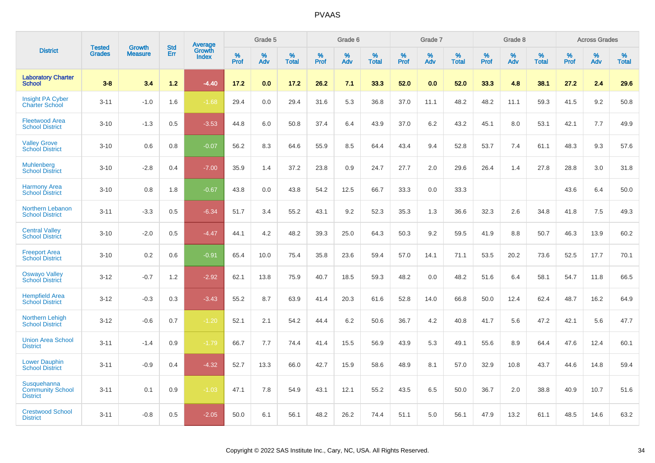|                                                           | <b>Tested</b> | <b>Growth</b>  | <b>Std</b> | Average         |              | Grade 5     |                      |                     | Grade 6     |                      |              | Grade 7     |                   |              | Grade 8     |                   |                     | <b>Across Grades</b> |                      |
|-----------------------------------------------------------|---------------|----------------|------------|-----------------|--------------|-------------|----------------------|---------------------|-------------|----------------------|--------------|-------------|-------------------|--------------|-------------|-------------------|---------------------|----------------------|----------------------|
| <b>District</b>                                           | <b>Grades</b> | <b>Measure</b> | Err        | Growth<br>Index | $\%$<br>Prof | $\%$<br>Adv | $\%$<br><b>Total</b> | $\%$<br><b>Prof</b> | $\%$<br>Adv | $\%$<br><b>Total</b> | $\%$<br>Prof | $\%$<br>Adv | %<br><b>Total</b> | $\%$<br>Prof | $\%$<br>Adv | %<br><b>Total</b> | $\%$<br><b>Prof</b> | $\%$<br>Adv          | $\%$<br><b>Total</b> |
| <b>Laboratory Charter</b><br><b>School</b>                | $3 - 8$       | 3.4            | 1.2        | $-4.40$         | 17.2         | 0.0         | 17.2                 | 26.2                | 7.1         | 33.3                 | 52.0         | 0.0         | 52.0              | 33.3         | 4.8         | 38.1              | 27.2                | 2.4                  | 29.6                 |
| <b>Insight PA Cyber</b><br><b>Charter School</b>          | $3 - 11$      | $-1.0$         | 1.6        | $-1.68$         | 29.4         | 0.0         | 29.4                 | 31.6                | 5.3         | 36.8                 | 37.0         | 11.1        | 48.2              | 48.2         | 11.1        | 59.3              | 41.5                | 9.2                  | 50.8                 |
| <b>Fleetwood Area</b><br><b>School District</b>           | $3 - 10$      | $-1.3$         | 0.5        | $-3.53$         | 44.8         | 6.0         | 50.8                 | 37.4                | 6.4         | 43.9                 | 37.0         | 6.2         | 43.2              | 45.1         | 8.0         | 53.1              | 42.1                | 7.7                  | 49.9                 |
| <b>Valley Grove</b><br><b>School District</b>             | $3 - 10$      | 0.6            | 0.8        | $-0.07$         | 56.2         | 8.3         | 64.6                 | 55.9                | 8.5         | 64.4                 | 43.4         | 9.4         | 52.8              | 53.7         | 7.4         | 61.1              | 48.3                | 9.3                  | 57.6                 |
| <b>Muhlenberg</b><br><b>School District</b>               | $3 - 10$      | $-2.8$         | 0.4        | $-7.00$         | 35.9         | 1.4         | 37.2                 | 23.8                | 0.9         | 24.7                 | 27.7         | 2.0         | 29.6              | 26.4         | 1.4         | 27.8              | 28.8                | 3.0                  | 31.8                 |
| <b>Harmony Area</b><br><b>School District</b>             | $3 - 10$      | 0.8            | 1.8        | $-0.67$         | 43.8         | 0.0         | 43.8                 | 54.2                | 12.5        | 66.7                 | 33.3         | 0.0         | 33.3              |              |             |                   | 43.6                | 6.4                  | 50.0                 |
| Northern Lebanon<br><b>School District</b>                | $3 - 11$      | $-3.3$         | 0.5        | $-6.34$         | 51.7         | 3.4         | 55.2                 | 43.1                | 9.2         | 52.3                 | 35.3         | 1.3         | 36.6              | 32.3         | 2.6         | 34.8              | 41.8                | 7.5                  | 49.3                 |
| <b>Central Valley</b><br><b>School District</b>           | $3 - 10$      | $-2.0$         | 0.5        | $-4.47$         | 44.1         | 4.2         | 48.2                 | 39.3                | 25.0        | 64.3                 | 50.3         | 9.2         | 59.5              | 41.9         | 8.8         | 50.7              | 46.3                | 13.9                 | 60.2                 |
| <b>Freeport Area</b><br><b>School District</b>            | $3 - 10$      | 0.2            | 0.6        | $-0.91$         | 65.4         | 10.0        | 75.4                 | 35.8                | 23.6        | 59.4                 | 57.0         | 14.1        | 71.1              | 53.5         | 20.2        | 73.6              | 52.5                | 17.7                 | 70.1                 |
| <b>Oswayo Valley</b><br><b>School District</b>            | $3 - 12$      | $-0.7$         | 1.2        | $-2.92$         | 62.1         | 13.8        | 75.9                 | 40.7                | 18.5        | 59.3                 | 48.2         | 0.0         | 48.2              | 51.6         | 6.4         | 58.1              | 54.7                | 11.8                 | 66.5                 |
| <b>Hempfield Area</b><br><b>School District</b>           | $3 - 12$      | $-0.3$         | 0.3        | $-3.43$         | 55.2         | 8.7         | 63.9                 | 41.4                | 20.3        | 61.6                 | 52.8         | 14.0        | 66.8              | 50.0         | 12.4        | 62.4              | 48.7                | 16.2                 | 64.9                 |
| Northern Lehigh<br><b>School District</b>                 | $3 - 12$      | $-0.6$         | 0.7        | $-1.20$         | 52.1         | 2.1         | 54.2                 | 44.4                | 6.2         | 50.6                 | 36.7         | 4.2         | 40.8              | 41.7         | 5.6         | 47.2              | 42.1                | 5.6                  | 47.7                 |
| <b>Union Area School</b><br><b>District</b>               | $3 - 11$      | $-1.4$         | 0.9        | $-1.79$         | 66.7         | 7.7         | 74.4                 | 41.4                | 15.5        | 56.9                 | 43.9         | 5.3         | 49.1              | 55.6         | 8.9         | 64.4              | 47.6                | 12.4                 | 60.1                 |
| <b>Lower Dauphin</b><br><b>School District</b>            | $3 - 11$      | $-0.9$         | 0.4        | $-4.32$         | 52.7         | 13.3        | 66.0                 | 42.7                | 15.9        | 58.6                 | 48.9         | 8.1         | 57.0              | 32.9         | 10.8        | 43.7              | 44.6                | 14.8                 | 59.4                 |
| Susquehanna<br><b>Community School</b><br><b>District</b> | $3 - 11$      | 0.1            | 0.9        | $-1.03$         | 47.1         | 7.8         | 54.9                 | 43.1                | 12.1        | 55.2                 | 43.5         | 6.5         | 50.0              | 36.7         | 2.0         | 38.8              | 40.9                | 10.7                 | 51.6                 |
| <b>Crestwood School</b><br><b>District</b>                | $3 - 11$      | $-0.8$         | 0.5        | $-2.05$         | 50.0         | 6.1         | 56.1                 | 48.2                | 26.2        | 74.4                 | 51.1         | 5.0         | 56.1              | 47.9         | 13.2        | 61.1              | 48.5                | 14.6                 | 63.2                 |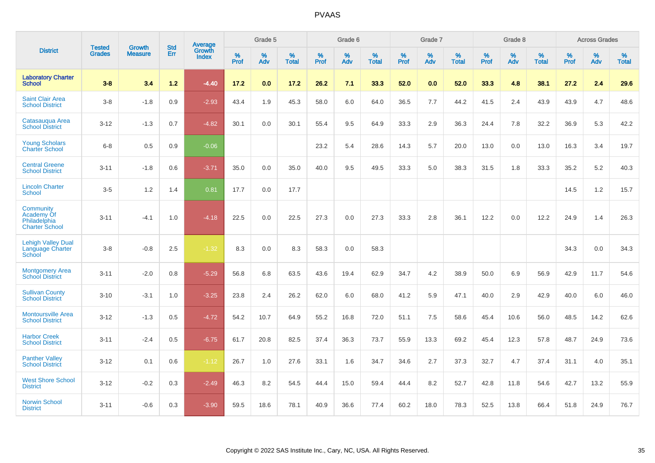|                                                                  | <b>Tested</b> | <b>Growth</b>  | <b>Std</b> | <b>Average</b>         |           | Grade 5  |                   |           | Grade 6  |                   |           | Grade 7  |                   |           | Grade 8  |                   |           | <b>Across Grades</b> |                   |
|------------------------------------------------------------------|---------------|----------------|------------|------------------------|-----------|----------|-------------------|-----------|----------|-------------------|-----------|----------|-------------------|-----------|----------|-------------------|-----------|----------------------|-------------------|
| <b>District</b>                                                  | <b>Grades</b> | <b>Measure</b> | Err        | Growth<br><b>Index</b> | %<br>Prof | %<br>Adv | %<br><b>Total</b> | %<br>Prof | %<br>Adv | %<br><b>Total</b> | %<br>Prof | %<br>Adv | %<br><b>Total</b> | %<br>Prof | %<br>Adv | %<br><b>Total</b> | %<br>Prof | %<br>Adv             | %<br><b>Total</b> |
| <b>Laboratory Charter</b><br><b>School</b>                       | $3 - 8$       | 3.4            | $1.2$      | $-4.40$                | 17.2      | 0.0      | 17.2              | 26.2      | 7.1      | 33.3              | 52.0      | 0.0      | 52.0              | 33.3      | 4.8      | 38.1              | 27.2      | 2.4                  | 29.6              |
| <b>Saint Clair Area</b><br><b>School District</b>                | $3 - 8$       | $-1.8$         | 0.9        | $-2.93$                | 43.4      | 1.9      | 45.3              | 58.0      | 6.0      | 64.0              | 36.5      | 7.7      | 44.2              | 41.5      | 2.4      | 43.9              | 43.9      | 4.7                  | 48.6              |
| Catasauqua Area<br><b>School District</b>                        | $3 - 12$      | $-1.3$         | 0.7        | $-4.82$                | 30.1      | 0.0      | 30.1              | 55.4      | 9.5      | 64.9              | 33.3      | 2.9      | 36.3              | 24.4      | 7.8      | 32.2              | 36.9      | 5.3                  | 42.2              |
| <b>Young Scholars</b><br><b>Charter School</b>                   | $6 - 8$       | 0.5            | 0.9        | $-0.06$                |           |          |                   | 23.2      | 5.4      | 28.6              | 14.3      | 5.7      | 20.0              | 13.0      | 0.0      | 13.0              | 16.3      | 3.4                  | 19.7              |
| <b>Central Greene</b><br><b>School District</b>                  | $3 - 11$      | $-1.8$         | 0.6        | $-3.71$                | 35.0      | 0.0      | 35.0              | 40.0      | 9.5      | 49.5              | 33.3      | 5.0      | 38.3              | 31.5      | 1.8      | 33.3              | 35.2      | 5.2                  | 40.3              |
| <b>Lincoln Charter</b><br><b>School</b>                          | $3-5$         | 1.2            | 1.4        | 0.81                   | 17.7      | 0.0      | 17.7              |           |          |                   |           |          |                   |           |          |                   | 14.5      | 1.2                  | 15.7              |
| Community<br>Academy Of<br>Philadelphia<br><b>Charter School</b> | $3 - 11$      | $-4.1$         | 1.0        | $-4.18$                | 22.5      | 0.0      | 22.5              | 27.3      | 0.0      | 27.3              | 33.3      | 2.8      | 36.1              | 12.2      | 0.0      | 12.2              | 24.9      | 1.4                  | 26.3              |
| <b>Lehigh Valley Dual</b><br>Language Charter<br>School          | $3 - 8$       | $-0.8$         | 2.5        | $-1.32$                | 8.3       | 0.0      | 8.3               | 58.3      | 0.0      | 58.3              |           |          |                   |           |          |                   | 34.3      | 0.0                  | 34.3              |
| <b>Montgomery Area</b><br><b>School District</b>                 | $3 - 11$      | $-2.0$         | 0.8        | $-5.29$                | 56.8      | 6.8      | 63.5              | 43.6      | 19.4     | 62.9              | 34.7      | 4.2      | 38.9              | 50.0      | 6.9      | 56.9              | 42.9      | 11.7                 | 54.6              |
| <b>Sullivan County</b><br><b>School District</b>                 | $3 - 10$      | $-3.1$         | 1.0        | $-3.25$                | 23.8      | 2.4      | 26.2              | 62.0      | 6.0      | 68.0              | 41.2      | 5.9      | 47.1              | 40.0      | 2.9      | 42.9              | 40.0      | 6.0                  | 46.0              |
| <b>Montoursville Area</b><br><b>School District</b>              | $3 - 12$      | $-1.3$         | 0.5        | $-4.72$                | 54.2      | 10.7     | 64.9              | 55.2      | 16.8     | 72.0              | 51.1      | 7.5      | 58.6              | 45.4      | 10.6     | 56.0              | 48.5      | 14.2                 | 62.6              |
| <b>Harbor Creek</b><br><b>School District</b>                    | $3 - 11$      | $-2.4$         | 0.5        | $-6.75$                | 61.7      | 20.8     | 82.5              | 37.4      | 36.3     | 73.7              | 55.9      | 13.3     | 69.2              | 45.4      | 12.3     | 57.8              | 48.7      | 24.9                 | 73.6              |
| <b>Panther Valley</b><br><b>School District</b>                  | $3 - 12$      | 0.1            | 0.6        | $-1.12$                | 26.7      | 1.0      | 27.6              | 33.1      | 1.6      | 34.7              | 34.6      | 2.7      | 37.3              | 32.7      | 4.7      | 37.4              | 31.1      | 4.0                  | 35.1              |
| <b>West Shore School</b><br><b>District</b>                      | $3 - 12$      | $-0.2$         | 0.3        | $-2.49$                | 46.3      | 8.2      | 54.5              | 44.4      | 15.0     | 59.4              | 44.4      | 8.2      | 52.7              | 42.8      | 11.8     | 54.6              | 42.7      | 13.2                 | 55.9              |
| <b>Norwin School</b><br><b>District</b>                          | $3 - 11$      | $-0.6$         | 0.3        | $-3.90$                | 59.5      | 18.6     | 78.1              | 40.9      | 36.6     | 77.4              | 60.2      | 18.0     | 78.3              | 52.5      | 13.8     | 66.4              | 51.8      | 24.9                 | 76.7              |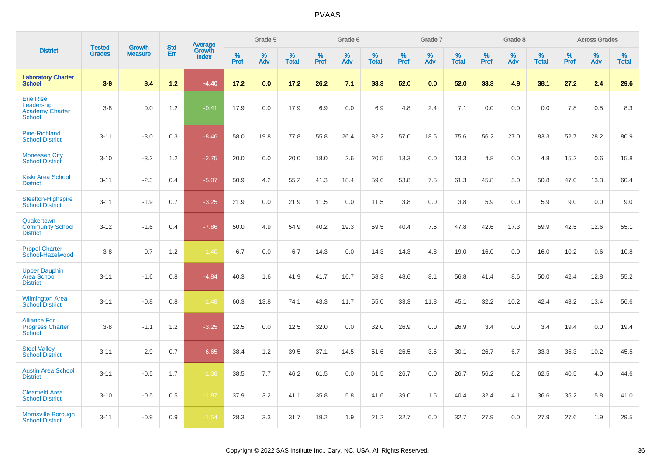|                                                                    | <b>Tested</b> | <b>Growth</b>  | <b>Std</b> | Average                |           | Grade 5  |                   |           | Grade 6  |                   |           | Grade 7  |                   |           | Grade 8  |                   |           | <b>Across Grades</b> |                   |
|--------------------------------------------------------------------|---------------|----------------|------------|------------------------|-----------|----------|-------------------|-----------|----------|-------------------|-----------|----------|-------------------|-----------|----------|-------------------|-----------|----------------------|-------------------|
| <b>District</b>                                                    | <b>Grades</b> | <b>Measure</b> | Err        | Growth<br><b>Index</b> | %<br>Prof | %<br>Adv | %<br><b>Total</b> | %<br>Prof | %<br>Adv | %<br><b>Total</b> | %<br>Prof | %<br>Adv | %<br><b>Total</b> | %<br>Prof | %<br>Adv | %<br><b>Total</b> | %<br>Prof | %<br>Adv             | %<br><b>Total</b> |
| <b>Laboratory Charter</b><br><b>School</b>                         | $3 - 8$       | 3.4            | $1.2$      | $-4.40$                | 17.2      | 0.0      | 17.2              | 26.2      | 7.1      | 33.3              | 52.0      | 0.0      | 52.0              | 33.3      | 4.8      | 38.1              | 27.2      | 2.4                  | 29.6              |
| <b>Erie Rise</b><br>Leadership<br><b>Academy Charter</b><br>School | $3-8$         | 0.0            | 1.2        | $-0.41$                | 17.9      | 0.0      | 17.9              | 6.9       | 0.0      | 6.9               | 4.8       | 2.4      | 7.1               | 0.0       | 0.0      | 0.0               | 7.8       | 0.5                  | 8.3               |
| <b>Pine-Richland</b><br><b>School District</b>                     | $3 - 11$      | $-3.0$         | 0.3        | $-8.46$                | 58.0      | 19.8     | 77.8              | 55.8      | 26.4     | 82.2              | 57.0      | 18.5     | 75.6              | 56.2      | 27.0     | 83.3              | 52.7      | 28.2                 | 80.9              |
| <b>Monessen City</b><br><b>School District</b>                     | $3 - 10$      | $-3.2$         | 1.2        | $-2.75$                | 20.0      | 0.0      | 20.0              | 18.0      | 2.6      | 20.5              | 13.3      | 0.0      | 13.3              | 4.8       | 0.0      | 4.8               | 15.2      | 0.6                  | 15.8              |
| <b>Kiski Area School</b><br><b>District</b>                        | $3 - 11$      | $-2.3$         | 0.4        | $-5.07$                | 50.9      | 4.2      | 55.2              | 41.3      | 18.4     | 59.6              | 53.8      | 7.5      | 61.3              | 45.8      | 5.0      | 50.8              | 47.0      | 13.3                 | 60.4              |
| Steelton-Highspire<br><b>School District</b>                       | $3 - 11$      | $-1.9$         | 0.7        | $-3.25$                | 21.9      | 0.0      | 21.9              | 11.5      | 0.0      | 11.5              | 3.8       | 0.0      | 3.8               | 5.9       | 0.0      | 5.9               | 9.0       | 0.0                  | 9.0               |
| Quakertown<br><b>Community School</b><br><b>District</b>           | $3 - 12$      | $-1.6$         | 0.4        | $-7.86$                | 50.0      | 4.9      | 54.9              | 40.2      | 19.3     | 59.5              | 40.4      | 7.5      | 47.8              | 42.6      | 17.3     | 59.9              | 42.5      | 12.6                 | 55.1              |
| <b>Propel Charter</b><br>School-Hazelwood                          | $3-8$         | $-0.7$         | 1.2        | $-1.40$                | 6.7       | 0.0      | 6.7               | 14.3      | 0.0      | 14.3              | 14.3      | 4.8      | 19.0              | 16.0      | 0.0      | 16.0              | 10.2      | 0.6                  | 10.8              |
| <b>Upper Dauphin</b><br>Area School<br><b>District</b>             | $3 - 11$      | $-1.6$         | 0.8        | $-4.84$                | 40.3      | 1.6      | 41.9              | 41.7      | 16.7     | 58.3              | 48.6      | 8.1      | 56.8              | 41.4      | 8.6      | 50.0              | 42.4      | 12.8                 | 55.2              |
| <b>Wilmington Area</b><br><b>School District</b>                   | $3 - 11$      | $-0.8$         | 0.8        | $-1.48$                | 60.3      | 13.8     | 74.1              | 43.3      | 11.7     | 55.0              | 33.3      | 11.8     | 45.1              | 32.2      | 10.2     | 42.4              | 43.2      | 13.4                 | 56.6              |
| <b>Alliance For</b><br><b>Progress Charter</b><br>School           | $3-8$         | $-1.1$         | 1.2        | $-3.25$                | 12.5      | 0.0      | 12.5              | 32.0      | 0.0      | 32.0              | 26.9      | 0.0      | 26.9              | 3.4       | 0.0      | 3.4               | 19.4      | 0.0                  | 19.4              |
| <b>Steel Valley</b><br><b>School District</b>                      | $3 - 11$      | $-2.9$         | 0.7        | $-6.65$                | 38.4      | 1.2      | 39.5              | 37.1      | 14.5     | 51.6              | 26.5      | 3.6      | 30.1              | 26.7      | 6.7      | 33.3              | 35.3      | 10.2                 | 45.5              |
| <b>Austin Area School</b><br><b>District</b>                       | $3 - 11$      | $-0.5$         | 1.7        | $-1.08$                | 38.5      | 7.7      | 46.2              | 61.5      | 0.0      | 61.5              | 26.7      | 0.0      | 26.7              | 56.2      | 6.2      | 62.5              | 40.5      | 4.0                  | 44.6              |
| <b>Clearfield Area</b><br><b>School District</b>                   | $3 - 10$      | $-0.5$         | 0.5        | $-1.87$                | 37.9      | 3.2      | 41.1              | 35.8      | 5.8      | 41.6              | 39.0      | 1.5      | 40.4              | 32.4      | 4.1      | 36.6              | 35.2      | 5.8                  | 41.0              |
| <b>Morrisville Borough</b><br><b>School District</b>               | $3 - 11$      | $-0.9$         | 0.9        | $-1.54$                | 28.3      | 3.3      | 31.7              | 19.2      | 1.9      | 21.2              | 32.7      | 0.0      | 32.7              | 27.9      | 0.0      | 27.9              | 27.6      | 1.9                  | 29.5              |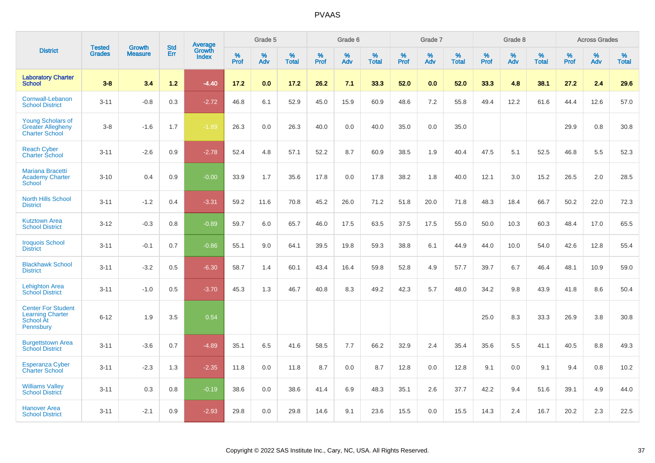|                                                                                |                                | <b>Growth</b>  | <b>Std</b> |                                   |              | Grade 5  |                   |           | Grade 6  |                   |           | Grade 7  |                   |              | Grade 8  |                   |              | <b>Across Grades</b> |                   |
|--------------------------------------------------------------------------------|--------------------------------|----------------|------------|-----------------------------------|--------------|----------|-------------------|-----------|----------|-------------------|-----------|----------|-------------------|--------------|----------|-------------------|--------------|----------------------|-------------------|
| <b>District</b>                                                                | <b>Tested</b><br><b>Grades</b> | <b>Measure</b> | <b>Err</b> | Average<br>Growth<br><b>Index</b> | $\%$<br>Prof | %<br>Adv | %<br><b>Total</b> | %<br>Prof | %<br>Adv | %<br><b>Total</b> | %<br>Prof | %<br>Adv | %<br><b>Total</b> | $\%$<br>Prof | %<br>Adv | %<br><b>Total</b> | $\%$<br>Prof | %<br>Adv             | %<br><b>Total</b> |
| <b>Laboratory Charter</b><br><b>School</b>                                     | $3 - 8$                        | 3.4            | 1.2        | $-4.40$                           | 17.2         | 0.0      | 17.2              | 26.2      | 7.1      | 33.3              | 52.0      | 0.0      | 52.0              | 33.3         | 4.8      | 38.1              | 27.2         | 2.4                  | 29.6              |
| Cornwall-Lebanon<br><b>School District</b>                                     | $3 - 11$                       | $-0.8$         | 0.3        | $-2.72$                           | 46.8         | 6.1      | 52.9              | 45.0      | 15.9     | 60.9              | 48.6      | 7.2      | 55.8              | 49.4         | 12.2     | 61.6              | 44.4         | 12.6                 | 57.0              |
| <b>Young Scholars of</b><br><b>Greater Allegheny</b><br><b>Charter School</b>  | $3 - 8$                        | $-1.6$         | 1.7        | $-1.89$                           | 26.3         | 0.0      | 26.3              | 40.0      | 0.0      | 40.0              | 35.0      | 0.0      | 35.0              |              |          |                   | 29.9         | 0.8                  | 30.8              |
| <b>Reach Cyber</b><br><b>Charter School</b>                                    | $3 - 11$                       | $-2.6$         | 0.9        | $-2.78$                           | 52.4         | 4.8      | 57.1              | 52.2      | 8.7      | 60.9              | 38.5      | 1.9      | 40.4              | 47.5         | 5.1      | 52.5              | 46.8         | 5.5                  | 52.3              |
| <b>Mariana Bracetti</b><br><b>Academy Charter</b><br>School                    | $3 - 10$                       | 0.4            | 0.9        | $-0.00$                           | 33.9         | 1.7      | 35.6              | 17.8      | 0.0      | 17.8              | 38.2      | 1.8      | 40.0              | 12.1         | 3.0      | 15.2              | 26.5         | 2.0                  | 28.5              |
| <b>North Hills School</b><br><b>District</b>                                   | $3 - 11$                       | $-1.2$         | 0.4        | $-3.31$                           | 59.2         | 11.6     | 70.8              | 45.2      | 26.0     | 71.2              | 51.8      | 20.0     | 71.8              | 48.3         | 18.4     | 66.7              | 50.2         | 22.0                 | 72.3              |
| <b>Kutztown Area</b><br><b>School District</b>                                 | $3 - 12$                       | $-0.3$         | 0.8        | $-0.89$                           | 59.7         | 6.0      | 65.7              | 46.0      | 17.5     | 63.5              | 37.5      | 17.5     | 55.0              | 50.0         | 10.3     | 60.3              | 48.4         | 17.0                 | 65.5              |
| <b>Iroquois School</b><br><b>District</b>                                      | $3 - 11$                       | $-0.1$         | 0.7        | $-0.86$                           | 55.1         | 9.0      | 64.1              | 39.5      | 19.8     | 59.3              | 38.8      | 6.1      | 44.9              | 44.0         | 10.0     | 54.0              | 42.6         | 12.8                 | 55.4              |
| <b>Blackhawk School</b><br><b>District</b>                                     | $3 - 11$                       | $-3.2$         | 0.5        | $-6.30$                           | 58.7         | 1.4      | 60.1              | 43.4      | 16.4     | 59.8              | 52.8      | 4.9      | 57.7              | 39.7         | 6.7      | 46.4              | 48.1         | 10.9                 | 59.0              |
| <b>Lehighton Area</b><br><b>School District</b>                                | $3 - 11$                       | $-1.0$         | 0.5        | $-3.70$                           | 45.3         | 1.3      | 46.7              | 40.8      | 8.3      | 49.2              | 42.3      | 5.7      | 48.0              | 34.2         | 9.8      | 43.9              | 41.8         | 8.6                  | 50.4              |
| <b>Center For Student</b><br><b>Learning Charter</b><br>School At<br>Pennsbury | $6 - 12$                       | 1.9            | 3.5        | 0.54                              |              |          |                   |           |          |                   |           |          |                   | 25.0         | 8.3      | 33.3              | 26.9         | 3.8                  | 30.8              |
| <b>Burgettstown Area</b><br><b>School District</b>                             | $3 - 11$                       | $-3.6$         | 0.7        | $-4.89$                           | 35.1         | 6.5      | 41.6              | 58.5      | 7.7      | 66.2              | 32.9      | 2.4      | 35.4              | 35.6         | 5.5      | 41.1              | 40.5         | 8.8                  | 49.3              |
| <b>Esperanza Cyber</b><br><b>Charter School</b>                                | $3 - 11$                       | $-2.3$         | 1.3        | $-2.35$                           | 11.8         | 0.0      | 11.8              | 8.7       | 0.0      | 8.7               | 12.8      | 0.0      | 12.8              | 9.1          | 0.0      | 9.1               | 9.4          | 0.8                  | 10.2              |
| <b>Williams Valley</b><br><b>School District</b>                               | $3 - 11$                       | 0.3            | 0.8        | $-0.19$                           | 38.6         | 0.0      | 38.6              | 41.4      | 6.9      | 48.3              | 35.1      | 2.6      | 37.7              | 42.2         | 9.4      | 51.6              | 39.1         | 4.9                  | 44.0              |
| Hanover Area<br><b>School District</b>                                         | $3 - 11$                       | $-2.1$         | 0.9        | $-2.93$                           | 29.8         | 0.0      | 29.8              | 14.6      | 9.1      | 23.6              | 15.5      | 0.0      | 15.5              | 14.3         | 2.4      | 16.7              | 20.2         | 2.3                  | 22.5              |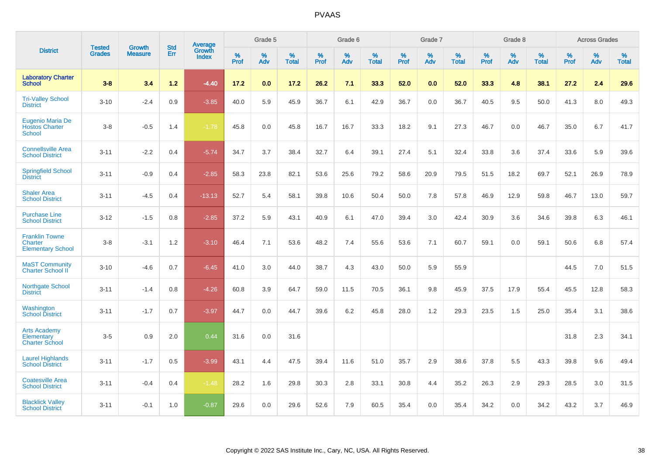|                                                                     | <b>Tested</b> | <b>Growth</b>  | <b>Std</b> | Average                |              | Grade 5  |                   |           | Grade 6  |                   |           | Grade 7  |                   |           | Grade 8  |                   |           | <b>Across Grades</b> |                   |
|---------------------------------------------------------------------|---------------|----------------|------------|------------------------|--------------|----------|-------------------|-----------|----------|-------------------|-----------|----------|-------------------|-----------|----------|-------------------|-----------|----------------------|-------------------|
| <b>District</b>                                                     | <b>Grades</b> | <b>Measure</b> | Err        | Growth<br><b>Index</b> | $\%$<br>Prof | %<br>Adv | %<br><b>Total</b> | %<br>Prof | %<br>Adv | %<br><b>Total</b> | %<br>Prof | %<br>Adv | %<br><b>Total</b> | %<br>Prof | %<br>Adv | %<br><b>Total</b> | %<br>Prof | %<br>Adv             | %<br><b>Total</b> |
| <b>Laboratory Charter</b><br><b>School</b>                          | $3 - 8$       | 3.4            | $1.2$      | $-4.40$                | 17.2         | 0.0      | 17.2              | 26.2      | 7.1      | 33.3              | 52.0      | 0.0      | 52.0              | 33.3      | 4.8      | 38.1              | 27.2      | 2.4                  | 29.6              |
| <b>Tri-Valley School</b><br><b>District</b>                         | $3 - 10$      | $-2.4$         | 0.9        | $-3.85$                | 40.0         | 5.9      | 45.9              | 36.7      | 6.1      | 42.9              | 36.7      | 0.0      | 36.7              | 40.5      | 9.5      | 50.0              | 41.3      | 8.0                  | 49.3              |
| <b>Eugenio Maria De</b><br><b>Hostos Charter</b><br><b>School</b>   | $3 - 8$       | $-0.5$         | 1.4        | $-1.78$                | 45.8         | 0.0      | 45.8              | 16.7      | 16.7     | 33.3              | 18.2      | 9.1      | 27.3              | 46.7      | 0.0      | 46.7              | 35.0      | 6.7                  | 41.7              |
| <b>Connellsville Area</b><br><b>School District</b>                 | $3 - 11$      | $-2.2$         | 0.4        | $-5.74$                | 34.7         | 3.7      | 38.4              | 32.7      | 6.4      | 39.1              | 27.4      | 5.1      | 32.4              | 33.8      | 3.6      | 37.4              | 33.6      | 5.9                  | 39.6              |
| <b>Springfield School</b><br><b>District</b>                        | $3 - 11$      | $-0.9$         | 0.4        | $-2.85$                | 58.3         | 23.8     | 82.1              | 53.6      | 25.6     | 79.2              | 58.6      | 20.9     | 79.5              | 51.5      | 18.2     | 69.7              | 52.1      | 26.9                 | 78.9              |
| <b>Shaler Area</b><br><b>School District</b>                        | $3 - 11$      | $-4.5$         | 0.4        | $-13.13$               | 52.7         | 5.4      | 58.1              | 39.8      | 10.6     | 50.4              | 50.0      | 7.8      | 57.8              | 46.9      | 12.9     | 59.8              | 46.7      | 13.0                 | 59.7              |
| <b>Purchase Line</b><br><b>School District</b>                      | $3 - 12$      | $-1.5$         | 0.8        | $-2.85$                | 37.2         | 5.9      | 43.1              | 40.9      | 6.1      | 47.0              | 39.4      | 3.0      | 42.4              | 30.9      | 3.6      | 34.6              | 39.8      | 6.3                  | 46.1              |
| <b>Franklin Towne</b><br><b>Charter</b><br><b>Elementary School</b> | $3 - 8$       | $-3.1$         | $1.2$      | $-3.10$                | 46.4         | 7.1      | 53.6              | 48.2      | 7.4      | 55.6              | 53.6      | 7.1      | 60.7              | 59.1      | 0.0      | 59.1              | 50.6      | 6.8                  | 57.4              |
| <b>MaST Community</b><br><b>Charter School II</b>                   | $3 - 10$      | $-4.6$         | 0.7        | $-6.45$                | 41.0         | 3.0      | 44.0              | 38.7      | 4.3      | 43.0              | 50.0      | 5.9      | 55.9              |           |          |                   | 44.5      | 7.0                  | 51.5              |
| <b>Northgate School</b><br><b>District</b>                          | $3 - 11$      | $-1.4$         | 0.8        | $-4.26$                | 60.8         | 3.9      | 64.7              | 59.0      | 11.5     | 70.5              | 36.1      | 9.8      | 45.9              | 37.5      | 17.9     | 55.4              | 45.5      | 12.8                 | 58.3              |
| Washington<br><b>School District</b>                                | $3 - 11$      | $-1.7$         | 0.7        | $-3.97$                | 44.7         | 0.0      | 44.7              | 39.6      | 6.2      | 45.8              | 28.0      | 1.2      | 29.3              | 23.5      | 1.5      | 25.0              | 35.4      | 3.1                  | 38.6              |
| <b>Arts Academy</b><br>Elementary<br><b>Charter School</b>          | $3-5$         | 0.9            | 2.0        | 0.44                   | 31.6         | 0.0      | 31.6              |           |          |                   |           |          |                   |           |          |                   | 31.8      | 2.3                  | 34.1              |
| <b>Laurel Highlands</b><br><b>School District</b>                   | $3 - 11$      | $-1.7$         | 0.5        | $-3.99$                | 43.1         | 4.4      | 47.5              | 39.4      | 11.6     | 51.0              | 35.7      | 2.9      | 38.6              | 37.8      | 5.5      | 43.3              | 39.8      | 9.6                  | 49.4              |
| <b>Coatesville Area</b><br><b>School District</b>                   | $3 - 11$      | $-0.4$         | 0.4        | $-1.48$                | 28.2         | 1.6      | 29.8              | 30.3      | 2.8      | 33.1              | 30.8      | 4.4      | 35.2              | 26.3      | 2.9      | 29.3              | 28.5      | 3.0                  | 31.5              |
| <b>Blacklick Valley</b><br><b>School District</b>                   | $3 - 11$      | $-0.1$         | 1.0        | $-0.87$                | 29.6         | 0.0      | 29.6              | 52.6      | 7.9      | 60.5              | 35.4      | 0.0      | 35.4              | 34.2      | 0.0      | 34.2              | 43.2      | 3.7                  | 46.9              |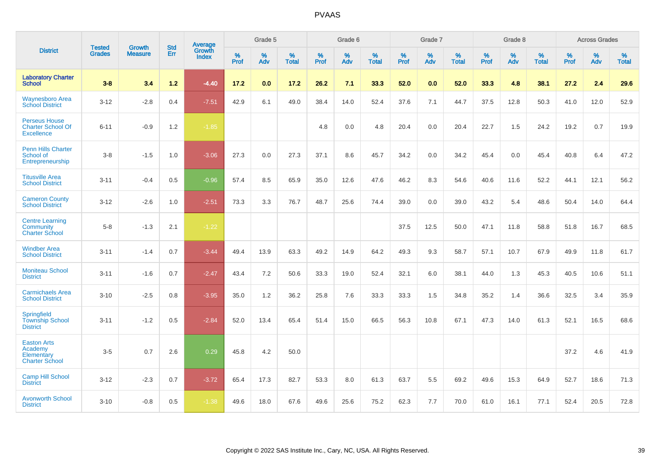|                                                                       | <b>Tested</b> | <b>Growth</b>  | <b>Std</b> | Average                |                     | Grade 5  |                   |              | Grade 6  |                   |              | Grade 7  |                   |              | Grade 8  |                   |           | <b>Across Grades</b> |                   |
|-----------------------------------------------------------------------|---------------|----------------|------------|------------------------|---------------------|----------|-------------------|--------------|----------|-------------------|--------------|----------|-------------------|--------------|----------|-------------------|-----------|----------------------|-------------------|
| <b>District</b>                                                       | <b>Grades</b> | <b>Measure</b> | Err        | Growth<br><b>Index</b> | $\%$<br><b>Prof</b> | %<br>Adv | %<br><b>Total</b> | $\%$<br>Prof | %<br>Adv | %<br><b>Total</b> | $\%$<br>Prof | %<br>Adv | %<br><b>Total</b> | $\%$<br>Prof | %<br>Adv | %<br><b>Total</b> | %<br>Prof | %<br>Adv             | %<br><b>Total</b> |
| <b>Laboratory Charter</b><br><b>School</b>                            | $3 - 8$       | 3.4            | $1.2$      | $-4.40$                | 17.2                | 0.0      | 17.2              | 26.2         | 7.1      | 33.3              | 52.0         | 0.0      | 52.0              | 33.3         | 4.8      | 38.1              | 27.2      | 2.4                  | 29.6              |
| Waynesboro Area<br><b>School District</b>                             | $3 - 12$      | $-2.8$         | 0.4        | $-7.51$                | 42.9                | 6.1      | 49.0              | 38.4         | 14.0     | 52.4              | 37.6         | 7.1      | 44.7              | 37.5         | 12.8     | 50.3              | 41.0      | 12.0                 | 52.9              |
| <b>Perseus House</b><br><b>Charter School Of</b><br><b>Excellence</b> | $6 - 11$      | $-0.9$         | 1.2        | $-1.85$                |                     |          |                   | 4.8          | 0.0      | 4.8               | 20.4         | 0.0      | 20.4              | 22.7         | 1.5      | 24.2              | 19.2      | 0.7                  | 19.9              |
| <b>Penn Hills Charter</b><br>School of<br>Entrepreneurship            | $3-8$         | $-1.5$         | 1.0        | $-3.06$                | 27.3                | 0.0      | 27.3              | 37.1         | 8.6      | 45.7              | 34.2         | 0.0      | 34.2              | 45.4         | 0.0      | 45.4              | 40.8      | 6.4                  | 47.2              |
| <b>Titusville Area</b><br><b>School District</b>                      | $3 - 11$      | $-0.4$         | 0.5        | $-0.96$                | 57.4                | 8.5      | 65.9              | 35.0         | 12.6     | 47.6              | 46.2         | 8.3      | 54.6              | 40.6         | 11.6     | 52.2              | 44.1      | 12.1                 | 56.2              |
| <b>Cameron County</b><br><b>School District</b>                       | $3 - 12$      | $-2.6$         | 1.0        | $-2.51$                | 73.3                | 3.3      | 76.7              | 48.7         | 25.6     | 74.4              | 39.0         | 0.0      | 39.0              | 43.2         | 5.4      | 48.6              | 50.4      | 14.0                 | 64.4              |
| <b>Centre Learning</b><br>Community<br><b>Charter School</b>          | $5-8$         | $-1.3$         | 2.1        | $-1.22$                |                     |          |                   |              |          |                   | 37.5         | 12.5     | 50.0              | 47.1         | 11.8     | 58.8              | 51.8      | 16.7                 | 68.5              |
| <b>Windber Area</b><br><b>School District</b>                         | $3 - 11$      | $-1.4$         | 0.7        | $-3.44$                | 49.4                | 13.9     | 63.3              | 49.2         | 14.9     | 64.2              | 49.3         | 9.3      | 58.7              | 57.1         | 10.7     | 67.9              | 49.9      | 11.8                 | 61.7              |
| <b>Moniteau School</b><br><b>District</b>                             | $3 - 11$      | $-1.6$         | 0.7        | $-2.47$                | 43.4                | 7.2      | 50.6              | 33.3         | 19.0     | 52.4              | 32.1         | 6.0      | 38.1              | 44.0         | 1.3      | 45.3              | 40.5      | 10.6                 | 51.1              |
| <b>Carmichaels Area</b><br><b>School District</b>                     | $3 - 10$      | $-2.5$         | 0.8        | $-3.95$                | 35.0                | 1.2      | 36.2              | 25.8         | 7.6      | 33.3              | 33.3         | 1.5      | 34.8              | 35.2         | 1.4      | 36.6              | 32.5      | 3.4                  | 35.9              |
| Springfield<br><b>Township School</b><br><b>District</b>              | $3 - 11$      | $-1.2$         | 0.5        | $-2.84$                | 52.0                | 13.4     | 65.4              | 51.4         | 15.0     | 66.5              | 56.3         | 10.8     | 67.1              | 47.3         | 14.0     | 61.3              | 52.1      | 16.5                 | 68.6              |
| <b>Easton Arts</b><br>Academy<br>Elementary<br><b>Charter School</b>  | $3-5$         | 0.7            | 2.6        | 0.29                   | 45.8                | 4.2      | 50.0              |              |          |                   |              |          |                   |              |          |                   | 37.2      | 4.6                  | 41.9              |
| <b>Camp Hill School</b><br><b>District</b>                            | $3 - 12$      | $-2.3$         | 0.7        | $-3.72$                | 65.4                | 17.3     | 82.7              | 53.3         | 8.0      | 61.3              | 63.7         | 5.5      | 69.2              | 49.6         | 15.3     | 64.9              | 52.7      | 18.6                 | 71.3              |
| <b>Avonworth School</b><br><b>District</b>                            | $3 - 10$      | $-0.8$         | 0.5        | $-1.38$                | 49.6                | 18.0     | 67.6              | 49.6         | 25.6     | 75.2              | 62.3         | 7.7      | 70.0              | 61.0         | 16.1     | 77.1              | 52.4      | 20.5                 | 72.8              |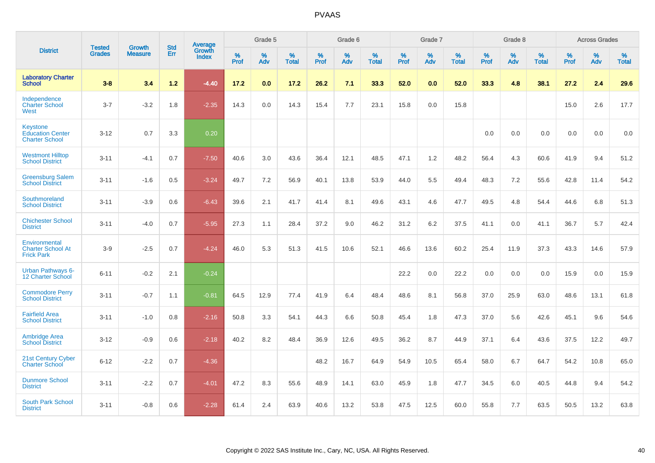|                                                                     | <b>Tested</b> | <b>Growth</b>  | <b>Std</b> | Average                       |           | Grade 5  |                   |           | Grade 6  |                   |           | Grade 7  |                   |           | Grade 8  |                   |           | <b>Across Grades</b> |                   |
|---------------------------------------------------------------------|---------------|----------------|------------|-------------------------------|-----------|----------|-------------------|-----------|----------|-------------------|-----------|----------|-------------------|-----------|----------|-------------------|-----------|----------------------|-------------------|
| <b>District</b>                                                     | <b>Grades</b> | <b>Measure</b> | <b>Err</b> | <b>Growth</b><br><b>Index</b> | %<br>Prof | %<br>Adv | %<br><b>Total</b> | %<br>Prof | %<br>Adv | %<br><b>Total</b> | %<br>Prof | %<br>Adv | %<br><b>Total</b> | %<br>Prof | %<br>Adv | %<br><b>Total</b> | %<br>Prof | %<br>Adv             | %<br><b>Total</b> |
| <b>Laboratory Charter</b><br><b>School</b>                          | $3 - 8$       | 3.4            | $1.2$      | $-4.40$                       | 17.2      | 0.0      | 17.2              | 26.2      | 7.1      | 33.3              | 52.0      | 0.0      | 52.0              | 33.3      | 4.8      | 38.1              | 27.2      | 2.4                  | 29.6              |
| Independence<br><b>Charter School</b><br>West                       | $3 - 7$       | $-3.2$         | 1.8        | $-2.35$                       | 14.3      | 0.0      | 14.3              | 15.4      | 7.7      | 23.1              | 15.8      | 0.0      | 15.8              |           |          |                   | 15.0      | 2.6                  | 17.7              |
| <b>Keystone</b><br><b>Education Center</b><br><b>Charter School</b> | $3 - 12$      | 0.7            | 3.3        | 0.20                          |           |          |                   |           |          |                   |           |          |                   | 0.0       | 0.0      | 0.0               | 0.0       | 0.0                  | 0.0               |
| <b>Westmont Hilltop</b><br><b>School District</b>                   | $3 - 11$      | $-4.1$         | 0.7        | $-7.50$                       | 40.6      | 3.0      | 43.6              | 36.4      | 12.1     | 48.5              | 47.1      | 1.2      | 48.2              | 56.4      | 4.3      | 60.6              | 41.9      | 9.4                  | 51.2              |
| <b>Greensburg Salem</b><br><b>School District</b>                   | $3 - 11$      | $-1.6$         | 0.5        | $-3.24$                       | 49.7      | 7.2      | 56.9              | 40.1      | 13.8     | 53.9              | 44.0      | 5.5      | 49.4              | 48.3      | 7.2      | 55.6              | 42.8      | 11.4                 | 54.2              |
| Southmoreland<br><b>School District</b>                             | $3 - 11$      | $-3.9$         | 0.6        | $-6.43$                       | 39.6      | 2.1      | 41.7              | 41.4      | 8.1      | 49.6              | 43.1      | 4.6      | 47.7              | 49.5      | 4.8      | 54.4              | 44.6      | 6.8                  | 51.3              |
| <b>Chichester School</b><br><b>District</b>                         | $3 - 11$      | $-4.0$         | 0.7        | $-5.95$                       | 27.3      | 1.1      | 28.4              | 37.2      | 9.0      | 46.2              | 31.2      | 6.2      | 37.5              | 41.1      | 0.0      | 41.1              | 36.7      | 5.7                  | 42.4              |
| Environmental<br><b>Charter School At</b><br><b>Frick Park</b>      | $3-9$         | $-2.5$         | 0.7        | $-4.24$                       | 46.0      | 5.3      | 51.3              | 41.5      | 10.6     | 52.1              | 46.6      | 13.6     | 60.2              | 25.4      | 11.9     | 37.3              | 43.3      | 14.6                 | 57.9              |
| <b>Urban Pathways 6-</b><br>12 Charter School                       | $6 - 11$      | $-0.2$         | 2.1        | $-0.24$                       |           |          |                   |           |          |                   | 22.2      | 0.0      | 22.2              | 0.0       | 0.0      | 0.0               | 15.9      | 0.0                  | 15.9              |
| <b>Commodore Perry</b><br><b>School District</b>                    | $3 - 11$      | $-0.7$         | 1.1        | $-0.81$                       | 64.5      | 12.9     | 77.4              | 41.9      | 6.4      | 48.4              | 48.6      | 8.1      | 56.8              | 37.0      | 25.9     | 63.0              | 48.6      | 13.1                 | 61.8              |
| <b>Fairfield Area</b><br><b>School District</b>                     | $3 - 11$      | $-1.0$         | 0.8        | $-2.16$                       | 50.8      | 3.3      | 54.1              | 44.3      | 6.6      | 50.8              | 45.4      | 1.8      | 47.3              | 37.0      | 5.6      | 42.6              | 45.1      | 9.6                  | 54.6              |
| <b>Ambridge Area</b><br><b>School District</b>                      | $3 - 12$      | $-0.9$         | 0.6        | $-2.18$                       | 40.2      | 8.2      | 48.4              | 36.9      | 12.6     | 49.5              | 36.2      | 8.7      | 44.9              | 37.1      | 6.4      | 43.6              | 37.5      | 12.2                 | 49.7              |
| <b>21st Century Cyber</b><br><b>Charter School</b>                  | $6 - 12$      | $-2.2$         | 0.7        | $-4.36$                       |           |          |                   | 48.2      | 16.7     | 64.9              | 54.9      | 10.5     | 65.4              | 58.0      | 6.7      | 64.7              | 54.2      | 10.8                 | 65.0              |
| <b>Dunmore School</b><br><b>District</b>                            | $3 - 11$      | $-2.2$         | 0.7        | $-4.01$                       | 47.2      | 8.3      | 55.6              | 48.9      | 14.1     | 63.0              | 45.9      | 1.8      | 47.7              | 34.5      | 6.0      | 40.5              | 44.8      | 9.4                  | 54.2              |
| <b>South Park School</b><br><b>District</b>                         | $3 - 11$      | $-0.8$         | 0.6        | $-2.28$                       | 61.4      | 2.4      | 63.9              | 40.6      | 13.2     | 53.8              | 47.5      | 12.5     | 60.0              | 55.8      | 7.7      | 63.5              | 50.5      | 13.2                 | 63.8              |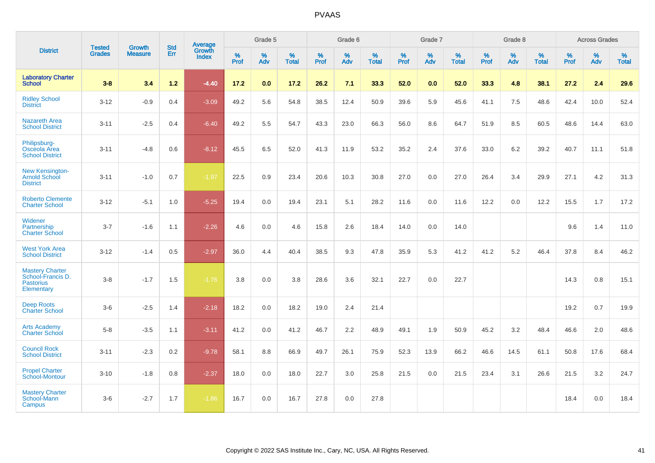|                                                                               |                                |                                 | <b>Std</b> | <b>Average</b>         |           | Grade 5  |                   |           | Grade 6  |                   |           | Grade 7  |                   |           | Grade 8  |                   |           | <b>Across Grades</b> |                   |
|-------------------------------------------------------------------------------|--------------------------------|---------------------------------|------------|------------------------|-----------|----------|-------------------|-----------|----------|-------------------|-----------|----------|-------------------|-----------|----------|-------------------|-----------|----------------------|-------------------|
| <b>District</b>                                                               | <b>Tested</b><br><b>Grades</b> | <b>Growth</b><br><b>Measure</b> | Err        | Growth<br><b>Index</b> | %<br>Prof | %<br>Adv | %<br><b>Total</b> | %<br>Prof | %<br>Adv | %<br><b>Total</b> | %<br>Prof | %<br>Adv | %<br><b>Total</b> | %<br>Prof | %<br>Adv | %<br><b>Total</b> | %<br>Prof | %<br>Adv             | %<br><b>Total</b> |
| <b>Laboratory Charter</b><br><b>School</b>                                    | $3 - 8$                        | 3.4                             | $1.2$      | $-4.40$                | 17.2      | 0.0      | 17.2              | 26.2      | 7.1      | 33.3              | 52.0      | 0.0      | 52.0              | 33.3      | 4.8      | 38.1              | 27.2      | 2.4                  | 29.6              |
| <b>Ridley School</b><br><b>District</b>                                       | $3 - 12$                       | $-0.9$                          | 0.4        | $-3.09$                | 49.2      | 5.6      | 54.8              | 38.5      | 12.4     | 50.9              | 39.6      | 5.9      | 45.6              | 41.1      | 7.5      | 48.6              | 42.4      | 10.0                 | 52.4              |
| <b>Nazareth Area</b><br><b>School District</b>                                | $3 - 11$                       | $-2.5$                          | 0.4        | $-6.40$                | 49.2      | 5.5      | 54.7              | 43.3      | 23.0     | 66.3              | 56.0      | 8.6      | 64.7              | 51.9      | 8.5      | 60.5              | 48.6      | 14.4                 | 63.0              |
| Philipsburg-<br>Osceola Area<br><b>School District</b>                        | $3 - 11$                       | $-4.8$                          | 0.6        | $-8.12$                | 45.5      | 6.5      | 52.0              | 41.3      | 11.9     | 53.2              | 35.2      | 2.4      | 37.6              | 33.0      | 6.2      | 39.2              | 40.7      | 11.1                 | 51.8              |
| New Kensington-<br><b>Arnold School</b><br><b>District</b>                    | $3 - 11$                       | $-1.0$                          | 0.7        | $-1.97$                | 22.5      | 0.9      | 23.4              | 20.6      | 10.3     | 30.8              | 27.0      | 0.0      | 27.0              | 26.4      | 3.4      | 29.9              | 27.1      | 4.2                  | 31.3              |
| <b>Roberto Clemente</b><br><b>Charter School</b>                              | $3 - 12$                       | $-5.1$                          | 1.0        | $-5.25$                | 19.4      | 0.0      | 19.4              | 23.1      | 5.1      | 28.2              | 11.6      | $0.0\,$  | 11.6              | 12.2      | 0.0      | 12.2              | 15.5      | 1.7                  | 17.2              |
| Widener<br>Partnership<br><b>Charter School</b>                               | $3 - 7$                        | $-1.6$                          | 1.1        | $-2.26$                | 4.6       | 0.0      | 4.6               | 15.8      | 2.6      | 18.4              | 14.0      | 0.0      | 14.0              |           |          |                   | 9.6       | 1.4                  | 11.0              |
| <b>West York Area</b><br><b>School District</b>                               | $3 - 12$                       | $-1.4$                          | 0.5        | $-2.97$                | 36.0      | 4.4      | 40.4              | 38.5      | 9.3      | 47.8              | 35.9      | 5.3      | 41.2              | 41.2      | 5.2      | 46.4              | 37.8      | 8.4                  | 46.2              |
| <b>Mastery Charter</b><br>School-Francis D.<br><b>Pastorius</b><br>Elementary | $3 - 8$                        | $-1.7$                          | 1.5        | $-1.76$                | 3.8       | 0.0      | 3.8               | 28.6      | 3.6      | 32.1              | 22.7      | 0.0      | 22.7              |           |          |                   | 14.3      | 0.8                  | 15.1              |
| <b>Deep Roots</b><br><b>Charter School</b>                                    | $3-6$                          | $-2.5$                          | 1.4        | $-2.18$                | 18.2      | 0.0      | 18.2              | 19.0      | 2.4      | 21.4              |           |          |                   |           |          |                   | 19.2      | 0.7                  | 19.9              |
| <b>Arts Academy</b><br><b>Charter School</b>                                  | $5 - 8$                        | $-3.5$                          | 1.1        | $-3.11$                | 41.2      | 0.0      | 41.2              | 46.7      | 2.2      | 48.9              | 49.1      | 1.9      | 50.9              | 45.2      | 3.2      | 48.4              | 46.6      | 2.0                  | 48.6              |
| <b>Council Rock</b><br><b>School District</b>                                 | $3 - 11$                       | $-2.3$                          | 0.2        | $-9.78$                | 58.1      | 8.8      | 66.9              | 49.7      | 26.1     | 75.9              | 52.3      | 13.9     | 66.2              | 46.6      | 14.5     | 61.1              | 50.8      | 17.6                 | 68.4              |
| <b>Propel Charter</b><br><b>School-Montour</b>                                | $3 - 10$                       | $-1.8$                          | 0.8        | $-2.37$                | 18.0      | 0.0      | 18.0              | 22.7      | 3.0      | 25.8              | 21.5      | 0.0      | 21.5              | 23.4      | 3.1      | 26.6              | 21.5      | 3.2                  | 24.7              |
| <b>Mastery Charter</b><br>School-Mann<br>Campus                               | $3-6$                          | $-2.7$                          | 1.7        | $-1.86$                | 16.7      | 0.0      | 16.7              | 27.8      | 0.0      | 27.8              |           |          |                   |           |          |                   | 18.4      | 0.0                  | 18.4              |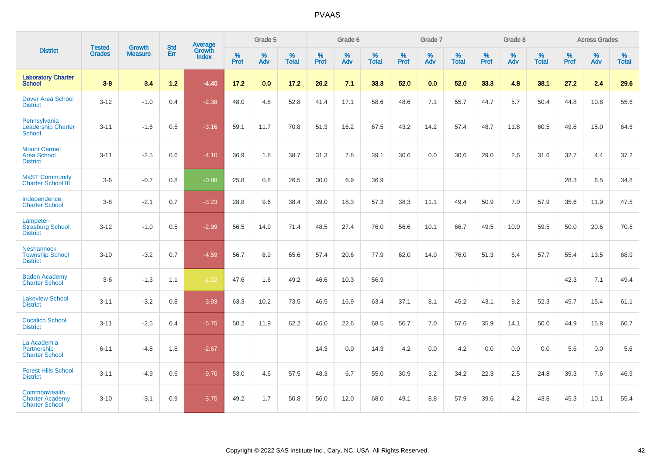|                                                                 |                                |                          |                   | <b>Average</b>         |           | Grade 5  |                   |           | Grade 6  |                   |           | Grade 7  |                   |           | Grade 8  |                   |           | <b>Across Grades</b> |                   |
|-----------------------------------------------------------------|--------------------------------|--------------------------|-------------------|------------------------|-----------|----------|-------------------|-----------|----------|-------------------|-----------|----------|-------------------|-----------|----------|-------------------|-----------|----------------------|-------------------|
| <b>District</b>                                                 | <b>Tested</b><br><b>Grades</b> | Growth<br><b>Measure</b> | <b>Std</b><br>Err | Growth<br><b>Index</b> | %<br>Prof | %<br>Adv | %<br><b>Total</b> | %<br>Prof | %<br>Adv | %<br><b>Total</b> | %<br>Prof | %<br>Adv | %<br><b>Total</b> | %<br>Prof | %<br>Adv | %<br><b>Total</b> | %<br>Prof | %<br>Adv             | %<br><b>Total</b> |
| <b>Laboratory Charter</b><br><b>School</b>                      | $3 - 8$                        | 3.4                      | $1.2$             | $-4.40$                | 17.2      | 0.0      | 17.2              | 26.2      | 7.1      | 33.3              | 52.0      | 0.0      | 52.0              | 33.3      | 4.8      | 38.1              | 27.2      | 2.4                  | 29.6              |
| <b>Dover Area School</b><br><b>District</b>                     | $3 - 12$                       | $-1.0$                   | 0.4               | $-2.38$                | 48.0      | 4.8      | 52.8              | 41.4      | 17.1     | 58.6              | 48.6      | 7.1      | 55.7              | 44.7      | 5.7      | 50.4              | 44.8      | 10.8                 | 55.6              |
| Pennsylvania<br><b>Leadership Charter</b><br><b>School</b>      | $3 - 11$                       | $-1.6$                   | 0.5               | $-3.16$                | 59.1      | 11.7     | 70.8              | 51.3      | 16.2     | 67.5              | 43.2      | 14.2     | 57.4              | 48.7      | 11.8     | 60.5              | 49.6      | 15.0                 | 64.6              |
| <b>Mount Carmel</b><br><b>Area School</b><br><b>District</b>    | $3 - 11$                       | $-2.5$                   | 0.6               | $-4.10$                | 36.9      | 1.8      | 38.7              | 31.3      | 7.8      | 39.1              | 30.6      | 0.0      | 30.6              | 29.0      | 2.6      | 31.6              | 32.7      | 4.4                  | 37.2              |
| <b>MaST Community</b><br><b>Charter School III</b>              | $3-6$                          | $-0.7$                   | 0.8               | $-0.88$                | 25.8      | 0.8      | 26.5              | 30.0      | 6.9      | 36.9              |           |          |                   |           |          |                   | 28.3      | 6.5                  | 34.8              |
| Independence<br><b>Charter School</b>                           | $3 - 8$                        | $-2.1$                   | 0.7               | $-3.23$                | 28.8      | 9.6      | 38.4              | 39.0      | 18.3     | 57.3              | 38.3      | 11.1     | 49.4              | 50.9      | 7.0      | 57.9              | 35.6      | 11.9                 | 47.5              |
| Lampeter-<br><b>Strasburg School</b><br><b>District</b>         | $3 - 12$                       | $-1.0$                   | 0.5               | $-2.99$                | 56.5      | 14.9     | 71.4              | 48.5      | 27.4     | 76.0              | 56.6      | 10.1     | 66.7              | 49.5      | 10.0     | 59.5              | 50.0      | 20.6                 | 70.5              |
| <b>Neshannock</b><br><b>Township School</b><br><b>District</b>  | $3 - 10$                       | $-3.2$                   | 0.7               | $-4.59$                | 56.7      | 8.9      | 65.6              | 57.4      | 20.6     | 77.9              | 62.0      | 14.0     | 76.0              | 51.3      | 6.4      | 57.7              | 55.4      | 13.5                 | 68.9              |
| <b>Baden Academy</b><br><b>Charter School</b>                   | $3-6$                          | $-1.3$                   | 1.1               | $-1.32$                | 47.6      | 1.6      | 49.2              | 46.6      | 10.3     | 56.9              |           |          |                   |           |          |                   | 42.3      | 7.1                  | 49.4              |
| <b>Lakeview School</b><br><b>District</b>                       | $3 - 11$                       | $-3.2$                   | 0.8               | $-3.93$                | 63.3      | 10.2     | 73.5              | 46.5      | 16.9     | 63.4              | 37.1      | 8.1      | 45.2              | 43.1      | 9.2      | 52.3              | 45.7      | 15.4                 | 61.1              |
| <b>Cocalico School</b><br><b>District</b>                       | $3 - 11$                       | $-2.5$                   | 0.4               | $-5.75$                | 50.2      | 11.9     | 62.2              | 46.0      | 22.6     | 68.5              | 50.7      | 7.0      | 57.6              | 35.9      | 14.1     | 50.0              | 44.9      | 15.8                 | 60.7              |
| La Academia<br>Partnership<br><b>Charter School</b>             | $6 - 11$                       | $-4.8$                   | 1.8               | $-2.67$                |           |          |                   | 14.3      | 0.0      | 14.3              | 4.2       | 0.0      | 4.2               | 0.0       | 0.0      | 0.0               | 5.6       | $0.0\,$              | 5.6               |
| <b>Forest Hills School</b><br><b>District</b>                   | $3 - 11$                       | $-4.9$                   | 0.6               | $-9.70$                | 53.0      | 4.5      | 57.5              | 48.3      | 6.7      | 55.0              | 30.9      | 3.2      | 34.2              | 22.3      | 2.5      | 24.8              | 39.3      | 7.6                  | 46.9              |
| Commonwealth<br><b>Charter Academy</b><br><b>Charter School</b> | $3 - 10$                       | $-3.1$                   | 0.9               | $-3.75$                | 49.2      | 1.7      | 50.8              | 56.0      | 12.0     | 68.0              | 49.1      | 8.8      | 57.9              | 39.6      | 4.2      | 43.8              | 45.3      | 10.1                 | 55.4              |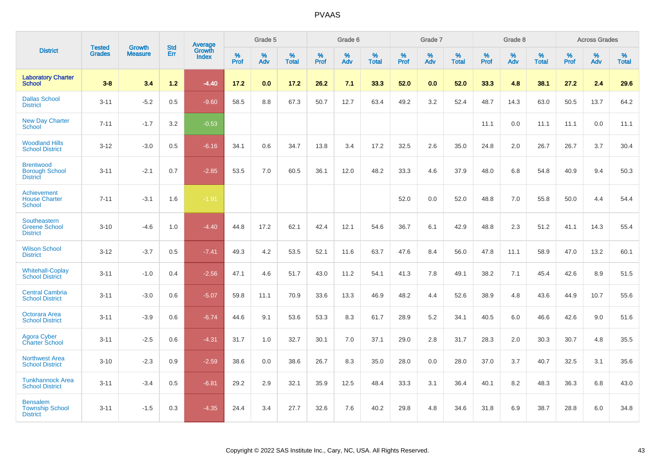|                                                              |                                |                                 | <b>Std</b> | <b>Average</b>         |           | Grade 5  |                   |           | Grade 6  |                   |           | Grade 7  |                   |           | Grade 8  |                   |           | <b>Across Grades</b> |                   |
|--------------------------------------------------------------|--------------------------------|---------------------------------|------------|------------------------|-----------|----------|-------------------|-----------|----------|-------------------|-----------|----------|-------------------|-----------|----------|-------------------|-----------|----------------------|-------------------|
| <b>District</b>                                              | <b>Tested</b><br><b>Grades</b> | <b>Growth</b><br><b>Measure</b> | Err        | Growth<br><b>Index</b> | %<br>Prof | %<br>Adv | %<br><b>Total</b> | %<br>Prof | %<br>Adv | %<br><b>Total</b> | %<br>Prof | %<br>Adv | %<br><b>Total</b> | %<br>Prof | %<br>Adv | %<br><b>Total</b> | %<br>Prof | %<br>Adv             | %<br><b>Total</b> |
| <b>Laboratory Charter</b><br><b>School</b>                   | $3 - 8$                        | 3.4                             | $1.2$      | $-4.40$                | 17.2      | 0.0      | 17.2              | 26.2      | 7.1      | 33.3              | 52.0      | 0.0      | 52.0              | 33.3      | 4.8      | 38.1              | 27.2      | 2.4                  | 29.6              |
| <b>Dallas School</b><br><b>District</b>                      | $3 - 11$                       | $-5.2$                          | 0.5        | $-9.60$                | 58.5      | 8.8      | 67.3              | 50.7      | 12.7     | 63.4              | 49.2      | 3.2      | 52.4              | 48.7      | 14.3     | 63.0              | 50.5      | 13.7                 | 64.2              |
| <b>New Day Charter</b><br><b>School</b>                      | $7 - 11$                       | $-1.7$                          | 3.2        | $-0.53$                |           |          |                   |           |          |                   |           |          |                   | 11.1      | 0.0      | 11.1              | 11.1      | 0.0                  | 11.1              |
| <b>Woodland Hills</b><br><b>School District</b>              | $3 - 12$                       | $-3.0$                          | 0.5        | $-6.16$                | 34.1      | 0.6      | 34.7              | 13.8      | 3.4      | 17.2              | 32.5      | 2.6      | 35.0              | 24.8      | 2.0      | 26.7              | 26.7      | 3.7                  | 30.4              |
| <b>Brentwood</b><br><b>Borough School</b><br><b>District</b> | $3 - 11$                       | $-2.1$                          | 0.7        | $-2.85$                | 53.5      | 7.0      | 60.5              | 36.1      | 12.0     | 48.2              | 33.3      | 4.6      | 37.9              | 48.0      | 6.8      | 54.8              | 40.9      | 9.4                  | 50.3              |
| Achievement<br><b>House Charter</b><br><b>School</b>         | $7 - 11$                       | $-3.1$                          | 1.6        | $-1.91$                |           |          |                   |           |          |                   | 52.0      | 0.0      | 52.0              | 48.8      | 7.0      | 55.8              | 50.0      | 4.4                  | 54.4              |
| Southeastern<br><b>Greene School</b><br><b>District</b>      | $3 - 10$                       | $-4.6$                          | 1.0        | $-4.40$                | 44.8      | 17.2     | 62.1              | 42.4      | 12.1     | 54.6              | 36.7      | 6.1      | 42.9              | 48.8      | 2.3      | 51.2              | 41.1      | 14.3                 | 55.4              |
| <b>Wilson School</b><br><b>District</b>                      | $3 - 12$                       | $-3.7$                          | 0.5        | $-7.41$                | 49.3      | 4.2      | 53.5              | 52.1      | 11.6     | 63.7              | 47.6      | 8.4      | 56.0              | 47.8      | 11.1     | 58.9              | 47.0      | 13.2                 | 60.1              |
| <b>Whitehall-Coplay</b><br><b>School District</b>            | $3 - 11$                       | $-1.0$                          | 0.4        | $-2.56$                | 47.1      | 4.6      | 51.7              | 43.0      | 11.2     | 54.1              | 41.3      | 7.8      | 49.1              | 38.2      | 7.1      | 45.4              | 42.6      | 8.9                  | 51.5              |
| <b>Central Cambria</b><br><b>School District</b>             | $3 - 11$                       | $-3.0$                          | 0.6        | $-5.07$                | 59.8      | 11.1     | 70.9              | 33.6      | 13.3     | 46.9              | 48.2      | 4.4      | 52.6              | 38.9      | 4.8      | 43.6              | 44.9      | 10.7                 | 55.6              |
| Octorara Area<br><b>School District</b>                      | $3 - 11$                       | $-3.9$                          | 0.6        | $-6.74$                | 44.6      | 9.1      | 53.6              | 53.3      | 8.3      | 61.7              | 28.9      | 5.2      | 34.1              | 40.5      | 6.0      | 46.6              | 42.6      | 9.0                  | 51.6              |
| Agora Cyber<br><b>Charter School</b>                         | $3 - 11$                       | $-2.5$                          | 0.6        | $-4.31$                | 31.7      | 1.0      | 32.7              | 30.1      | 7.0      | 37.1              | 29.0      | 2.8      | 31.7              | 28.3      | 2.0      | 30.3              | 30.7      | 4.8                  | 35.5              |
| <b>Northwest Area</b><br><b>School District</b>              | $3 - 10$                       | $-2.3$                          | 0.9        | $-2.59$                | 38.6      | 0.0      | 38.6              | 26.7      | 8.3      | 35.0              | 28.0      | 0.0      | 28.0              | 37.0      | 3.7      | 40.7              | 32.5      | 3.1                  | 35.6              |
| <b>Tunkhannock Area</b><br><b>School District</b>            | $3 - 11$                       | $-3.4$                          | 0.5        | $-6.81$                | 29.2      | 2.9      | 32.1              | 35.9      | 12.5     | 48.4              | 33.3      | 3.1      | 36.4              | 40.1      | 8.2      | 48.3              | 36.3      | 6.8                  | 43.0              |
| <b>Bensalem</b><br><b>Township School</b><br><b>District</b> | $3 - 11$                       | $-1.5$                          | 0.3        | $-4.35$                | 24.4      | 3.4      | 27.7              | 32.6      | 7.6      | 40.2              | 29.8      | 4.8      | 34.6              | 31.8      | 6.9      | 38.7              | 28.8      | 6.0                  | 34.8              |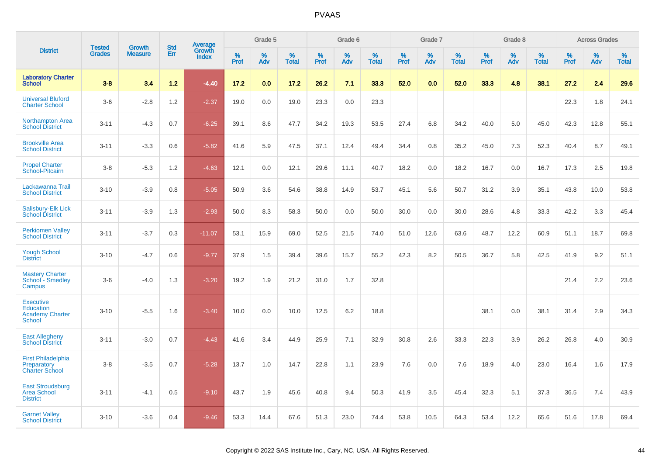|                                                                          | <b>Tested</b> | <b>Growth</b>  | <b>Std</b> | Average         |           | Grade 5  |                   |           | Grade 6  |                   |           | Grade 7  |                   |           | Grade 8  |                   |           | <b>Across Grades</b> |                   |
|--------------------------------------------------------------------------|---------------|----------------|------------|-----------------|-----------|----------|-------------------|-----------|----------|-------------------|-----------|----------|-------------------|-----------|----------|-------------------|-----------|----------------------|-------------------|
| <b>District</b>                                                          | <b>Grades</b> | <b>Measure</b> | Err        | Growth<br>Index | %<br>Prof | %<br>Adv | %<br><b>Total</b> | %<br>Prof | %<br>Adv | %<br><b>Total</b> | %<br>Prof | %<br>Adv | %<br><b>Total</b> | %<br>Prof | %<br>Adv | %<br><b>Total</b> | %<br>Prof | %<br>Adv             | %<br><b>Total</b> |
| <b>Laboratory Charter</b><br><b>School</b>                               | $3 - 8$       | 3.4            | $1.2$      | $-4.40$         | 17.2      | 0.0      | 17.2              | 26.2      | 7.1      | 33.3              | 52.0      | 0.0      | 52.0              | 33.3      | 4.8      | 38.1              | 27.2      | 2.4                  | 29.6              |
| <b>Universal Bluford</b><br><b>Charter School</b>                        | $3-6$         | $-2.8$         | 1.2        | $-2.37$         | 19.0      | 0.0      | 19.0              | 23.3      | 0.0      | 23.3              |           |          |                   |           |          |                   | 22.3      | 1.8                  | 24.1              |
| <b>Northampton Area</b><br><b>School District</b>                        | $3 - 11$      | $-4.3$         | 0.7        | $-6.25$         | 39.1      | 8.6      | 47.7              | 34.2      | 19.3     | 53.5              | 27.4      | 6.8      | 34.2              | 40.0      | 5.0      | 45.0              | 42.3      | 12.8                 | 55.1              |
| <b>Brookville Area</b><br><b>School District</b>                         | $3 - 11$      | $-3.3$         | 0.6        | $-5.82$         | 41.6      | 5.9      | 47.5              | 37.1      | 12.4     | 49.4              | 34.4      | 0.8      | 35.2              | 45.0      | 7.3      | 52.3              | 40.4      | 8.7                  | 49.1              |
| <b>Propel Charter</b><br>School-Pitcairn                                 | $3 - 8$       | $-5.3$         | 1.2        | $-4.63$         | 12.1      | 0.0      | 12.1              | 29.6      | 11.1     | 40.7              | 18.2      | 0.0      | 18.2              | 16.7      | 0.0      | 16.7              | 17.3      | 2.5                  | 19.8              |
| Lackawanna Trail<br><b>School District</b>                               | $3 - 10$      | $-3.9$         | 0.8        | $-5.05$         | 50.9      | 3.6      | 54.6              | 38.8      | 14.9     | 53.7              | 45.1      | 5.6      | 50.7              | 31.2      | 3.9      | 35.1              | 43.8      | 10.0                 | 53.8              |
| Salisbury-Elk Lick<br><b>School District</b>                             | $3 - 11$      | $-3.9$         | 1.3        | $-2.93$         | 50.0      | 8.3      | 58.3              | 50.0      | 0.0      | 50.0              | 30.0      | 0.0      | 30.0              | 28.6      | 4.8      | 33.3              | 42.2      | 3.3                  | 45.4              |
| <b>Perkiomen Valley</b><br><b>School District</b>                        | $3 - 11$      | $-3.7$         | 0.3        | $-11.07$        | 53.1      | 15.9     | 69.0              | 52.5      | 21.5     | 74.0              | 51.0      | 12.6     | 63.6              | 48.7      | 12.2     | 60.9              | 51.1      | 18.7                 | 69.8              |
| <b>Yough School</b><br><b>District</b>                                   | $3 - 10$      | $-4.7$         | 0.6        | $-9.77$         | 37.9      | 1.5      | 39.4              | 39.6      | 15.7     | 55.2              | 42.3      | 8.2      | 50.5              | 36.7      | 5.8      | 42.5              | 41.9      | 9.2                  | 51.1              |
| <b>Mastery Charter</b><br>School - Smedley<br>Campus                     | $3-6$         | $-4.0$         | 1.3        | $-3.20$         | 19.2      | 1.9      | 21.2              | 31.0      | 1.7      | 32.8              |           |          |                   |           |          |                   | 21.4      | 2.2                  | 23.6              |
| <b>Executive</b><br>Education<br><b>Academy Charter</b><br><b>School</b> | $3 - 10$      | $-5.5$         | 1.6        | $-3.40$         | 10.0      | 0.0      | 10.0              | 12.5      | 6.2      | 18.8              |           |          |                   | 38.1      | 0.0      | 38.1              | 31.4      | 2.9                  | 34.3              |
| <b>East Allegheny</b><br><b>School District</b>                          | $3 - 11$      | $-3.0$         | 0.7        | $-4.43$         | 41.6      | 3.4      | 44.9              | 25.9      | 7.1      | 32.9              | 30.8      | 2.6      | 33.3              | 22.3      | 3.9      | 26.2              | 26.8      | 4.0                  | 30.9              |
| <b>First Philadelphia</b><br>Preparatory<br><b>Charter School</b>        | $3-8$         | $-3.5$         | 0.7        | $-5.28$         | 13.7      | 1.0      | 14.7              | 22.8      | 1.1      | 23.9              | 7.6       | 0.0      | 7.6               | 18.9      | 4.0      | 23.0              | 16.4      | 1.6                  | 17.9              |
| <b>East Stroudsburg</b><br><b>Area School</b><br><b>District</b>         | $3 - 11$      | $-4.1$         | 0.5        | $-9.10$         | 43.7      | 1.9      | 45.6              | 40.8      | 9.4      | 50.3              | 41.9      | 3.5      | 45.4              | 32.3      | 5.1      | 37.3              | 36.5      | 7.4                  | 43.9              |
| <b>Garnet Valley</b><br><b>School District</b>                           | $3 - 10$      | $-3.6$         | 0.4        | $-9.46$         | 53.3      | 14.4     | 67.6              | 51.3      | 23.0     | 74.4              | 53.8      | 10.5     | 64.3              | 53.4      | 12.2     | 65.6              | 51.6      | 17.8                 | 69.4              |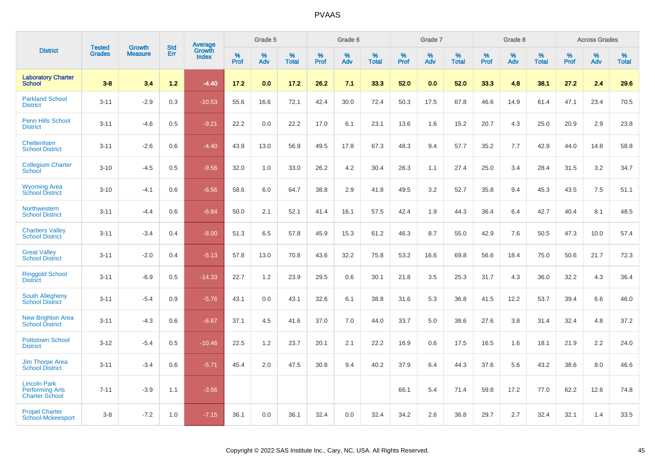|                                                                        | <b>Tested</b> | <b>Growth</b>  | <b>Std</b> | Average                |              | Grade 5  |                   |              | Grade 6  |                   |              | Grade 7  |                   |              | Grade 8  |                   |              | <b>Across Grades</b> |                   |
|------------------------------------------------------------------------|---------------|----------------|------------|------------------------|--------------|----------|-------------------|--------------|----------|-------------------|--------------|----------|-------------------|--------------|----------|-------------------|--------------|----------------------|-------------------|
| <b>District</b>                                                        | <b>Grades</b> | <b>Measure</b> | Err        | Growth<br><b>Index</b> | $\%$<br>Prof | %<br>Adv | %<br><b>Total</b> | $\%$<br>Prof | %<br>Adv | %<br><b>Total</b> | $\%$<br>Prof | %<br>Adv | %<br><b>Total</b> | $\%$<br>Prof | %<br>Adv | %<br><b>Total</b> | $\%$<br>Prof | $\%$<br>Adv          | %<br><b>Total</b> |
| <b>Laboratory Charter</b><br><b>School</b>                             | $3 - 8$       | 3.4            | $1.2$      | $-4.40$                | 17.2         | 0.0      | 17.2              | 26.2         | 7.1      | 33.3              | 52.0         | 0.0      | 52.0              | 33.3         | 4.8      | 38.1              | 27.2         | 2.4                  | 29.6              |
| <b>Parkland School</b><br><b>District</b>                              | $3 - 11$      | $-2.9$         | 0.3        | $-10.53$               | 55.6         | 16.6     | 72.1              | 42.4         | 30.0     | 72.4              | 50.3         | 17.5     | 67.8              | 46.6         | 14.9     | 61.4              | 47.1         | 23.4                 | 70.5              |
| <b>Penn Hills School</b><br><b>District</b>                            | $3 - 11$      | $-4.6$         | 0.5        | $-9.21$                | 22.2         | 0.0      | 22.2              | 17.0         | 6.1      | 23.1              | 13.6         | 1.6      | 15.2              | 20.7         | 4.3      | 25.0              | 20.9         | 2.9                  | 23.8              |
| Cheltenham<br><b>School District</b>                                   | $3 - 11$      | $-2.6$         | 0.6        | $-4.40$                | 43.9         | 13.0     | 56.9              | 49.5         | 17.8     | 67.3              | 48.3         | 9.4      | 57.7              | 35.2         | 7.7      | 42.9              | 44.0         | 14.8                 | 58.8              |
| <b>Collegium Charter</b><br>School                                     | $3 - 10$      | $-4.5$         | 0.5        | $-9.56$                | 32.0         | 1.0      | 33.0              | 26.2         | 4.2      | 30.4              | 26.3         | 1.1      | 27.4              | 25.0         | 3.4      | 28.4              | 31.5         | 3.2                  | 34.7              |
| <b>Wyoming Area</b><br><b>School District</b>                          | $3 - 10$      | $-4.1$         | 0.6        | $-6.56$                | 58.6         | 6.0      | 64.7              | 38.8         | 2.9      | 41.8              | 49.5         | 3.2      | 52.7              | 35.8         | 9.4      | 45.3              | 43.5         | 7.5                  | 51.1              |
| Northwestern<br><b>School District</b>                                 | $3 - 11$      | $-4.4$         | 0.6        | $-6.84$                | 50.0         | 2.1      | 52.1              | 41.4         | 16.1     | 57.5              | 42.4         | 1.9      | 44.3              | 36.4         | 6.4      | 42.7              | 40.4         | 8.1                  | 48.5              |
| <b>Chartiers Valley</b><br><b>School District</b>                      | $3 - 11$      | $-3.4$         | 0.4        | $-8.00$                | 51.3         | 6.5      | 57.8              | 45.9         | 15.3     | 61.2              | 46.3         | 8.7      | 55.0              | 42.9         | 7.6      | 50.5              | 47.3         | 10.0                 | 57.4              |
| <b>Great Valley</b><br><b>School District</b>                          | $3 - 11$      | $-2.0$         | 0.4        | $-5.13$                | 57.8         | 13.0     | 70.8              | 43.6         | 32.2     | 75.8              | 53.2         | 16.6     | 69.8              | 56.6         | 18.4     | 75.0              | 50.6         | 21.7                 | 72.3              |
| <b>Ringgold School</b><br><b>District</b>                              | $3 - 11$      | $-6.9$         | 0.5        | $-14.33$               | 22.7         | 1.2      | 23.9              | 29.5         | 0.6      | 30.1              | 21.8         | 3.5      | 25.3              | 31.7         | 4.3      | 36.0              | 32.2         | 4.3                  | 36.4              |
| <b>South Allegheny</b><br><b>School District</b>                       | $3 - 11$      | $-5.4$         | 0.9        | $-5.76$                | 43.1         | 0.0      | 43.1              | 32.6         | 6.1      | 38.8              | 31.6         | 5.3      | 36.8              | 41.5         | 12.2     | 53.7              | 39.4         | 6.6                  | 46.0              |
| <b>New Brighton Area</b><br><b>School District</b>                     | $3 - 11$      | $-4.3$         | 0.6        | $-6.67$                | 37.1         | 4.5      | 41.6              | 37.0         | 7.0      | 44.0              | 33.7         | 5.0      | 38.6              | 27.6         | 3.8      | 31.4              | 32.4         | 4.8                  | 37.2              |
| <b>Pottstown School</b><br><b>District</b>                             | $3 - 12$      | $-5.4$         | 0.5        | $-10.46$               | 22.5         | 1.2      | 23.7              | 20.1         | 2.1      | 22.2              | 16.9         | 0.6      | 17.5              | 16.5         | 1.6      | 18.1              | 21.9         | 2.2                  | 24.0              |
| <b>Jim Thorpe Area</b><br><b>School District</b>                       | $3 - 11$      | $-3.4$         | 0.6        | $-5.71$                | 45.4         | 2.0      | 47.5              | 30.8         | 9.4      | 40.2              | 37.9         | 6.4      | 44.3              | 37.6         | 5.6      | 43.2              | 38.6         | 8.0                  | 46.6              |
| <b>Lincoln Park</b><br><b>Performing Arts</b><br><b>Charter School</b> | $7 - 11$      | $-3.9$         | 1.1        | $-3.56$                |              |          |                   |              |          |                   | 66.1         | 5.4      | 71.4              | 59.8         | 17.2     | 77.0              | 62.2         | 12.6                 | 74.8              |
| <b>Propel Charter</b><br>School-Mckeesport                             | $3 - 8$       | $-7.2$         | 1.0        | $-7.15$                | 36.1         | 0.0      | 36.1              | 32.4         | 0.0      | 32.4              | 34.2         | 2.6      | 36.8              | 29.7         | 2.7      | 32.4              | 32.1         | 1.4                  | 33.5              |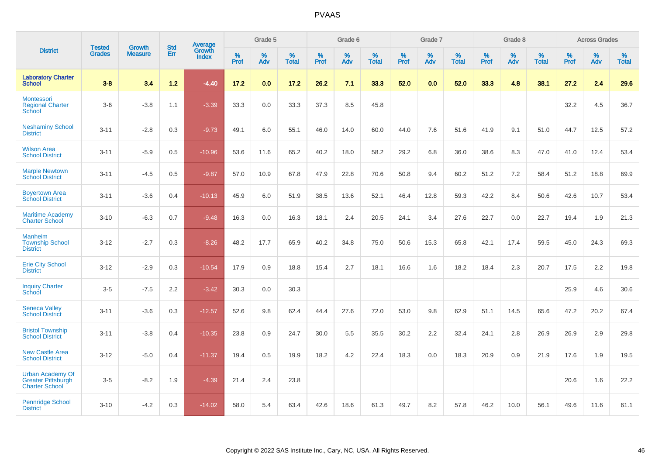|                                                                               | <b>Tested</b> | <b>Growth</b>  | <b>Std</b> | Average                |              | Grade 5  |                   |           | Grade 6  |                   |           | Grade 7  |                   |           | Grade 8  |                   |           | <b>Across Grades</b> |                   |
|-------------------------------------------------------------------------------|---------------|----------------|------------|------------------------|--------------|----------|-------------------|-----------|----------|-------------------|-----------|----------|-------------------|-----------|----------|-------------------|-----------|----------------------|-------------------|
| <b>District</b>                                                               | <b>Grades</b> | <b>Measure</b> | Err        | Growth<br><b>Index</b> | $\%$<br>Prof | %<br>Adv | %<br><b>Total</b> | %<br>Prof | %<br>Adv | %<br><b>Total</b> | %<br>Prof | %<br>Adv | %<br><b>Total</b> | %<br>Prof | %<br>Adv | %<br><b>Total</b> | %<br>Prof | %<br>Adv             | %<br><b>Total</b> |
| <b>Laboratory Charter</b><br><b>School</b>                                    | $3 - 8$       | 3.4            | $1.2$      | $-4.40$                | 17.2         | 0.0      | 17.2              | 26.2      | 7.1      | 33.3              | 52.0      | 0.0      | 52.0              | 33.3      | 4.8      | 38.1              | 27.2      | 2.4                  | 29.6              |
| Montessori<br><b>Regional Charter</b><br>School                               | $3-6$         | $-3.8$         | 1.1        | $-3.39$                | 33.3         | $0.0\,$  | 33.3              | 37.3      | 8.5      | 45.8              |           |          |                   |           |          |                   | 32.2      | 4.5                  | 36.7              |
| <b>Neshaminy School</b><br><b>District</b>                                    | $3 - 11$      | $-2.8$         | 0.3        | $-9.73$                | 49.1         | 6.0      | 55.1              | 46.0      | 14.0     | 60.0              | 44.0      | 7.6      | 51.6              | 41.9      | 9.1      | 51.0              | 44.7      | 12.5                 | 57.2              |
| <b>Wilson Area</b><br><b>School District</b>                                  | $3 - 11$      | $-5.9$         | 0.5        | $-10.96$               | 53.6         | 11.6     | 65.2              | 40.2      | 18.0     | 58.2              | 29.2      | 6.8      | 36.0              | 38.6      | 8.3      | 47.0              | 41.0      | 12.4                 | 53.4              |
| <b>Marple Newtown</b><br><b>School District</b>                               | $3 - 11$      | $-4.5$         | 0.5        | $-9.87$                | 57.0         | 10.9     | 67.8              | 47.9      | 22.8     | 70.6              | 50.8      | 9.4      | 60.2              | 51.2      | 7.2      | 58.4              | 51.2      | 18.8                 | 69.9              |
| <b>Boyertown Area</b><br><b>School District</b>                               | $3 - 11$      | $-3.6$         | 0.4        | $-10.13$               | 45.9         | 6.0      | 51.9              | 38.5      | 13.6     | 52.1              | 46.4      | 12.8     | 59.3              | 42.2      | 8.4      | 50.6              | 42.6      | 10.7                 | 53.4              |
| <b>Maritime Academy</b><br><b>Charter School</b>                              | $3 - 10$      | $-6.3$         | 0.7        | $-9.48$                | 16.3         | 0.0      | 16.3              | 18.1      | 2.4      | 20.5              | 24.1      | 3.4      | 27.6              | 22.7      | 0.0      | 22.7              | 19.4      | 1.9                  | 21.3              |
| <b>Manheim</b><br><b>Township School</b><br><b>District</b>                   | $3 - 12$      | $-2.7$         | 0.3        | $-8.26$                | 48.2         | 17.7     | 65.9              | 40.2      | 34.8     | 75.0              | 50.6      | 15.3     | 65.8              | 42.1      | 17.4     | 59.5              | 45.0      | 24.3                 | 69.3              |
| <b>Erie City School</b><br><b>District</b>                                    | $3 - 12$      | $-2.9$         | 0.3        | $-10.54$               | 17.9         | 0.9      | 18.8              | 15.4      | 2.7      | 18.1              | 16.6      | 1.6      | 18.2              | 18.4      | 2.3      | 20.7              | 17.5      | 2.2                  | 19.8              |
| <b>Inquiry Charter</b><br>School                                              | $3-5$         | $-7.5$         | 2.2        | $-3.42$                | 30.3         | 0.0      | 30.3              |           |          |                   |           |          |                   |           |          |                   | 25.9      | 4.6                  | 30.6              |
| <b>Seneca Valley</b><br><b>School District</b>                                | $3 - 11$      | $-3.6$         | 0.3        | $-12.57$               | 52.6         | 9.8      | 62.4              | 44.4      | 27.6     | 72.0              | 53.0      | 9.8      | 62.9              | 51.1      | 14.5     | 65.6              | 47.2      | 20.2                 | 67.4              |
| <b>Bristol Township</b><br><b>School District</b>                             | $3 - 11$      | $-3.8$         | 0.4        | $-10.35$               | 23.8         | 0.9      | 24.7              | 30.0      | 5.5      | 35.5              | 30.2      | 2.2      | 32.4              | 24.1      | 2.8      | 26.9              | 26.9      | 2.9                  | 29.8              |
| <b>New Castle Area</b><br><b>School District</b>                              | $3 - 12$      | $-5.0$         | 0.4        | $-11.37$               | 19.4         | 0.5      | 19.9              | 18.2      | 4.2      | 22.4              | 18.3      | 0.0      | 18.3              | 20.9      | 0.9      | 21.9              | 17.6      | 1.9                  | 19.5              |
| <b>Urban Academy Of</b><br><b>Greater Pittsburgh</b><br><b>Charter School</b> | $3-5$         | $-8.2$         | 1.9        | $-4.39$                | 21.4         | 2.4      | 23.8              |           |          |                   |           |          |                   |           |          |                   | 20.6      | 1.6                  | 22.2              |
| <b>Pennridge School</b><br><b>District</b>                                    | $3 - 10$      | $-4.2$         | 0.3        | $-14.02$               | 58.0         | 5.4      | 63.4              | 42.6      | 18.6     | 61.3              | 49.7      | 8.2      | 57.8              | 46.2      | 10.0     | 56.1              | 49.6      | 11.6                 | 61.1              |